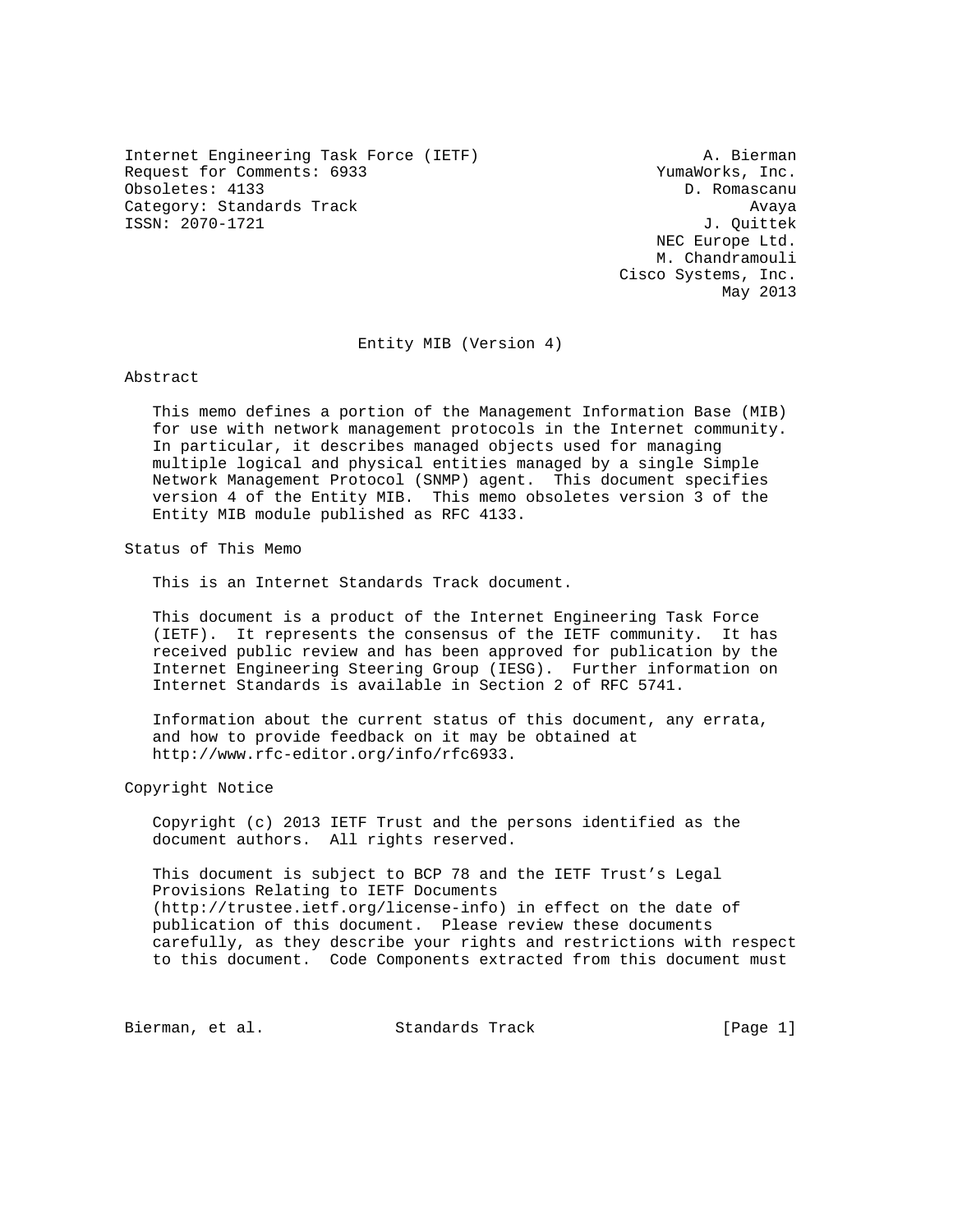Internet Engineering Task Force (IETF) A. Bierman Request for Comments: 6933 YumaWorks, Inc. Obsoletes: 4133 D. Romascanu Category: Standards Track Avaya Avaya ISSN: 2070-1721 J. Quittek

 NEC Europe Ltd. M. Chandramouli Cisco Systems, Inc. May 2013

Entity MIB (Version 4)

Abstract

 This memo defines a portion of the Management Information Base (MIB) for use with network management protocols in the Internet community. In particular, it describes managed objects used for managing multiple logical and physical entities managed by a single Simple Network Management Protocol (SNMP) agent. This document specifies version 4 of the Entity MIB. This memo obsoletes version 3 of the Entity MIB module published as RFC 4133.

Status of This Memo

This is an Internet Standards Track document.

 This document is a product of the Internet Engineering Task Force (IETF). It represents the consensus of the IETF community. It has received public review and has been approved for publication by the Internet Engineering Steering Group (IESG). Further information on Internet Standards is available in Section 2 of RFC 5741.

 Information about the current status of this document, any errata, and how to provide feedback on it may be obtained at http://www.rfc-editor.org/info/rfc6933.

Copyright Notice

 Copyright (c) 2013 IETF Trust and the persons identified as the document authors. All rights reserved.

 This document is subject to BCP 78 and the IETF Trust's Legal Provisions Relating to IETF Documents (http://trustee.ietf.org/license-info) in effect on the date of publication of this document. Please review these documents carefully, as they describe your rights and restrictions with respect to this document. Code Components extracted from this document must

Bierman, et al. Standards Track [Page 1]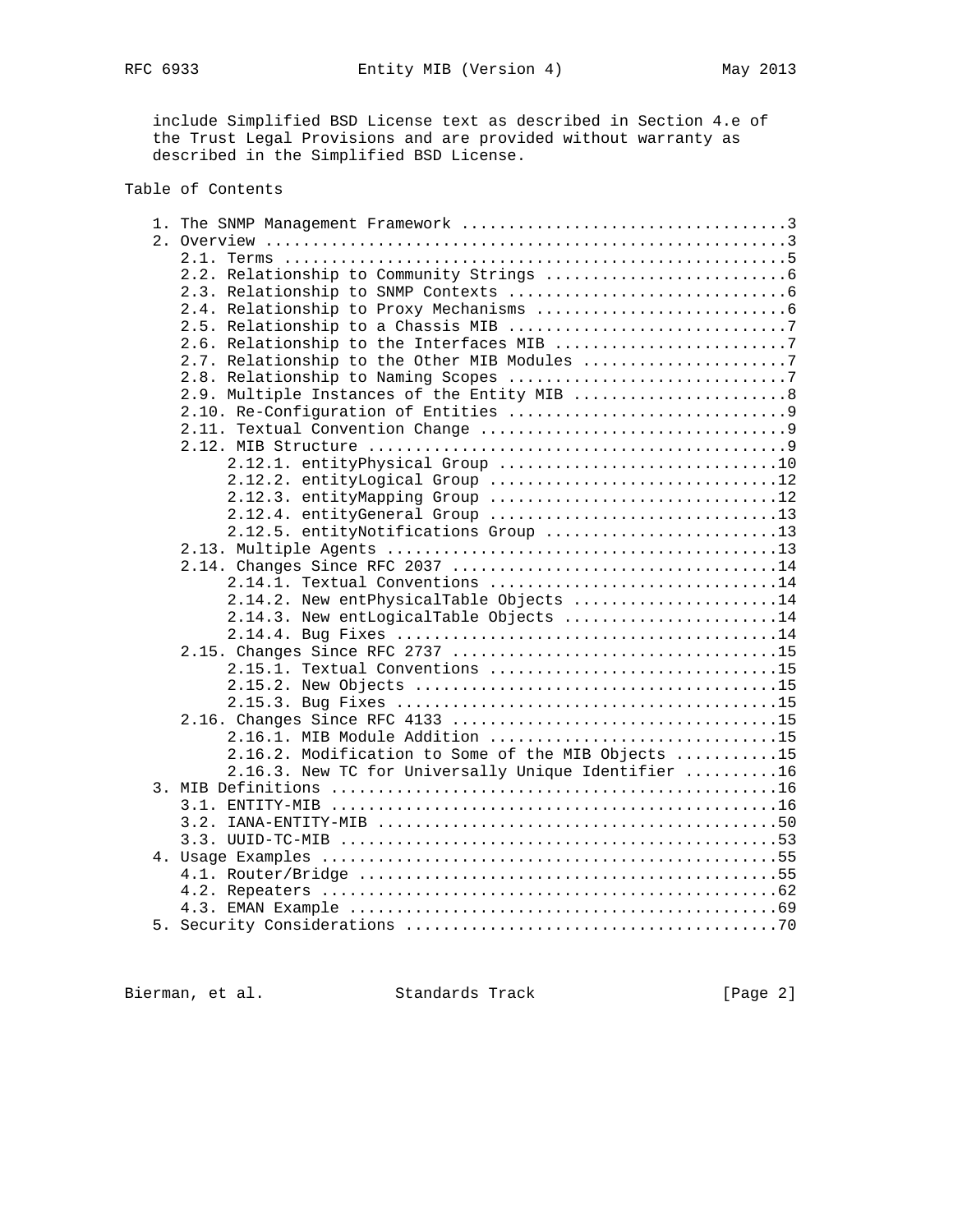include Simplified BSD License text as described in Section 4.e of the Trust Legal Provisions and are provided without warranty as described in the Simplified BSD License.

## Table of Contents

| 2.9. Multiple Instances of the Entity MIB  8        |
|-----------------------------------------------------|
|                                                     |
|                                                     |
|                                                     |
| 2.12.1. entityPhysical Group 10                     |
| 2.12.2. entityLogical Group 12                      |
| 2.12.3. entityMapping Group 12                      |
| 2.12.4. entityGeneral Group 13                      |
| 2.12.5. entityNotifications Group 13                |
|                                                     |
|                                                     |
| $2.14.1.$ Textual Conventions 14                    |
| 2.14.2. New entPhysicalTable Objects 14             |
| 2.14.3. New entLogicalTable Objects 14              |
|                                                     |
|                                                     |
| 2.15.1. Textual Conventions 15                      |
|                                                     |
|                                                     |
|                                                     |
|                                                     |
| 2.16.1. MIB Module Addition 15                      |
| 2.16.2. Modification to Some of the MIB Objects 15  |
| 2.16.3. New TC for Universally Unique Identifier 16 |
|                                                     |
|                                                     |
|                                                     |
|                                                     |
|                                                     |
|                                                     |
|                                                     |
|                                                     |
|                                                     |
|                                                     |

Bierman, et al. Standards Track [Page 2]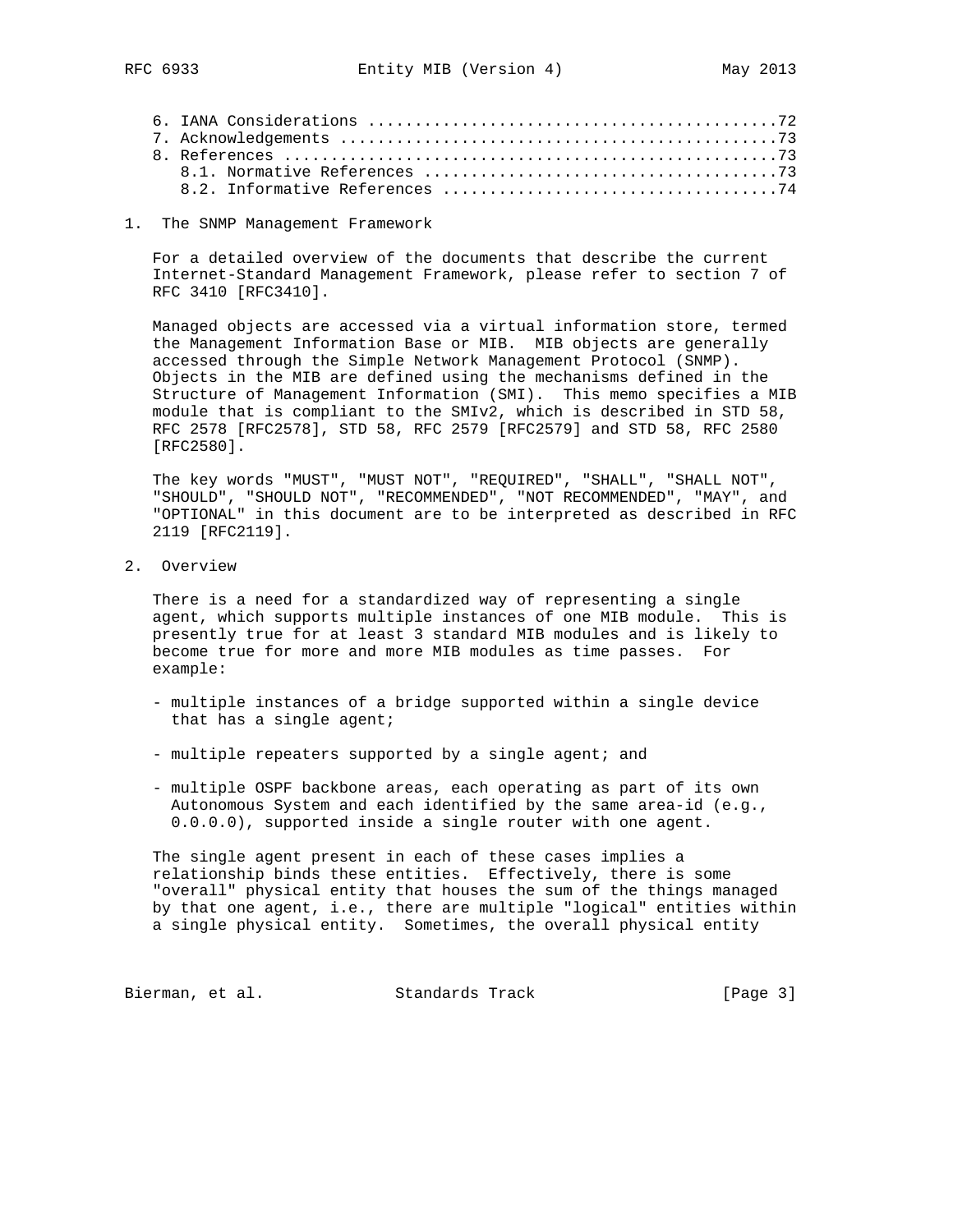1. The SNMP Management Framework

 For a detailed overview of the documents that describe the current Internet-Standard Management Framework, please refer to section 7 of RFC 3410 [RFC3410].

 Managed objects are accessed via a virtual information store, termed the Management Information Base or MIB. MIB objects are generally accessed through the Simple Network Management Protocol (SNMP). Objects in the MIB are defined using the mechanisms defined in the Structure of Management Information (SMI). This memo specifies a MIB module that is compliant to the SMIv2, which is described in STD 58, RFC 2578 [RFC2578], STD 58, RFC 2579 [RFC2579] and STD 58, RFC 2580 [RFC2580].

 The key words "MUST", "MUST NOT", "REQUIRED", "SHALL", "SHALL NOT", "SHOULD", "SHOULD NOT", "RECOMMENDED", "NOT RECOMMENDED", "MAY", and "OPTIONAL" in this document are to be interpreted as described in RFC 2119 [RFC2119].

2. Overview

 There is a need for a standardized way of representing a single agent, which supports multiple instances of one MIB module. This is presently true for at least 3 standard MIB modules and is likely to become true for more and more MIB modules as time passes. For example:

- multiple instances of a bridge supported within a single device that has a single agent;
- multiple repeaters supported by a single agent; and
- multiple OSPF backbone areas, each operating as part of its own Autonomous System and each identified by the same area-id (e.g., 0.0.0.0), supported inside a single router with one agent.

 The single agent present in each of these cases implies a relationship binds these entities. Effectively, there is some "overall" physical entity that houses the sum of the things managed by that one agent, i.e., there are multiple "logical" entities within a single physical entity. Sometimes, the overall physical entity

Bierman, et al. Standards Track [Page 3]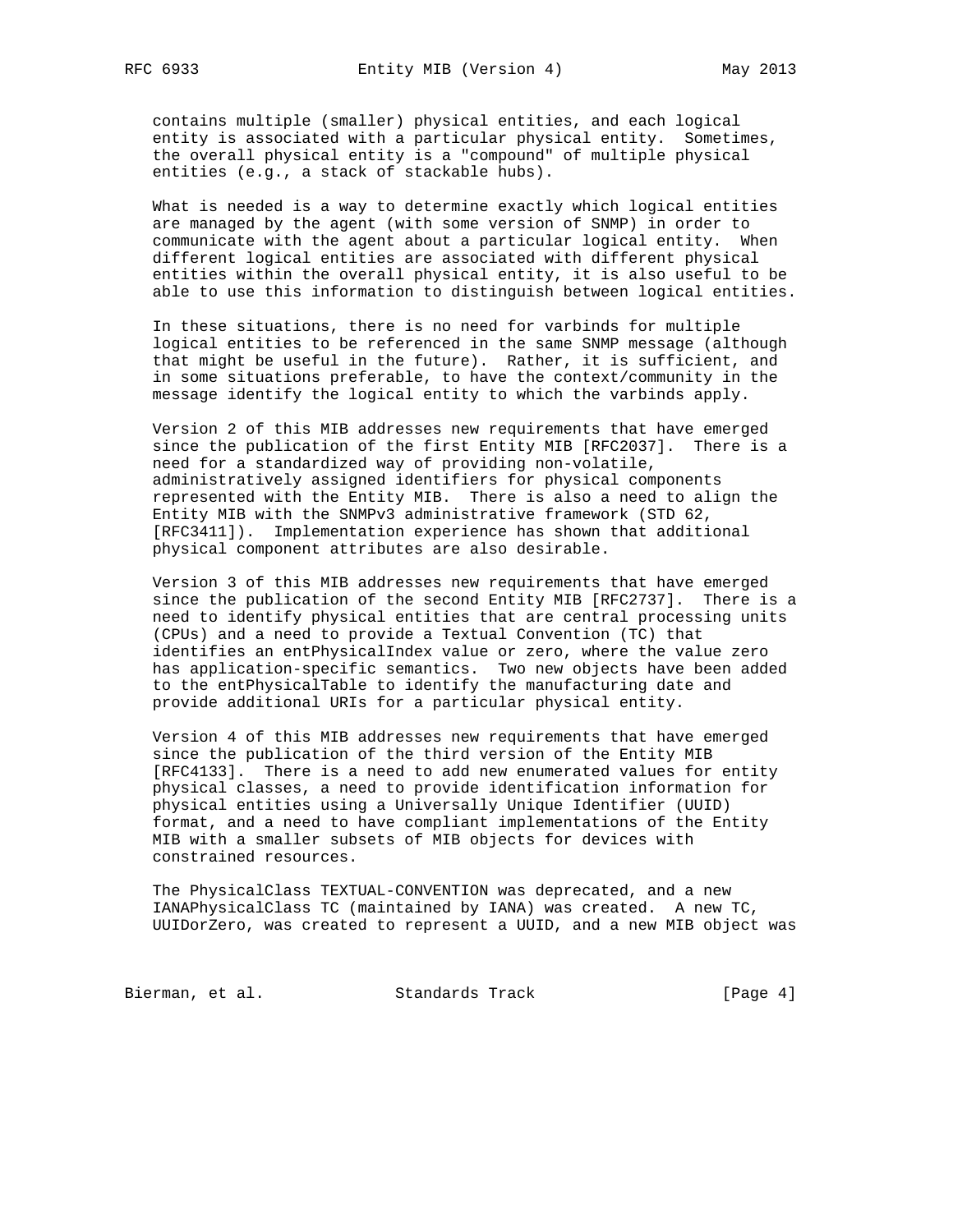contains multiple (smaller) physical entities, and each logical entity is associated with a particular physical entity. Sometimes, the overall physical entity is a "compound" of multiple physical entities (e.g., a stack of stackable hubs).

 What is needed is a way to determine exactly which logical entities are managed by the agent (with some version of SNMP) in order to communicate with the agent about a particular logical entity. When different logical entities are associated with different physical entities within the overall physical entity, it is also useful to be able to use this information to distinguish between logical entities.

 In these situations, there is no need for varbinds for multiple logical entities to be referenced in the same SNMP message (although that might be useful in the future). Rather, it is sufficient, and in some situations preferable, to have the context/community in the message identify the logical entity to which the varbinds apply.

 Version 2 of this MIB addresses new requirements that have emerged since the publication of the first Entity MIB [RFC2037]. There is a need for a standardized way of providing non-volatile, administratively assigned identifiers for physical components represented with the Entity MIB. There is also a need to align the Entity MIB with the SNMPv3 administrative framework (STD 62, [RFC3411]). Implementation experience has shown that additional physical component attributes are also desirable.

 Version 3 of this MIB addresses new requirements that have emerged since the publication of the second Entity MIB [RFC2737]. There is a need to identify physical entities that are central processing units (CPUs) and a need to provide a Textual Convention (TC) that identifies an entPhysicalIndex value or zero, where the value zero has application-specific semantics. Two new objects have been added to the entPhysicalTable to identify the manufacturing date and provide additional URIs for a particular physical entity.

 Version 4 of this MIB addresses new requirements that have emerged since the publication of the third version of the Entity MIB [RFC4133]. There is a need to add new enumerated values for entity physical classes, a need to provide identification information for physical entities using a Universally Unique Identifier (UUID) format, and a need to have compliant implementations of the Entity MIB with a smaller subsets of MIB objects for devices with constrained resources.

 The PhysicalClass TEXTUAL-CONVENTION was deprecated, and a new IANAPhysicalClass TC (maintained by IANA) was created. A new TC, UUIDorZero, was created to represent a UUID, and a new MIB object was

Bierman, et al. Standards Track [Page 4]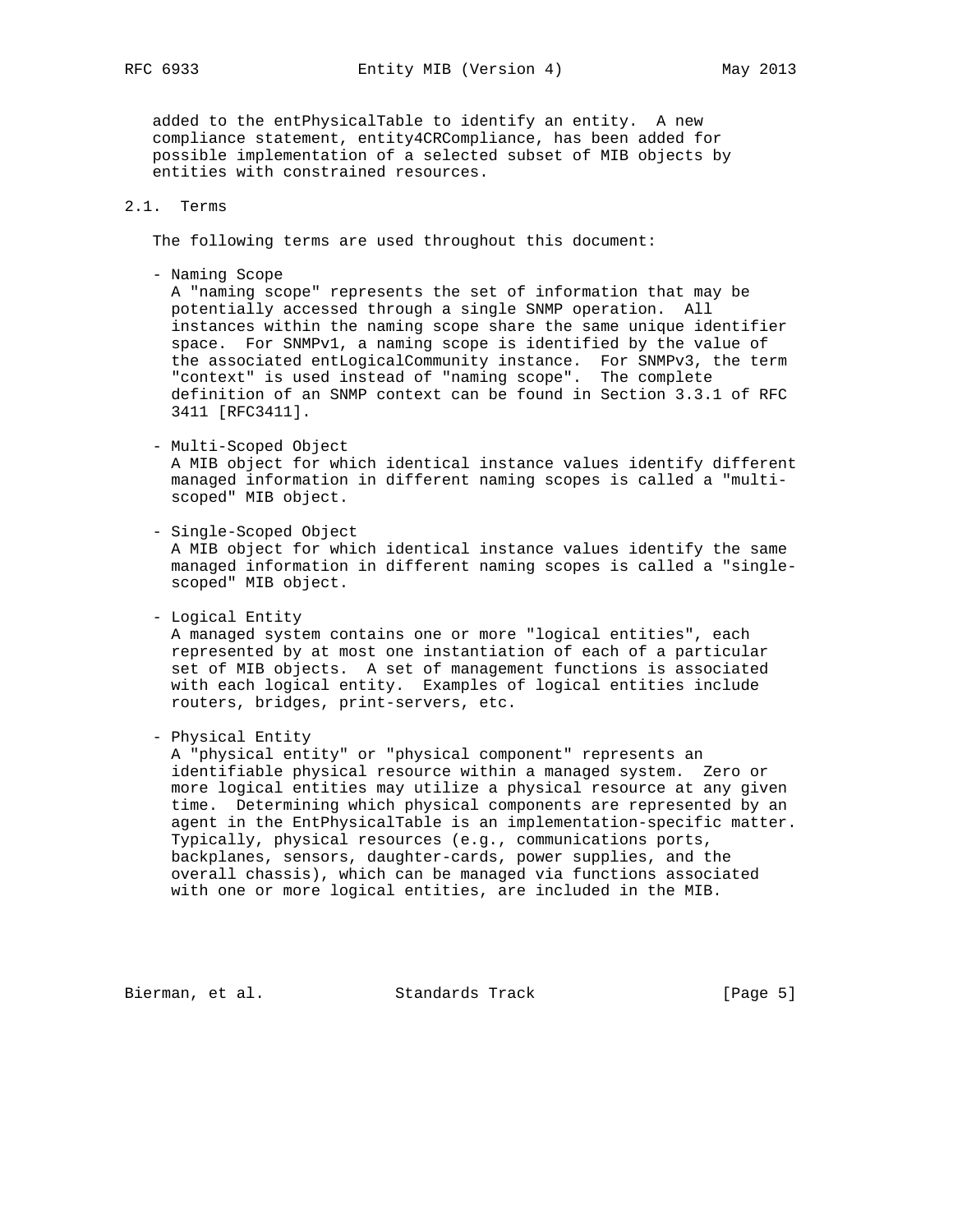RFC 6933 Entity MIB (Version 4) May 2013

 added to the entPhysicalTable to identify an entity. A new compliance statement, entity4CRCompliance, has been added for possible implementation of a selected subset of MIB objects by entities with constrained resources.

# 2.1. Terms

The following terms are used throughout this document:

- Naming Scope

 A "naming scope" represents the set of information that may be potentially accessed through a single SNMP operation. All instances within the naming scope share the same unique identifier space. For SNMPv1, a naming scope is identified by the value of the associated entLogicalCommunity instance. For SNMPv3, the term "context" is used instead of "naming scope". The complete definition of an SNMP context can be found in Section 3.3.1 of RFC 3411 [RFC3411].

- Multi-Scoped Object

 A MIB object for which identical instance values identify different managed information in different naming scopes is called a "multi scoped" MIB object.

- Single-Scoped Object

 A MIB object for which identical instance values identify the same managed information in different naming scopes is called a "single scoped" MIB object.

 - Logical Entity A managed system contains one or more "logical entities", each represented by at most one instantiation of each of a particular set of MIB objects. A set of management functions is associated with each logical entity. Examples of logical entities include routers, bridges, print-servers, etc.

- Physical Entity

 A "physical entity" or "physical component" represents an identifiable physical resource within a managed system. Zero or more logical entities may utilize a physical resource at any given time. Determining which physical components are represented by an agent in the EntPhysicalTable is an implementation-specific matter. Typically, physical resources (e.g., communications ports, backplanes, sensors, daughter-cards, power supplies, and the overall chassis), which can be managed via functions associated with one or more logical entities, are included in the MIB.

Bierman, et al. Standards Track [Page 5]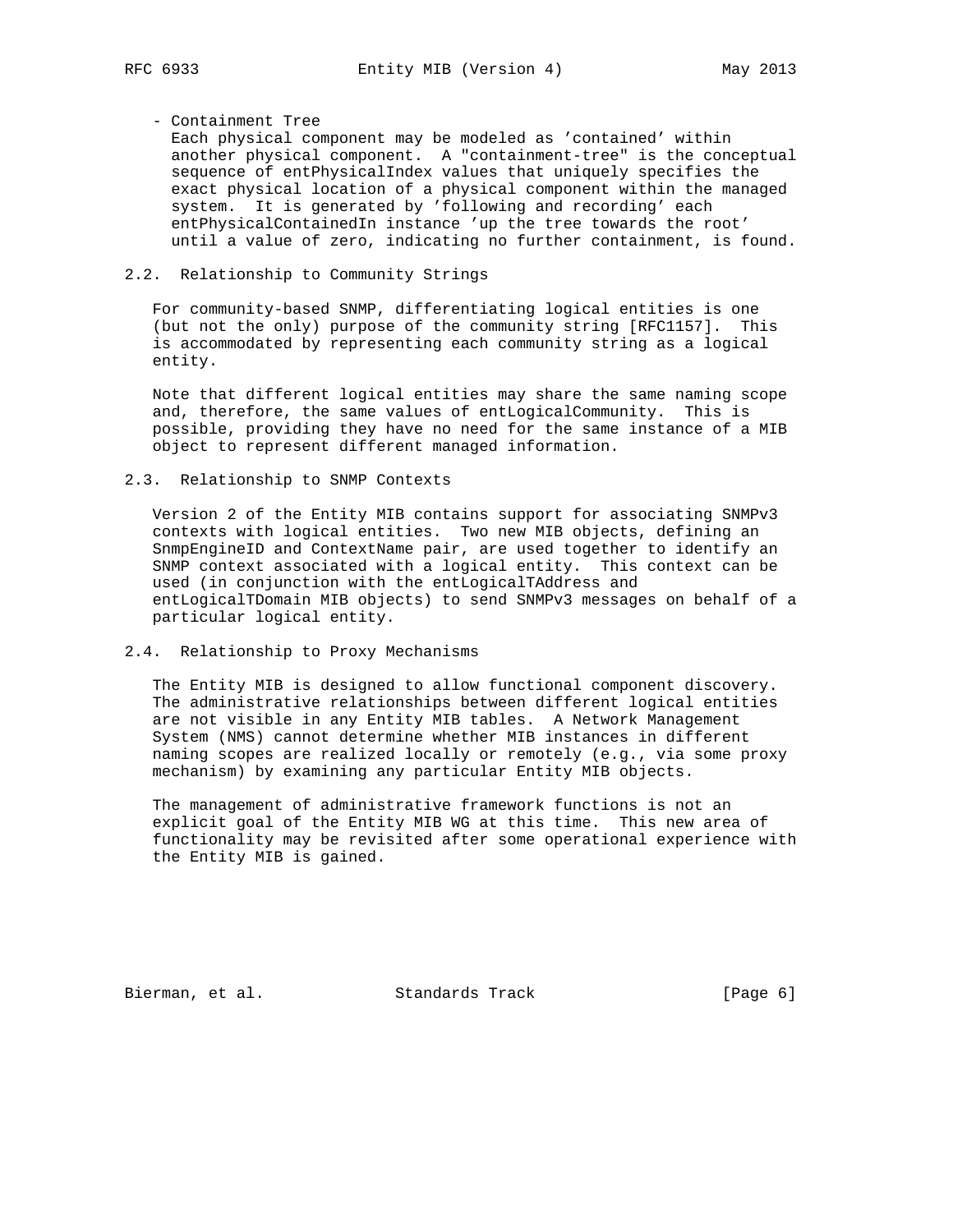- Containment Tree

 Each physical component may be modeled as 'contained' within another physical component. A "containment-tree" is the conceptual sequence of entPhysicalIndex values that uniquely specifies the exact physical location of a physical component within the managed system. It is generated by 'following and recording' each entPhysicalContainedIn instance 'up the tree towards the root' until a value of zero, indicating no further containment, is found.

### 2.2. Relationship to Community Strings

 For community-based SNMP, differentiating logical entities is one (but not the only) purpose of the community string [RFC1157]. This is accommodated by representing each community string as a logical entity.

 Note that different logical entities may share the same naming scope and, therefore, the same values of entLogicalCommunity. This is possible, providing they have no need for the same instance of a MIB object to represent different managed information.

2.3. Relationship to SNMP Contexts

 Version 2 of the Entity MIB contains support for associating SNMPv3 contexts with logical entities. Two new MIB objects, defining an SnmpEngineID and ContextName pair, are used together to identify an SNMP context associated with a logical entity. This context can be used (in conjunction with the entLogicalTAddress and entLogicalTDomain MIB objects) to send SNMPv3 messages on behalf of a particular logical entity.

2.4. Relationship to Proxy Mechanisms

 The Entity MIB is designed to allow functional component discovery. The administrative relationships between different logical entities are not visible in any Entity MIB tables. A Network Management System (NMS) cannot determine whether MIB instances in different naming scopes are realized locally or remotely (e.g., via some proxy mechanism) by examining any particular Entity MIB objects.

 The management of administrative framework functions is not an explicit goal of the Entity MIB WG at this time. This new area of functionality may be revisited after some operational experience with the Entity MIB is gained.

Bierman, et al. Standards Track [Page 6]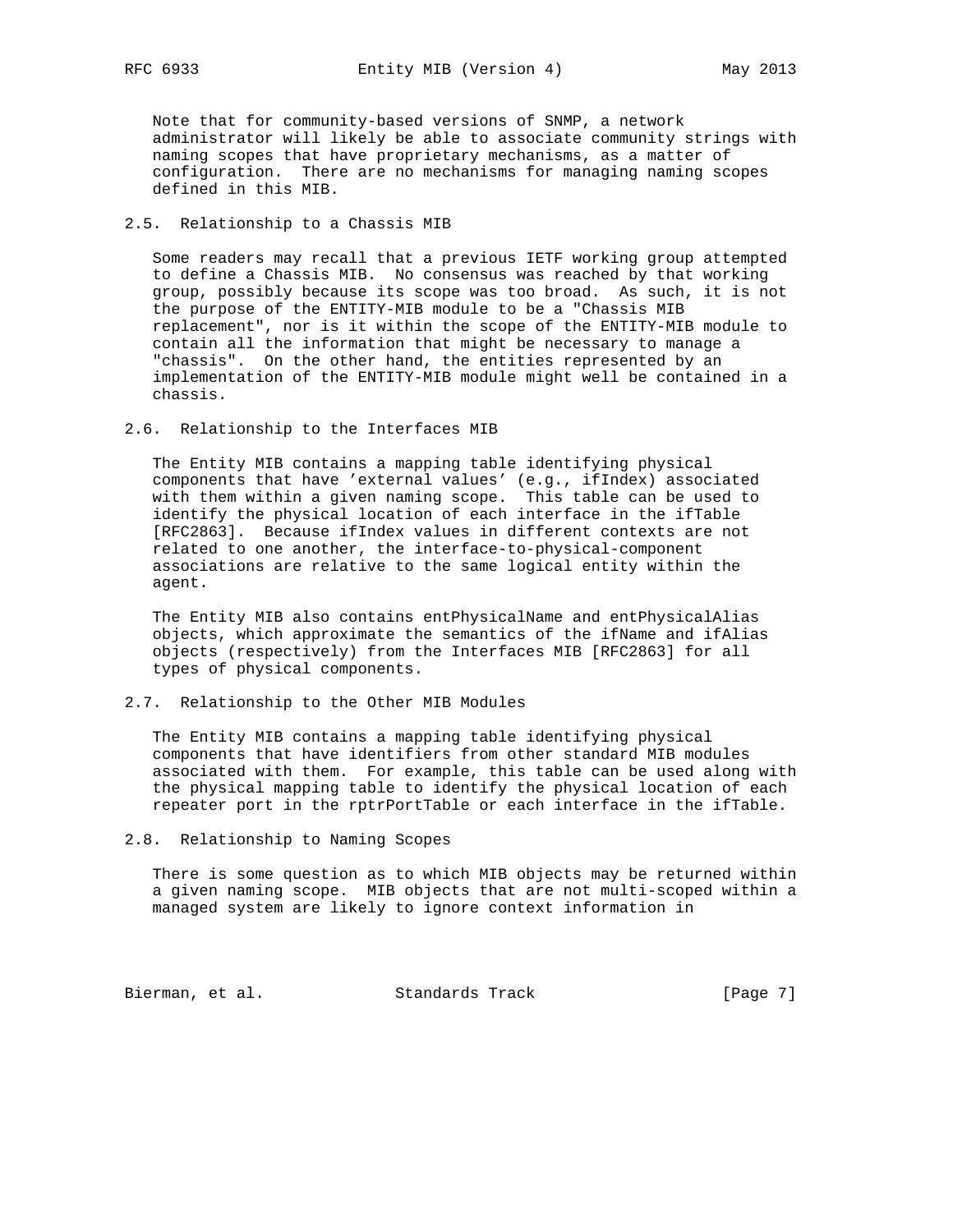Note that for community-based versions of SNMP, a network administrator will likely be able to associate community strings with naming scopes that have proprietary mechanisms, as a matter of configuration. There are no mechanisms for managing naming scopes defined in this MIB.

### 2.5. Relationship to a Chassis MIB

 Some readers may recall that a previous IETF working group attempted to define a Chassis MIB. No consensus was reached by that working group, possibly because its scope was too broad. As such, it is not the purpose of the ENTITY-MIB module to be a "Chassis MIB replacement", nor is it within the scope of the ENTITY-MIB module to contain all the information that might be necessary to manage a "chassis". On the other hand, the entities represented by an implementation of the ENTITY-MIB module might well be contained in a chassis.

### 2.6. Relationship to the Interfaces MIB

 The Entity MIB contains a mapping table identifying physical components that have 'external values' (e.g., ifIndex) associated with them within a given naming scope. This table can be used to identify the physical location of each interface in the ifTable [RFC2863]. Because ifIndex values in different contexts are not related to one another, the interface-to-physical-component associations are relative to the same logical entity within the agent.

 The Entity MIB also contains entPhysicalName and entPhysicalAlias objects, which approximate the semantics of the ifName and ifAlias objects (respectively) from the Interfaces MIB [RFC2863] for all types of physical components.

## 2.7. Relationship to the Other MIB Modules

 The Entity MIB contains a mapping table identifying physical components that have identifiers from other standard MIB modules associated with them. For example, this table can be used along with the physical mapping table to identify the physical location of each repeater port in the rptrPortTable or each interface in the ifTable.

#### 2.8. Relationship to Naming Scopes

 There is some question as to which MIB objects may be returned within a given naming scope. MIB objects that are not multi-scoped within a managed system are likely to ignore context information in

Bierman, et al. Standards Track [Page 7]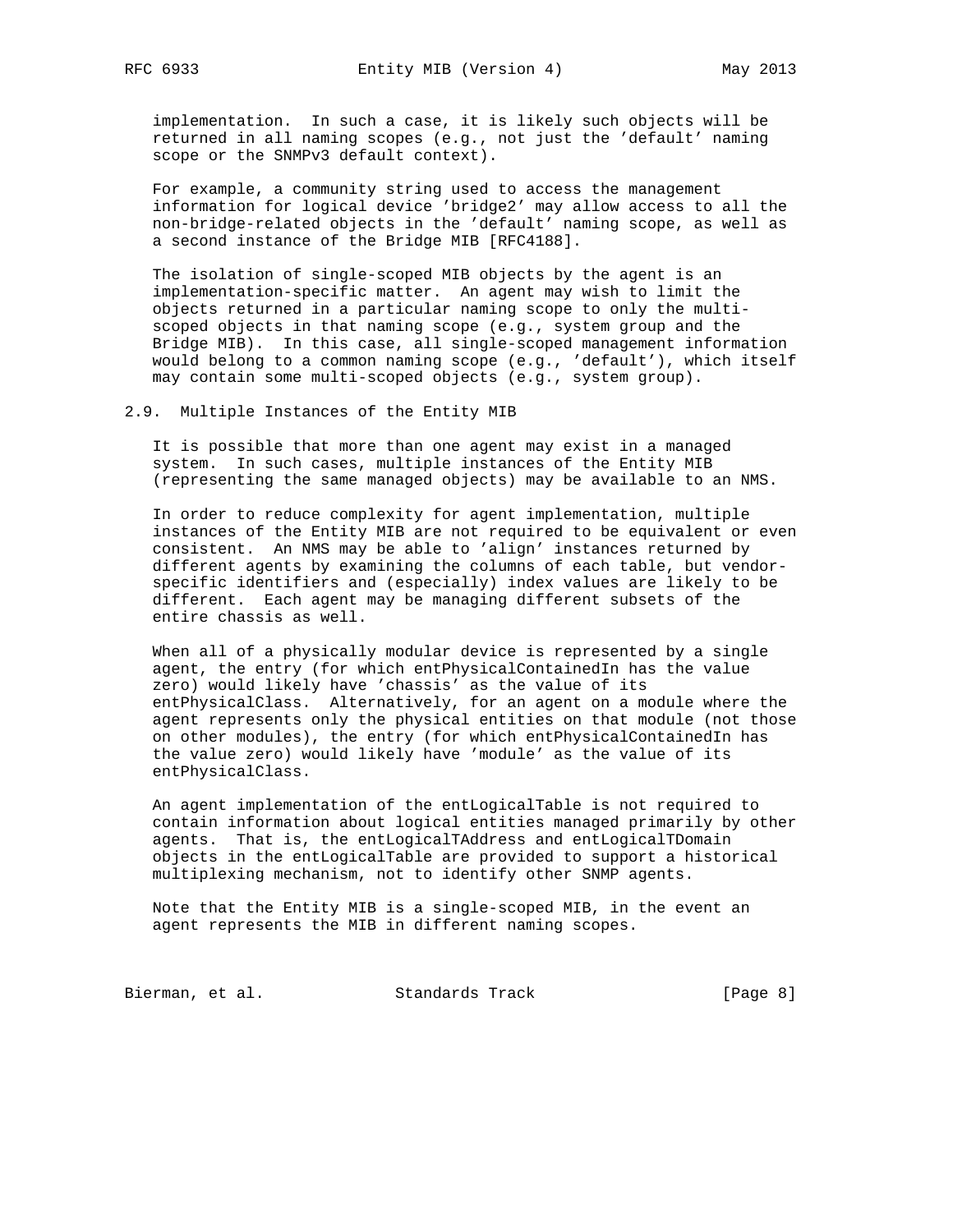implementation. In such a case, it is likely such objects will be returned in all naming scopes (e.g., not just the 'default' naming scope or the SNMPv3 default context).

 For example, a community string used to access the management information for logical device 'bridge2' may allow access to all the non-bridge-related objects in the 'default' naming scope, as well as a second instance of the Bridge MIB [RFC4188].

 The isolation of single-scoped MIB objects by the agent is an implementation-specific matter. An agent may wish to limit the objects returned in a particular naming scope to only the multi scoped objects in that naming scope (e.g., system group and the Bridge MIB). In this case, all single-scoped management information would belong to a common naming scope (e.g., 'default'), which itself may contain some multi-scoped objects (e.g., system group).

2.9. Multiple Instances of the Entity MIB

 It is possible that more than one agent may exist in a managed system. In such cases, multiple instances of the Entity MIB (representing the same managed objects) may be available to an NMS.

 In order to reduce complexity for agent implementation, multiple instances of the Entity MIB are not required to be equivalent or even consistent. An NMS may be able to 'align' instances returned by different agents by examining the columns of each table, but vendor specific identifiers and (especially) index values are likely to be different. Each agent may be managing different subsets of the entire chassis as well.

 When all of a physically modular device is represented by a single agent, the entry (for which entPhysicalContainedIn has the value zero) would likely have 'chassis' as the value of its entPhysicalClass. Alternatively, for an agent on a module where the agent represents only the physical entities on that module (not those on other modules), the entry (for which entPhysicalContainedIn has the value zero) would likely have 'module' as the value of its entPhysicalClass.

 An agent implementation of the entLogicalTable is not required to contain information about logical entities managed primarily by other agents. That is, the entLogicalTAddress and entLogicalTDomain objects in the entLogicalTable are provided to support a historical multiplexing mechanism, not to identify other SNMP agents.

 Note that the Entity MIB is a single-scoped MIB, in the event an agent represents the MIB in different naming scopes.

Bierman, et al. Standards Track [Page 8]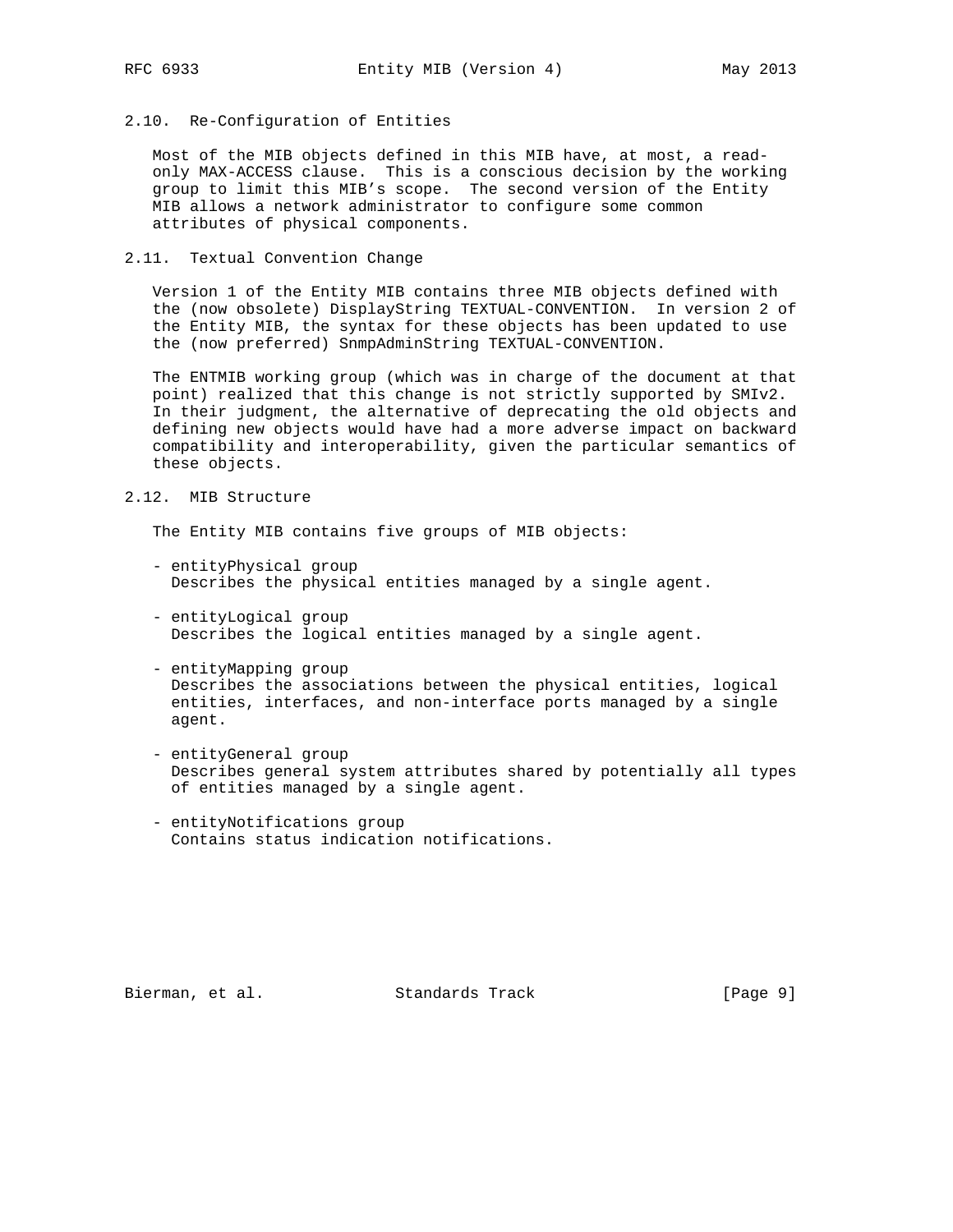## 2.10. Re-Configuration of Entities

 Most of the MIB objects defined in this MIB have, at most, a read only MAX-ACCESS clause. This is a conscious decision by the working group to limit this MIB's scope. The second version of the Entity MIB allows a network administrator to configure some common attributes of physical components.

#### 2.11. Textual Convention Change

 Version 1 of the Entity MIB contains three MIB objects defined with the (now obsolete) DisplayString TEXTUAL-CONVENTION. In version 2 of the Entity MIB, the syntax for these objects has been updated to use the (now preferred) SnmpAdminString TEXTUAL-CONVENTION.

 The ENTMIB working group (which was in charge of the document at that point) realized that this change is not strictly supported by SMIv2. In their judgment, the alternative of deprecating the old objects and defining new objects would have had a more adverse impact on backward compatibility and interoperability, given the particular semantics of these objects.

#### 2.12. MIB Structure

The Entity MIB contains five groups of MIB objects:

- entityPhysical group Describes the physical entities managed by a single agent.
- entityLogical group Describes the logical entities managed by a single agent.
- entityMapping group Describes the associations between the physical entities, logical entities, interfaces, and non-interface ports managed by a single agent.
- entityGeneral group Describes general system attributes shared by potentially all types of entities managed by a single agent.
- entityNotifications group Contains status indication notifications.

Bierman, et al. Standards Track [Page 9]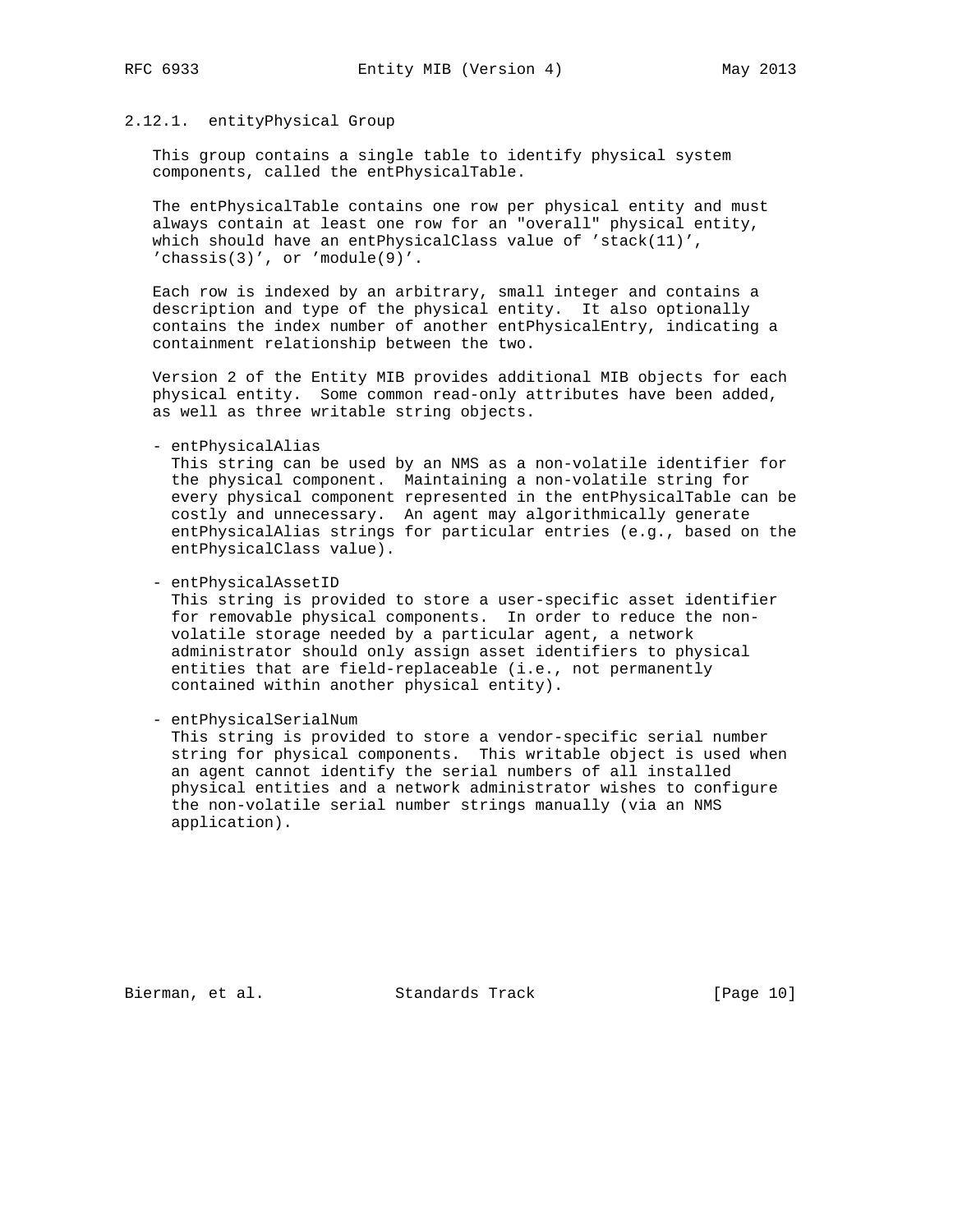#### 2.12.1. entityPhysical Group

 This group contains a single table to identify physical system components, called the entPhysicalTable.

 The entPhysicalTable contains one row per physical entity and must always contain at least one row for an "overall" physical entity, which should have an entPhysicalClass value of 'stack(11)', 'chassis(3)', or 'module(9)'.

 Each row is indexed by an arbitrary, small integer and contains a description and type of the physical entity. It also optionally contains the index number of another entPhysicalEntry, indicating a containment relationship between the two.

 Version 2 of the Entity MIB provides additional MIB objects for each physical entity. Some common read-only attributes have been added, as well as three writable string objects.

- entPhysicalAlias

 This string can be used by an NMS as a non-volatile identifier for the physical component. Maintaining a non-volatile string for every physical component represented in the entPhysicalTable can be costly and unnecessary. An agent may algorithmically generate entPhysicalAlias strings for particular entries (e.g., based on the entPhysicalClass value).

- entPhysicalAssetID

 This string is provided to store a user-specific asset identifier for removable physical components. In order to reduce the non volatile storage needed by a particular agent, a network administrator should only assign asset identifiers to physical entities that are field-replaceable (i.e., not permanently contained within another physical entity).

- entPhysicalSerialNum

 This string is provided to store a vendor-specific serial number string for physical components. This writable object is used when an agent cannot identify the serial numbers of all installed physical entities and a network administrator wishes to configure the non-volatile serial number strings manually (via an NMS application).

Bierman, et al. Standards Track [Page 10]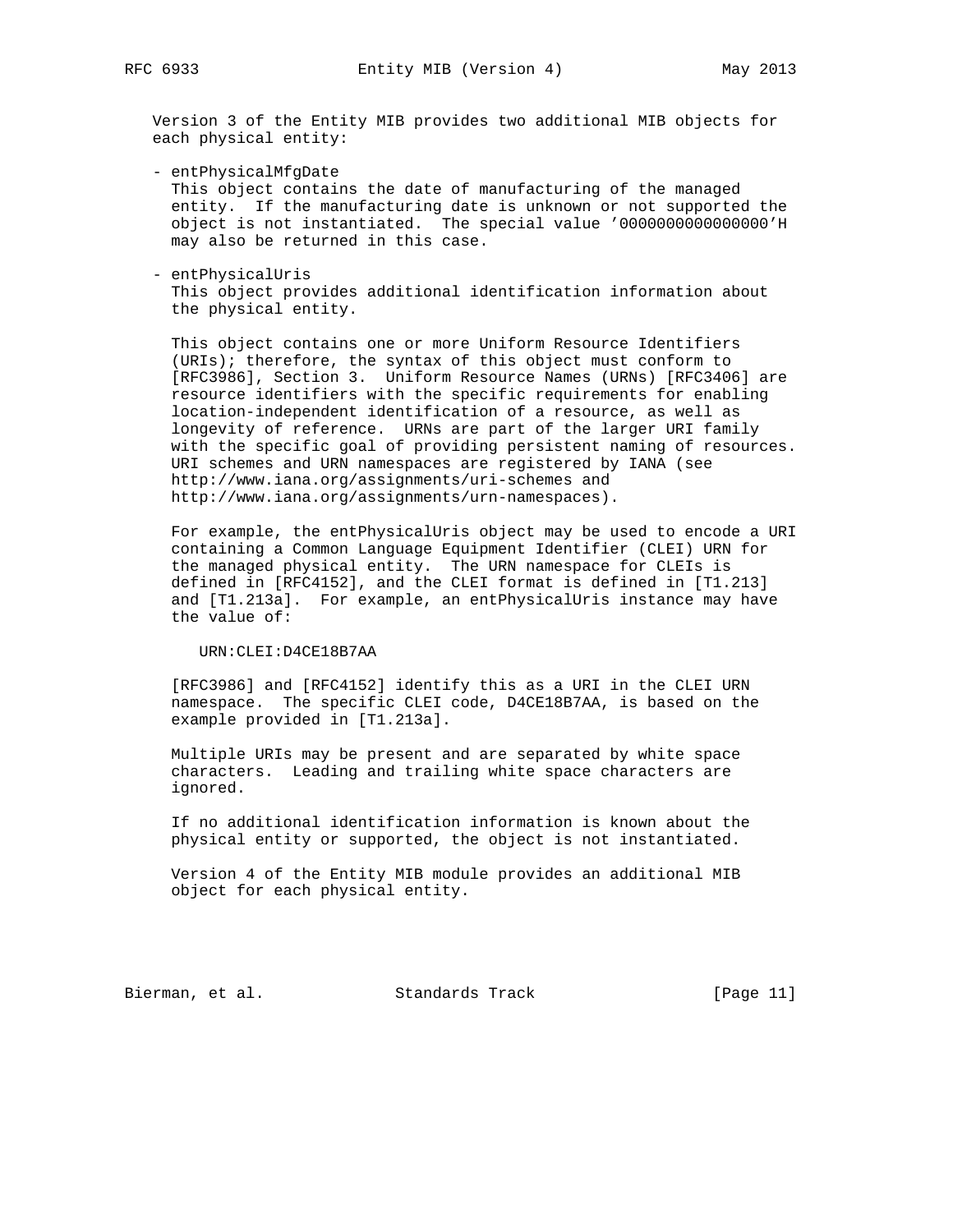Version 3 of the Entity MIB provides two additional MIB objects for each physical entity:

 - entPhysicalMfgDate This object contains the date of manufacturing of the managed entity. If the manufacturing date is unknown or not supported the

 object is not instantiated. The special value '0000000000000000'H may also be returned in this case.

- entPhysicalUris

 This object provides additional identification information about the physical entity.

 This object contains one or more Uniform Resource Identifiers (URIs); therefore, the syntax of this object must conform to [RFC3986], Section 3. Uniform Resource Names (URNs) [RFC3406] are resource identifiers with the specific requirements for enabling location-independent identification of a resource, as well as longevity of reference. URNs are part of the larger URI family with the specific goal of providing persistent naming of resources. URI schemes and URN namespaces are registered by IANA (see http://www.iana.org/assignments/uri-schemes and http://www.iana.org/assignments/urn-namespaces).

 For example, the entPhysicalUris object may be used to encode a URI containing a Common Language Equipment Identifier (CLEI) URN for the managed physical entity. The URN namespace for CLEIs is defined in [RFC4152], and the CLEI format is defined in [T1.213] and [T1.213a]. For example, an entPhysicalUris instance may have the value of:

URN:CLEI:D4CE18B7AA

 [RFC3986] and [RFC4152] identify this as a URI in the CLEI URN namespace. The specific CLEI code, D4CE18B7AA, is based on the example provided in [T1.213a].

 Multiple URIs may be present and are separated by white space characters. Leading and trailing white space characters are ignored.

 If no additional identification information is known about the physical entity or supported, the object is not instantiated.

 Version 4 of the Entity MIB module provides an additional MIB object for each physical entity.

Bierman, et al. Standards Track [Page 11]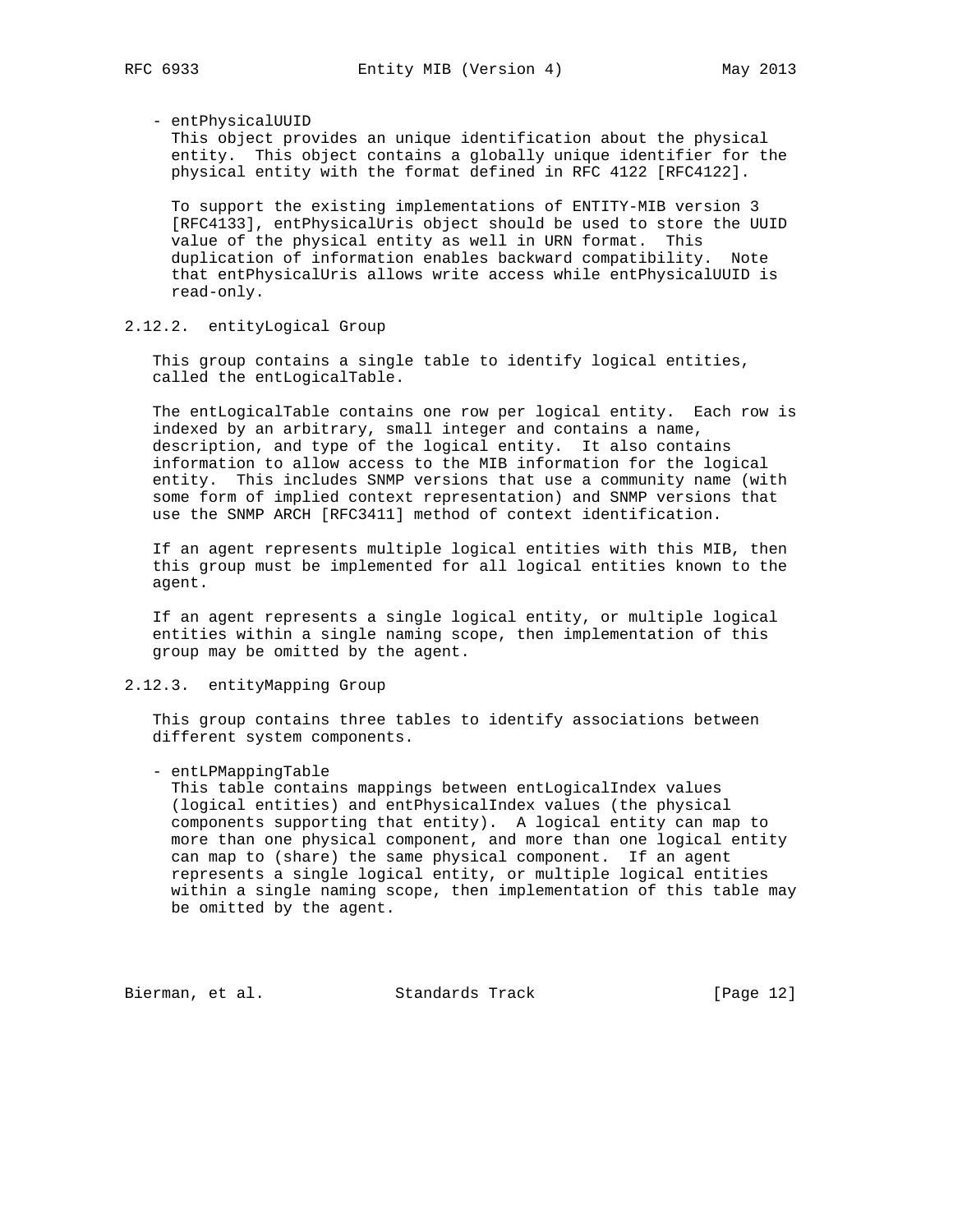- entPhysicalUUID

 This object provides an unique identification about the physical entity. This object contains a globally unique identifier for the physical entity with the format defined in RFC 4122 [RFC4122].

 To support the existing implementations of ENTITY-MIB version 3 [RFC4133], entPhysicalUris object should be used to store the UUID value of the physical entity as well in URN format. This duplication of information enables backward compatibility. Note that entPhysicalUris allows write access while entPhysicalUUID is read-only.

#### 2.12.2. entityLogical Group

 This group contains a single table to identify logical entities, called the entLogicalTable.

 The entLogicalTable contains one row per logical entity. Each row is indexed by an arbitrary, small integer and contains a name, description, and type of the logical entity. It also contains information to allow access to the MIB information for the logical entity. This includes SNMP versions that use a community name (with some form of implied context representation) and SNMP versions that use the SNMP ARCH [RFC3411] method of context identification.

 If an agent represents multiple logical entities with this MIB, then this group must be implemented for all logical entities known to the agent.

 If an agent represents a single logical entity, or multiple logical entities within a single naming scope, then implementation of this group may be omitted by the agent.

## 2.12.3. entityMapping Group

 This group contains three tables to identify associations between different system components.

- entLPMappingTable

 This table contains mappings between entLogicalIndex values (logical entities) and entPhysicalIndex values (the physical components supporting that entity). A logical entity can map to more than one physical component, and more than one logical entity can map to (share) the same physical component. If an agent represents a single logical entity, or multiple logical entities within a single naming scope, then implementation of this table may be omitted by the agent.

Bierman, et al. Standards Track [Page 12]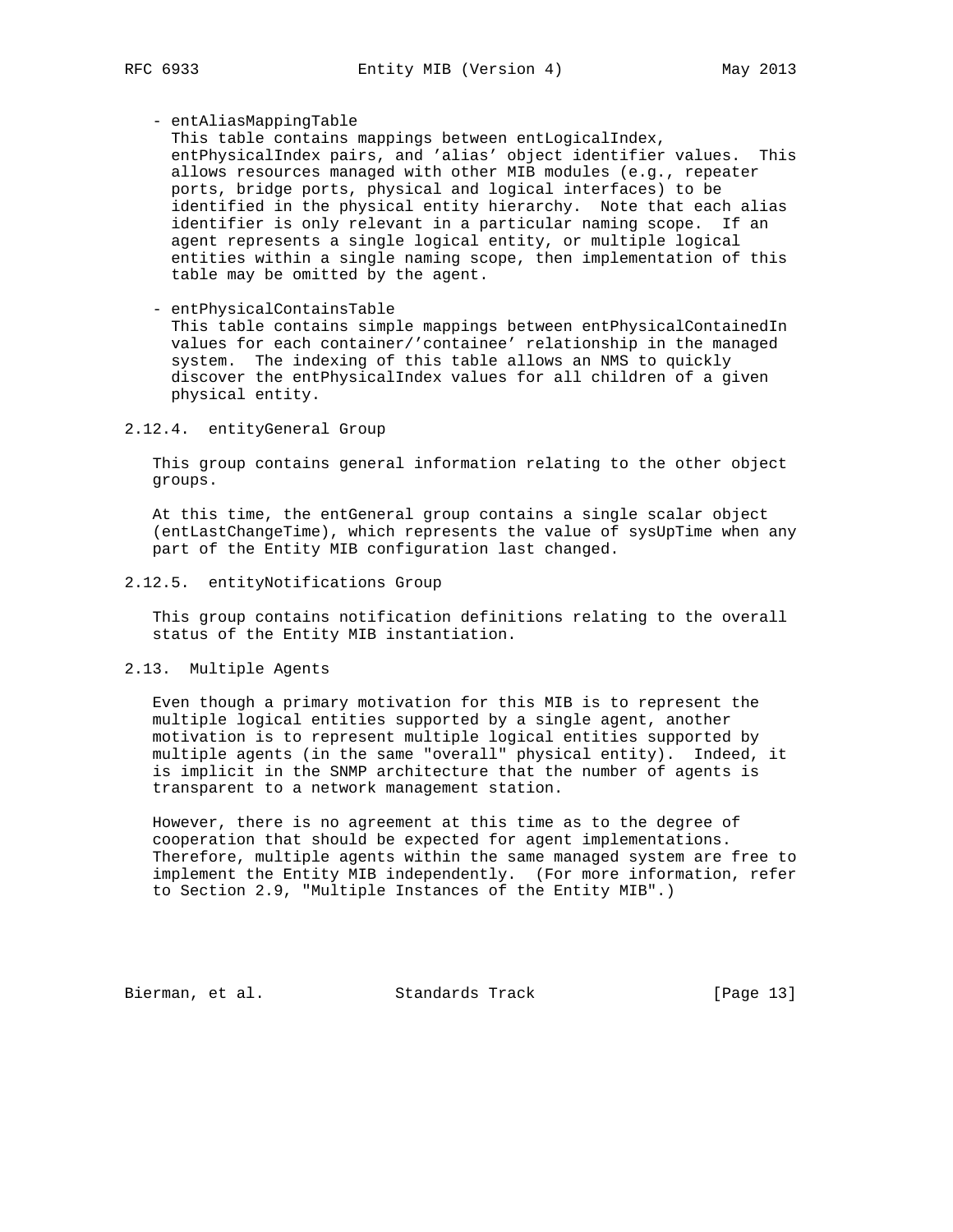## - entAliasMappingTable

 This table contains mappings between entLogicalIndex, entPhysicalIndex pairs, and 'alias' object identifier values. This allows resources managed with other MIB modules (e.g., repeater ports, bridge ports, physical and logical interfaces) to be identified in the physical entity hierarchy. Note that each alias identifier is only relevant in a particular naming scope. If an agent represents a single logical entity, or multiple logical entities within a single naming scope, then implementation of this table may be omitted by the agent.

- entPhysicalContainsTable

 This table contains simple mappings between entPhysicalContainedIn values for each container/'containee' relationship in the managed system. The indexing of this table allows an NMS to quickly discover the entPhysicalIndex values for all children of a given physical entity.

#### 2.12.4. entityGeneral Group

 This group contains general information relating to the other object groups.

 At this time, the entGeneral group contains a single scalar object (entLastChangeTime), which represents the value of sysUpTime when any part of the Entity MIB configuration last changed.

### 2.12.5. entityNotifications Group

 This group contains notification definitions relating to the overall status of the Entity MIB instantiation.

## 2.13. Multiple Agents

 Even though a primary motivation for this MIB is to represent the multiple logical entities supported by a single agent, another motivation is to represent multiple logical entities supported by multiple agents (in the same "overall" physical entity). Indeed, it is implicit in the SNMP architecture that the number of agents is transparent to a network management station.

 However, there is no agreement at this time as to the degree of cooperation that should be expected for agent implementations. Therefore, multiple agents within the same managed system are free to implement the Entity MIB independently. (For more information, refer to Section 2.9, "Multiple Instances of the Entity MIB".)

Bierman, et al. Standards Track [Page 13]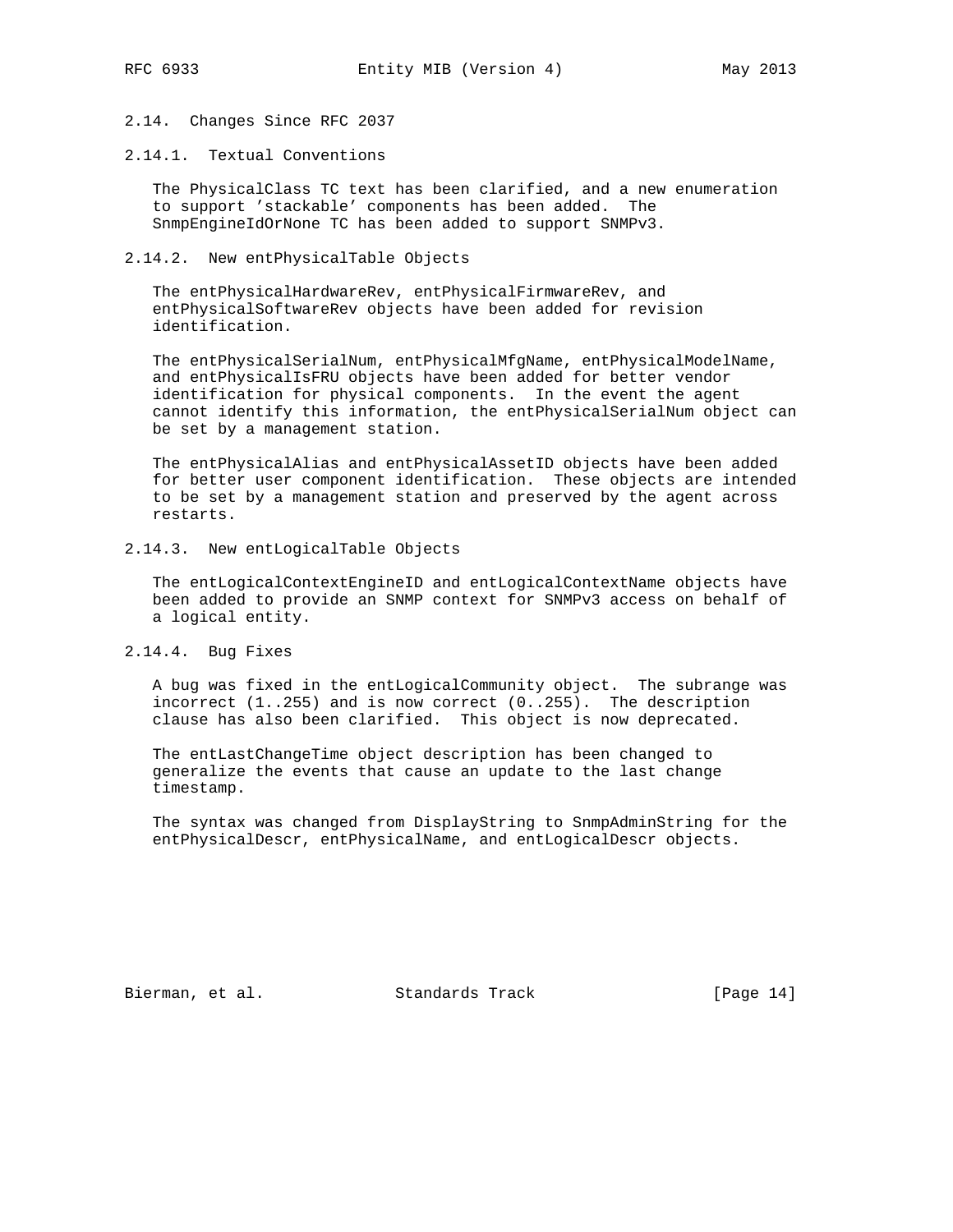## 2.14. Changes Since RFC 2037

## 2.14.1. Textual Conventions

 The PhysicalClass TC text has been clarified, and a new enumeration to support 'stackable' components has been added. The SnmpEngineIdOrNone TC has been added to support SNMPv3.

#### 2.14.2. New entPhysicalTable Objects

 The entPhysicalHardwareRev, entPhysicalFirmwareRev, and entPhysicalSoftwareRev objects have been added for revision identification.

 The entPhysicalSerialNum, entPhysicalMfgName, entPhysicalModelName, and entPhysicalIsFRU objects have been added for better vendor identification for physical components. In the event the agent cannot identify this information, the entPhysicalSerialNum object can be set by a management station.

 The entPhysicalAlias and entPhysicalAssetID objects have been added for better user component identification. These objects are intended to be set by a management station and preserved by the agent across restarts.

#### 2.14.3. New entLogicalTable Objects

 The entLogicalContextEngineID and entLogicalContextName objects have been added to provide an SNMP context for SNMPv3 access on behalf of a logical entity.

2.14.4. Bug Fixes

 A bug was fixed in the entLogicalCommunity object. The subrange was incorrect (1..255) and is now correct (0..255). The description clause has also been clarified. This object is now deprecated.

 The entLastChangeTime object description has been changed to generalize the events that cause an update to the last change timestamp.

 The syntax was changed from DisplayString to SnmpAdminString for the entPhysicalDescr, entPhysicalName, and entLogicalDescr objects.

Bierman, et al. Standards Track [Page 14]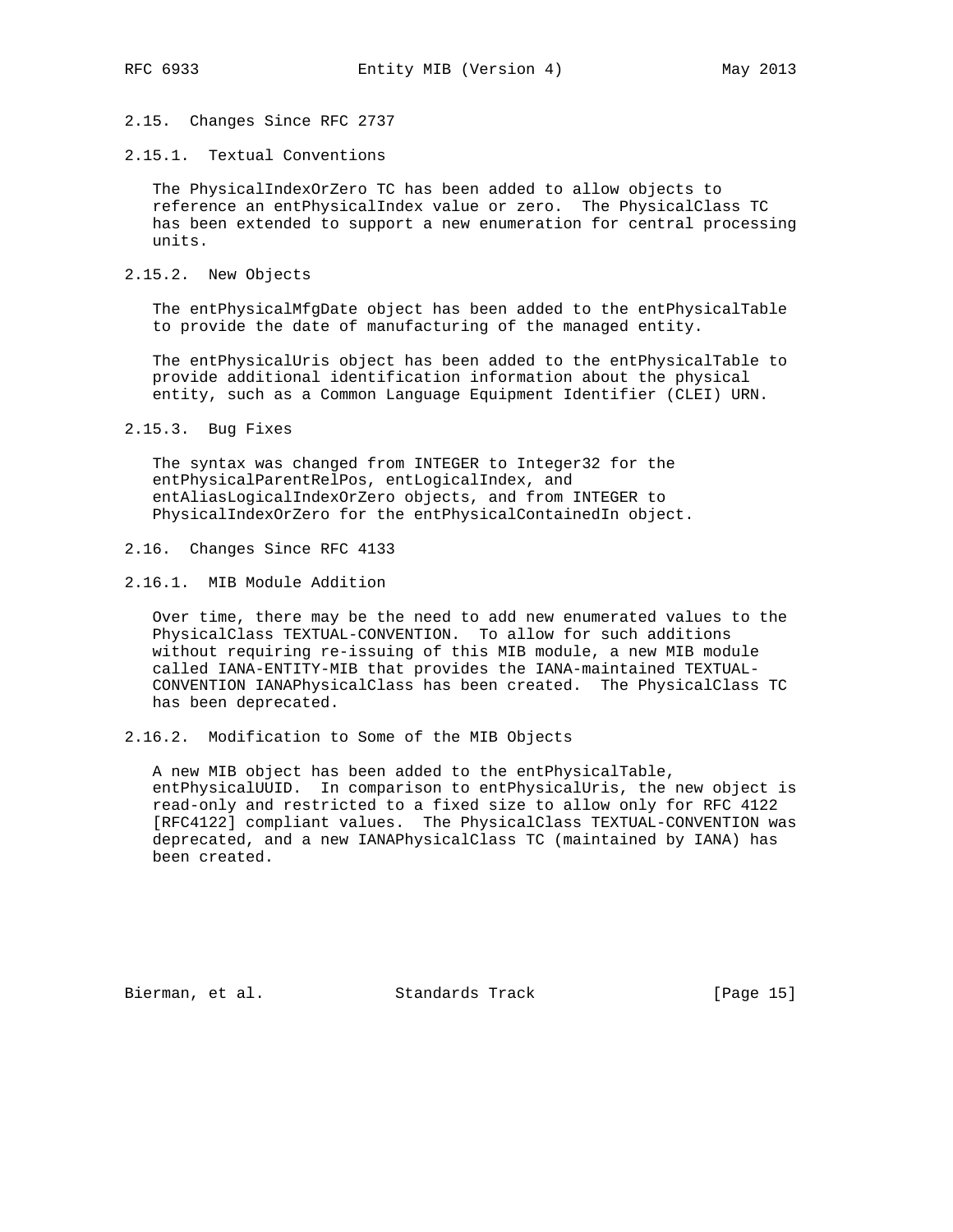2.15. Changes Since RFC 2737

2.15.1. Textual Conventions

 The PhysicalIndexOrZero TC has been added to allow objects to reference an entPhysicalIndex value or zero. The PhysicalClass TC has been extended to support a new enumeration for central processing units.

2.15.2. New Objects

 The entPhysicalMfgDate object has been added to the entPhysicalTable to provide the date of manufacturing of the managed entity.

 The entPhysicalUris object has been added to the entPhysicalTable to provide additional identification information about the physical entity, such as a Common Language Equipment Identifier (CLEI) URN.

2.15.3. Bug Fixes

 The syntax was changed from INTEGER to Integer32 for the entPhysicalParentRelPos, entLogicalIndex, and entAliasLogicalIndexOrZero objects, and from INTEGER to PhysicalIndexOrZero for the entPhysicalContainedIn object.

- 2.16. Changes Since RFC 4133
- 2.16.1. MIB Module Addition

 Over time, there may be the need to add new enumerated values to the PhysicalClass TEXTUAL-CONVENTION. To allow for such additions without requiring re-issuing of this MIB module, a new MIB module called IANA-ENTITY-MIB that provides the IANA-maintained TEXTUAL- CONVENTION IANAPhysicalClass has been created. The PhysicalClass TC has been deprecated.

2.16.2. Modification to Some of the MIB Objects

 A new MIB object has been added to the entPhysicalTable, entPhysicalUUID. In comparison to entPhysicalUris, the new object is read-only and restricted to a fixed size to allow only for RFC 4122 [RFC4122] compliant values. The PhysicalClass TEXTUAL-CONVENTION was deprecated, and a new IANAPhysicalClass TC (maintained by IANA) has been created.

Bierman, et al. Standards Track [Page 15]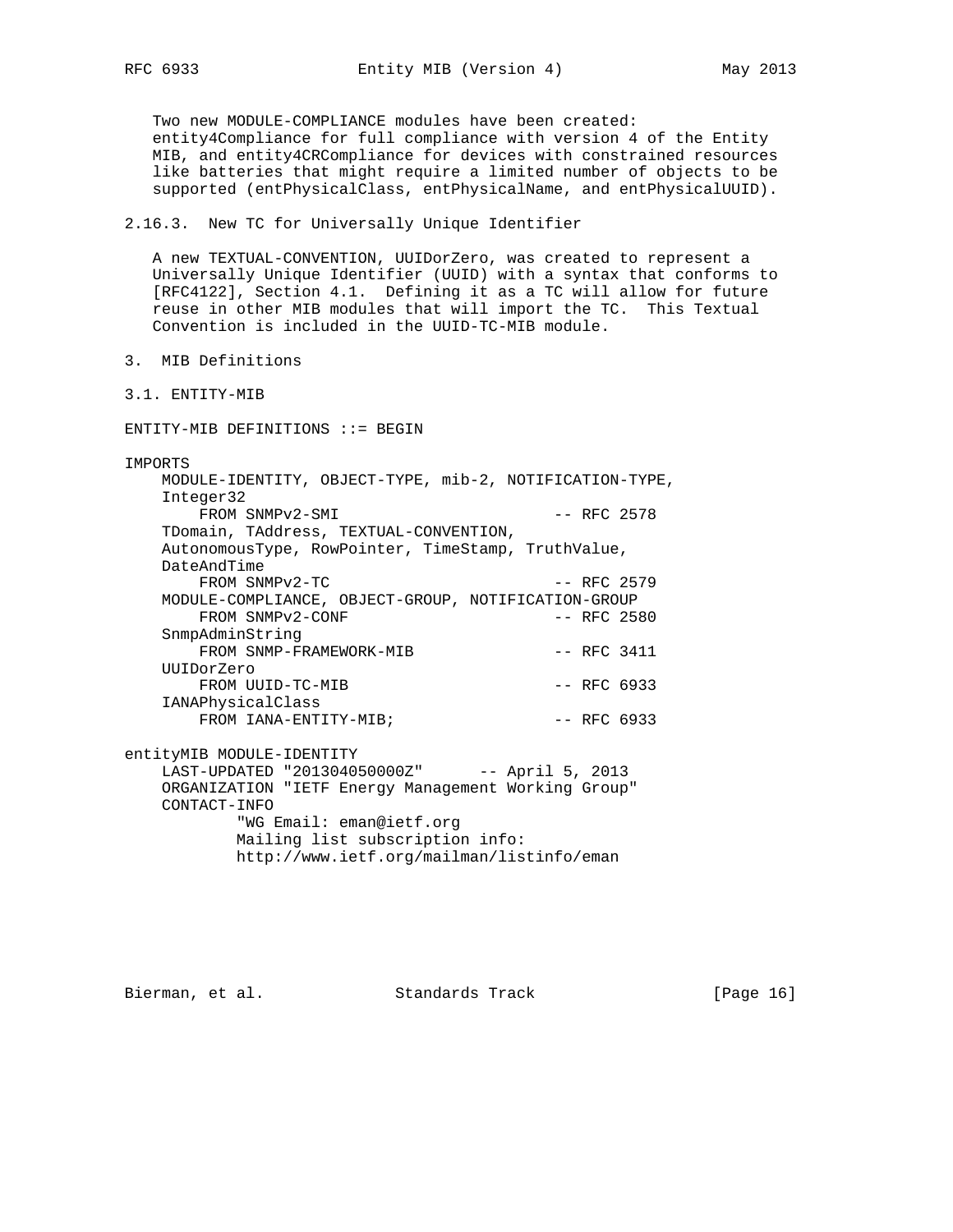Two new MODULE-COMPLIANCE modules have been created:

 entity4Compliance for full compliance with version 4 of the Entity MIB, and entity4CRCompliance for devices with constrained resources like batteries that might require a limited number of objects to be supported (entPhysicalClass, entPhysicalName, and entPhysicalUUID).

## 2.16.3. New TC for Universally Unique Identifier

 A new TEXTUAL-CONVENTION, UUIDorZero, was created to represent a Universally Unique Identifier (UUID) with a syntax that conforms to [RFC4122], Section 4.1. Defining it as a TC will allow for future reuse in other MIB modules that will import the TC. This Textual Convention is included in the UUID-TC-MIB module.

- 3. MIB Definitions
- 3.1. ENTITY-MIB

ENTITY-MIB DEFINITIONS ::= BEGIN

IMPORTS

 MODULE-IDENTITY, OBJECT-TYPE, mib-2, NOTIFICATION-TYPE, Integer32 FROM SNMPv2-SMI -- RFC 2578 TDomain, TAddress, TEXTUAL-CONVENTION, AutonomousType, RowPointer, TimeStamp, TruthValue, DateAndTime FROM SNMPv2-TC -- RFC 2579 MODULE-COMPLIANCE, OBJECT-GROUP, NOTIFICATION-GROUP<br>FROM SNMPv2-CONF -- RFC 2580 FROM SNMPv2-CONF SnmpAdminString FROM SNMP-FRAMEWORK-MIB -- RFC 3411 UUIDorZero FROM UUID-TC-MIB -- RFC 6933 IANAPhysicalClass FROM IANA-ENTITY-MIB;  $--$  RFC 6933 entityMIB MODULE-IDENTITY LAST-UPDATED "201304050000Z" -- April 5, 2013 ORGANIZATION "IETF Energy Management Working Group" CONTACT-INFO "WG Email: eman@ietf.org Mailing list subscription info: http://www.ietf.org/mailman/listinfo/eman

Bierman, et al. Standards Track [Page 16]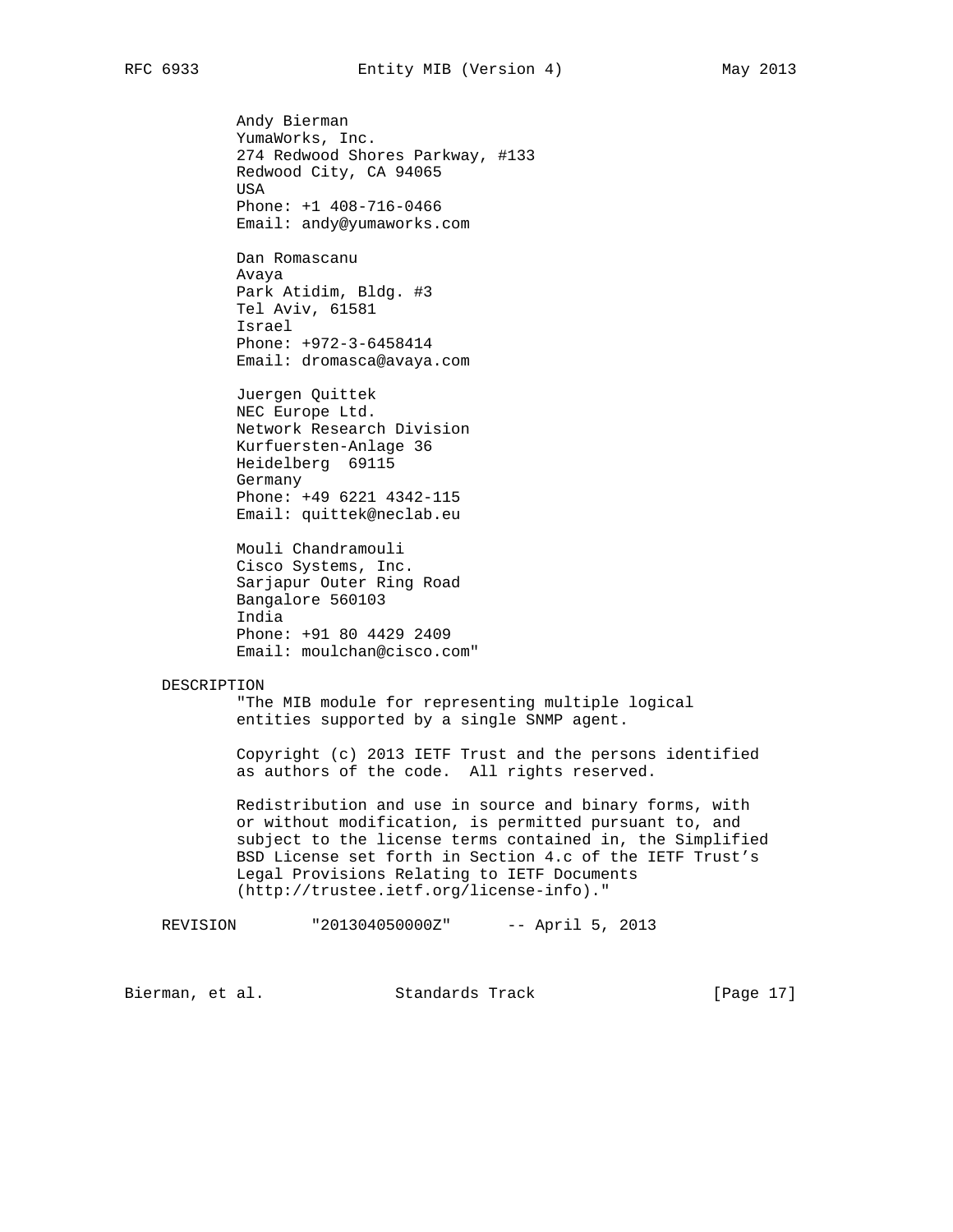Andy Bierman YumaWorks, Inc. 274 Redwood Shores Parkway, #133 Redwood City, CA 94065 USA Phone: +1 408-716-0466 Email: andy@yumaworks.com

 Dan Romascanu Avaya Park Atidim, Bldg. #3 Tel Aviv, 61581 Israel Phone: +972-3-6458414 Email: dromasca@avaya.com

 Juergen Quittek NEC Europe Ltd. Network Research Division Kurfuersten-Anlage 36 Heidelberg 69115 Germany Phone: +49 6221 4342-115 Email: quittek@neclab.eu

 Mouli Chandramouli Cisco Systems, Inc. Sarjapur Outer Ring Road Bangalore 560103 India Phone: +91 80 4429 2409 Email: moulchan@cisco.com"

#### DESCRIPTION

 "The MIB module for representing multiple logical entities supported by a single SNMP agent.

 Copyright (c) 2013 IETF Trust and the persons identified as authors of the code. All rights reserved.

> Redistribution and use in source and binary forms, with or without modification, is permitted pursuant to, and subject to the license terms contained in, the Simplified BSD License set forth in Section 4.c of the IETF Trust's Legal Provisions Relating to IETF Documents (http://trustee.ietf.org/license-info)."

REVISION "201304050000Z" -- April 5, 2013

Bierman, et al. Standards Track [Page 17]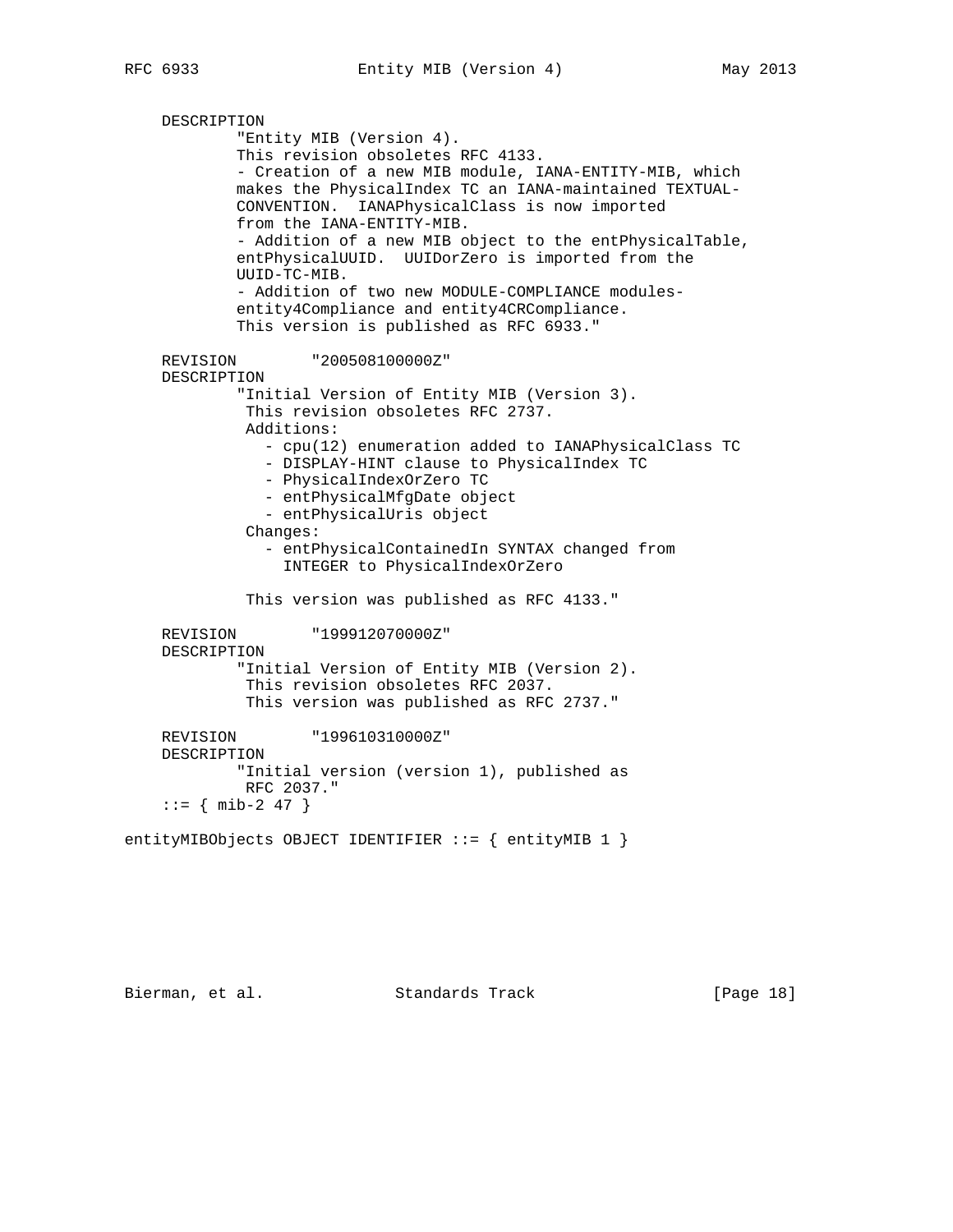```
 DESCRIPTION
             "Entity MIB (Version 4).
             This revision obsoletes RFC 4133.
             - Creation of a new MIB module, IANA-ENTITY-MIB, which
             makes the PhysicalIndex TC an IANA-maintained TEXTUAL-
             CONVENTION. IANAPhysicalClass is now imported
             from the IANA-ENTITY-MIB.
             - Addition of a new MIB object to the entPhysicalTable,
             entPhysicalUUID. UUIDorZero is imported from the
             UUID-TC-MIB.
             - Addition of two new MODULE-COMPLIANCE modules-
             entity4Compliance and entity4CRCompliance.
             This version is published as RFC 6933."
    REVISION "200508100000Z"
    DESCRIPTION
             "Initial Version of Entity MIB (Version 3).
              This revision obsoletes RFC 2737.
              Additions:
               - cpu(12) enumeration added to IANAPhysicalClass TC
                - DISPLAY-HINT clause to PhysicalIndex TC
                - PhysicalIndexOrZero TC
                - entPhysicalMfgDate object
                - entPhysicalUris object
              Changes:
                - entPhysicalContainedIn SYNTAX changed from
                  INTEGER to PhysicalIndexOrZero
              This version was published as RFC 4133."
     REVISION "199912070000Z"
    DESCRIPTION
             "Initial Version of Entity MIB (Version 2).
              This revision obsoletes RFC 2037.
              This version was published as RFC 2737."
    REVISION "199610310000Z"
    DESCRIPTION
             "Initial version (version 1), published as
             RFC 2037."
    ::= { mib-2 47 }
entityMIBObjects OBJECT IDENTIFIER ::= { entityMIB 1 }
```
Bierman, et al. Standards Track [Page 18]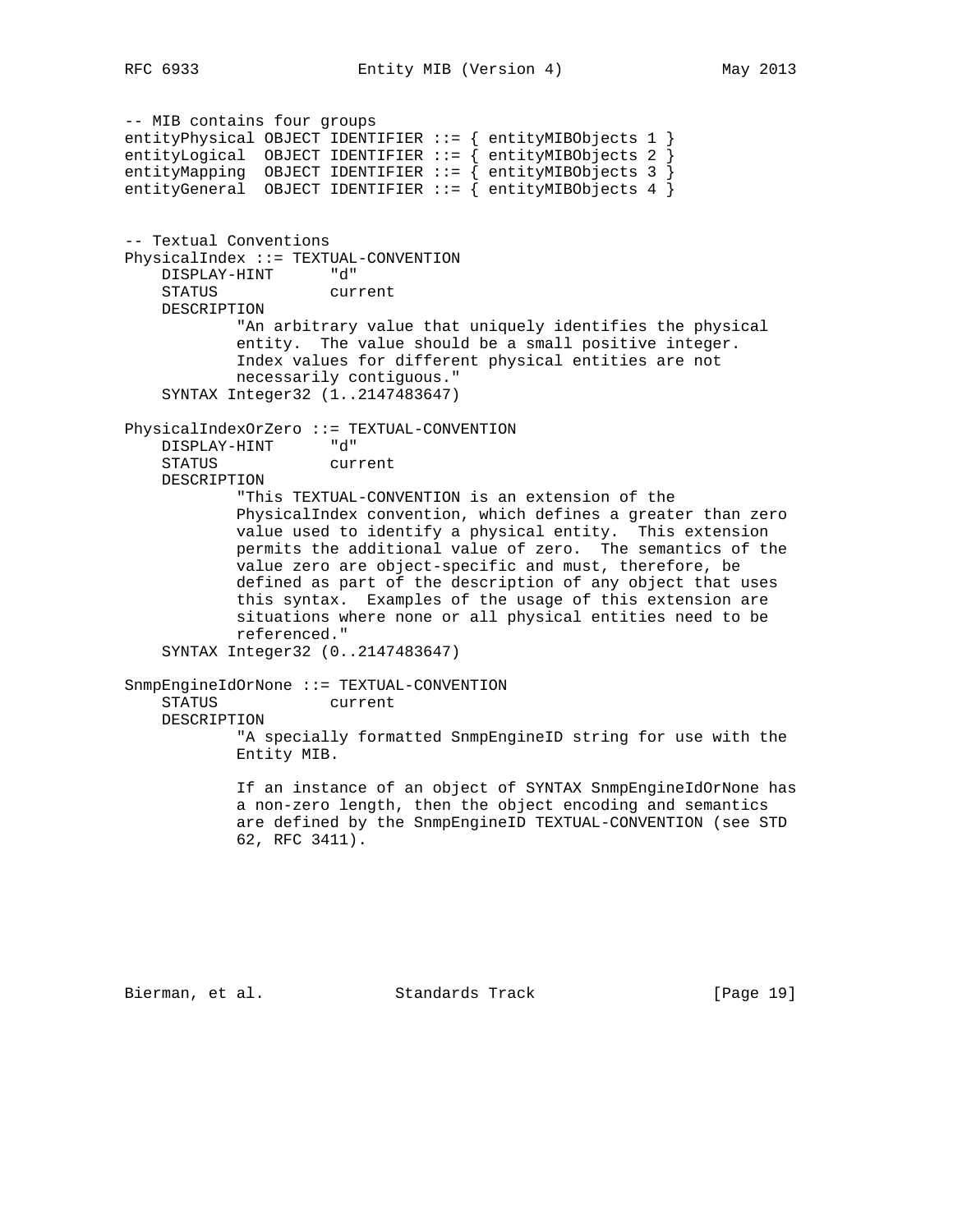-- MIB contains four groups entityPhysical OBJECT IDENTIFIER ::= { entityMIBObjects 1 } entityLogical OBJECT IDENTIFIER ::= { entityMIBObjects 2 } entityMapping OBJECT IDENTIFIER ::= { entityMIBObjects 3 } entityGeneral OBJECT IDENTIFIER ::= { entityMIBObjects 4 } -- Textual Conventions PhysicalIndex ::= TEXTUAL-CONVENTION DISPLAY-HINT "d" STATUS current DESCRIPTION "An arbitrary value that uniquely identifies the physical entity. The value should be a small positive integer. Index values for different physical entities are not necessarily contiguous." SYNTAX Integer32 (1..2147483647) PhysicalIndexOrZero ::= TEXTUAL-CONVENTION DISPLAY-HINT "d" STATUS current DESCRIPTION "This TEXTUAL-CONVENTION is an extension of the PhysicalIndex convention, which defines a greater than zero value used to identify a physical entity. This extension permits the additional value of zero. The semantics of the value zero are object-specific and must, therefore, be defined as part of the description of any object that uses this syntax. Examples of the usage of this extension are situations where none or all physical entities need to be referenced." SYNTAX Integer32 (0..2147483647) SnmpEngineIdOrNone ::= TEXTUAL-CONVENTION STATUS current DESCRIPTION "A specially formatted SnmpEngineID string for use with the Entity MIB. If an instance of an object of SYNTAX SnmpEngineIdOrNone has a non-zero length, then the object encoding and semantics are defined by the SnmpEngineID TEXTUAL-CONVENTION (see STD 62, RFC 3411).

Bierman, et al. Standards Track [Page 19]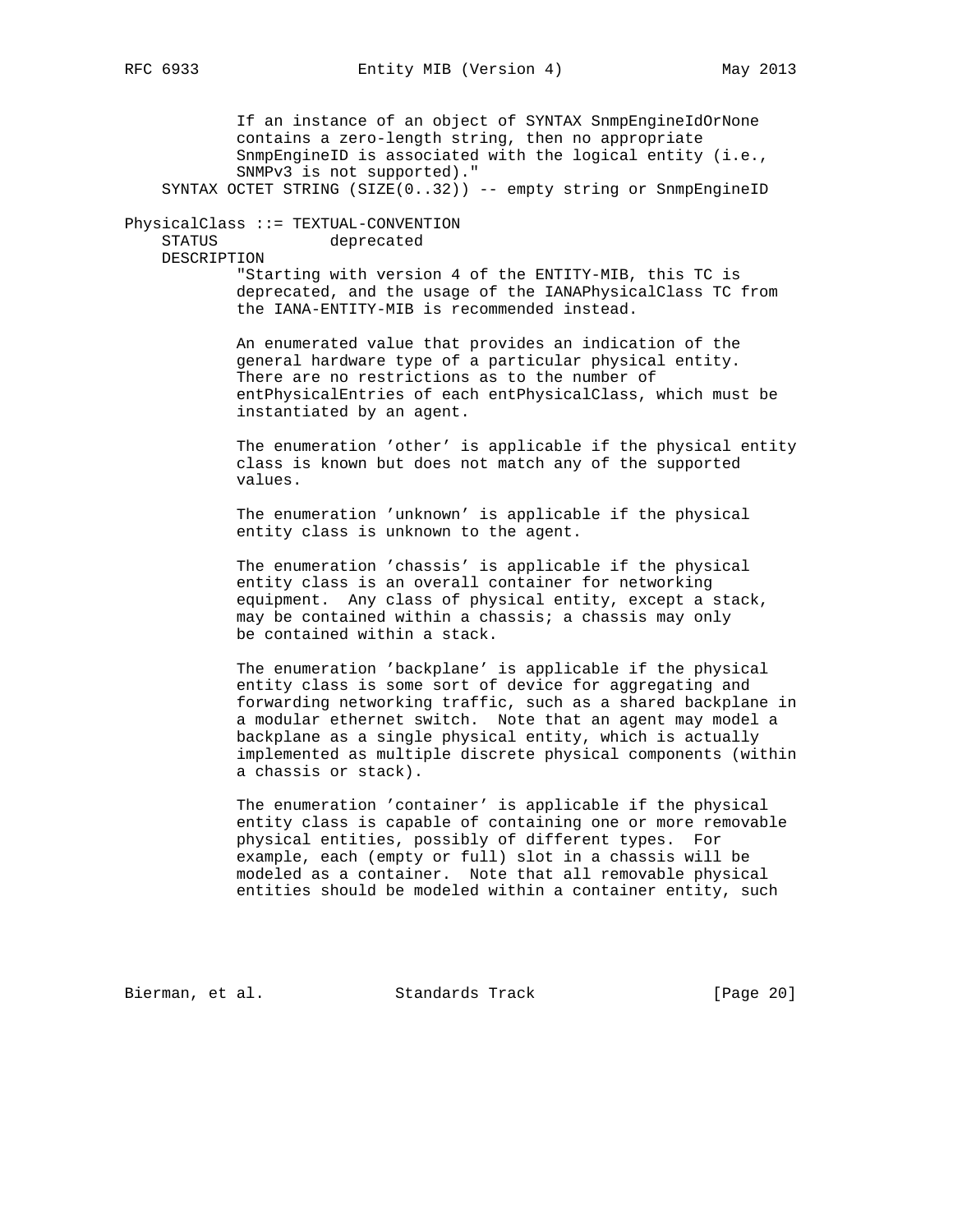If an instance of an object of SYNTAX SnmpEngineIdOrNone contains a zero-length string, then no appropriate SnmpEngineID is associated with the logical entity (i.e., SNMPv3 is not supported)." SYNTAX OCTET STRING (SIZE(0..32)) -- empty string or SnmpEngineID PhysicalClass ::= TEXTUAL-CONVENTION STATUS deprecated DESCRIPTION "Starting with version 4 of the ENTITY-MIB, this TC is deprecated, and the usage of the IANAPhysicalClass TC from the IANA-ENTITY-MIB is recommended instead. An enumerated value that provides an indication of the general hardware type of a particular physical entity. There are no restrictions as to the number of entPhysicalEntries of each entPhysicalClass, which must be instantiated by an agent. The enumeration 'other' is applicable if the physical entity class is known but does not match any of the supported values. The enumeration 'unknown' is applicable if the physical

entity class is unknown to the agent.

 The enumeration 'chassis' is applicable if the physical entity class is an overall container for networking equipment. Any class of physical entity, except a stack, may be contained within a chassis; a chassis may only be contained within a stack.

 The enumeration 'backplane' is applicable if the physical entity class is some sort of device for aggregating and forwarding networking traffic, such as a shared backplane in a modular ethernet switch. Note that an agent may model a backplane as a single physical entity, which is actually implemented as multiple discrete physical components (within a chassis or stack).

 The enumeration 'container' is applicable if the physical entity class is capable of containing one or more removable physical entities, possibly of different types. For example, each (empty or full) slot in a chassis will be modeled as a container. Note that all removable physical entities should be modeled within a container entity, such

Bierman, et al. Standards Track [Page 20]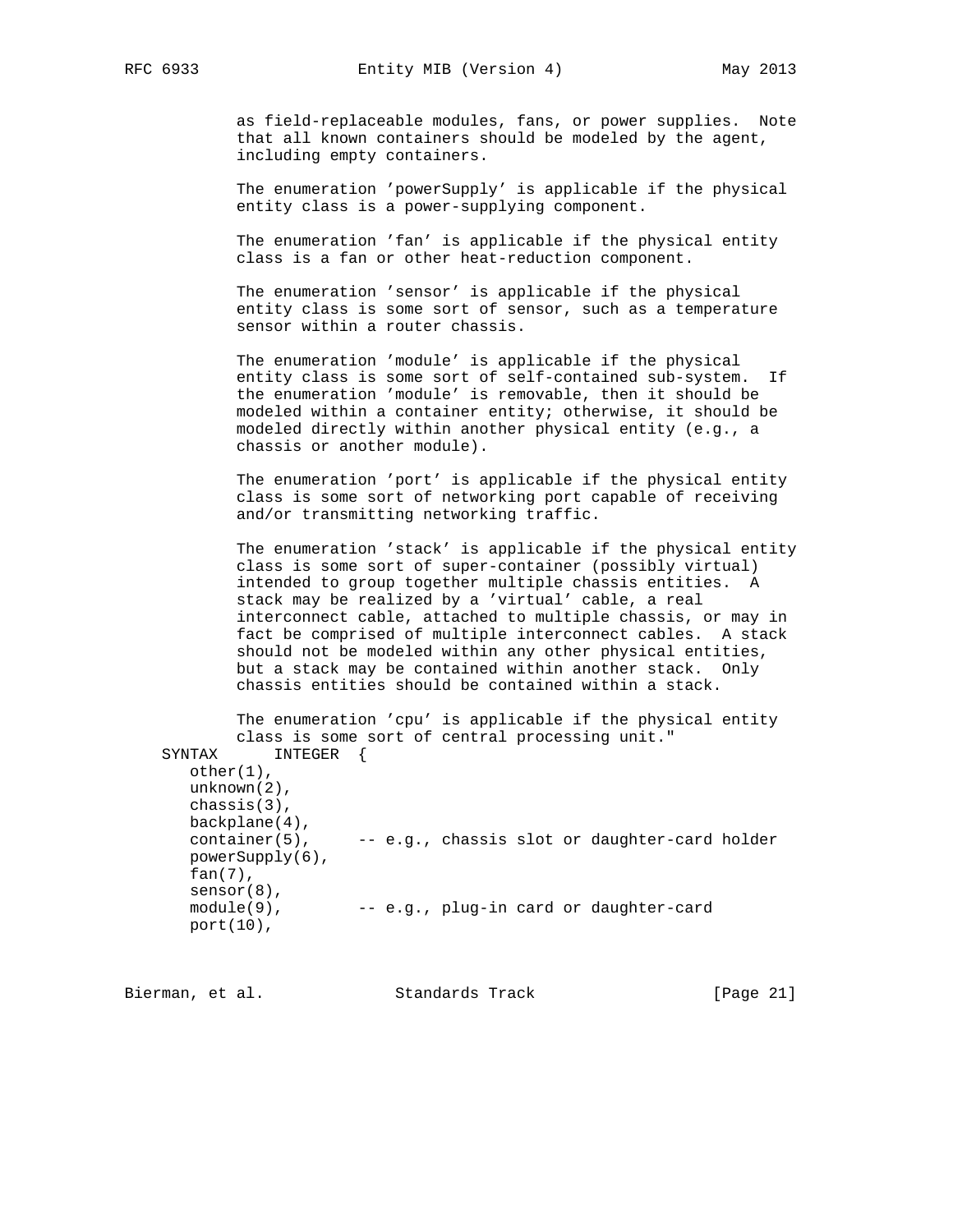as field-replaceable modules, fans, or power supplies. Note that all known containers should be modeled by the agent, including empty containers.

 The enumeration 'powerSupply' is applicable if the physical entity class is a power-supplying component.

 The enumeration 'fan' is applicable if the physical entity class is a fan or other heat-reduction component.

 The enumeration 'sensor' is applicable if the physical entity class is some sort of sensor, such as a temperature sensor within a router chassis.

 The enumeration 'module' is applicable if the physical entity class is some sort of self-contained sub-system. If the enumeration 'module' is removable, then it should be modeled within a container entity; otherwise, it should be modeled directly within another physical entity (e.g., a chassis or another module).

 The enumeration 'port' is applicable if the physical entity class is some sort of networking port capable of receiving and/or transmitting networking traffic.

 The enumeration 'stack' is applicable if the physical entity class is some sort of super-container (possibly virtual) intended to group together multiple chassis entities. A stack may be realized by a 'virtual' cable, a real interconnect cable, attached to multiple chassis, or may in fact be comprised of multiple interconnect cables. A stack should not be modeled within any other physical entities, but a stack may be contained within another stack. Only chassis entities should be contained within a stack.

 The enumeration 'cpu' is applicable if the physical entity class is some sort of central processing unit." SYNTAX INTEGER { other(1), unknown(2), chassis(3), backplane(4), container(5), -- e.g., chassis slot or daughter-card holder

 powerSupply(6), fan(7), sensor(8),<br>module(9), -- e.g., plug-in card or daughter-card port(10),

Bierman, et al. Standards Track [Page 21]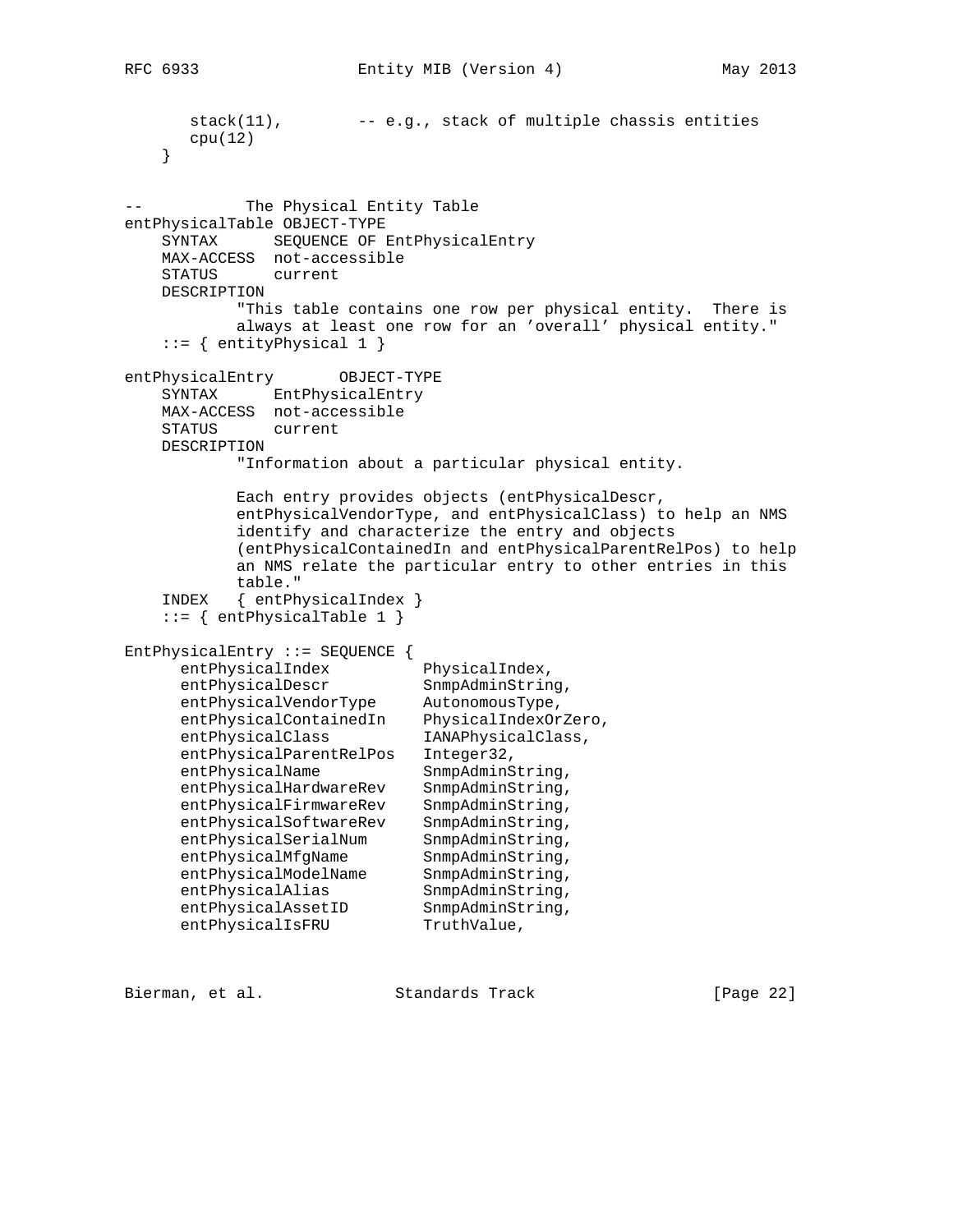```
stack(11), -- e.g., stack of multiple chains is entities cpu(12)
    }
           The Physical Entity Table
entPhysicalTable OBJECT-TYPE
    SYNTAX SEQUENCE OF EntPhysicalEntry
    MAX-ACCESS not-accessible
    STATUS current
    DESCRIPTION
           "This table contains one row per physical entity. There is
           always at least one row for an 'overall' physical entity."
   ::= { entityPhysical 1 }
entPhysicalEntry OBJECT-TYPE
    SYNTAX EntPhysicalEntry
    MAX-ACCESS not-accessible
    STATUS current
    DESCRIPTION
            "Information about a particular physical entity.
            Each entry provides objects (entPhysicalDescr,
            entPhysicalVendorType, and entPhysicalClass) to help an NMS
            identify and characterize the entry and objects
            (entPhysicalContainedIn and entPhysicalParentRelPos) to help
            an NMS relate the particular entry to other entries in this
            table."
    INDEX { entPhysicalIndex }
    ::= { entPhysicalTable 1 }
EntPhysicalEntry ::= SEQUENCE {
     entPhysicalIndex PhysicalIndex,
     entPhysicalDescr SnmpAdminString,
     entPhysicalVendorType AutonomousType,
     entPhysicalContainedIn PhysicalIndexOrZero,
     entPhysicalClass IANAPhysicalClass,
 entPhysicalParentRelPos Integer32,
entPhysicalName SnmpAdminString,
      entPhysicalHardwareRev SnmpAdminString,
     entPhysicalFirmwareRev SnmpAdminString,
     entPhysicalSoftwareRev SnmpAdminString,
     entPhysicalSerialNum SnmpAdminString,
     entPhysicalMfgName SnmpAdminString,
     entPhysicalModelName SnmpAdminString,
     entPhysicalAlias SnmpAdminString,
entPhysicalAssetID SnmpAdminString,
entPhysicalIsFRU TruthValue,
```

| Bierman, et al. |  | Standards Track | [Page 22] |  |
|-----------------|--|-----------------|-----------|--|
|                 |  |                 |           |  |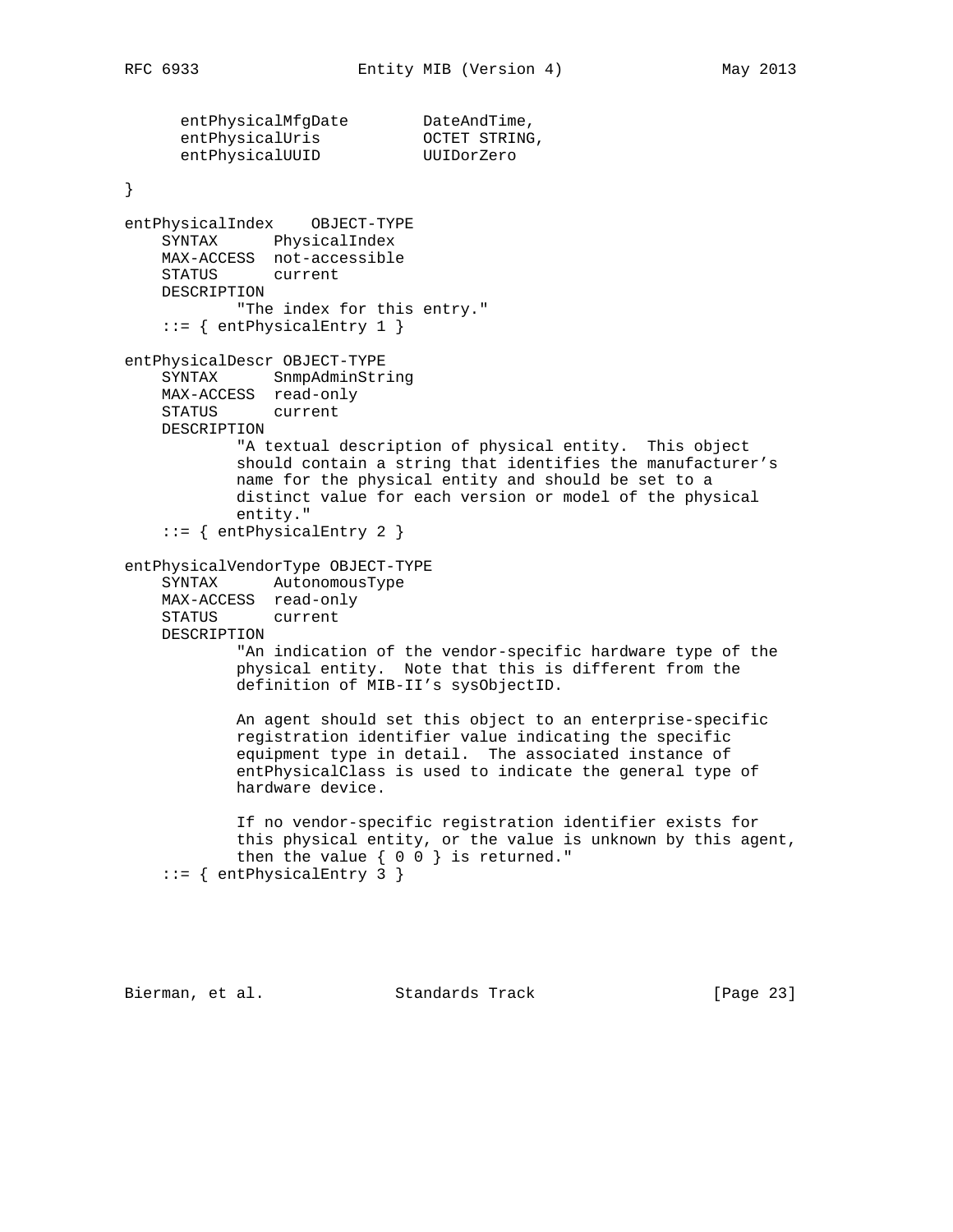```
entPhysicalMfgDate DateAndTime,
entPhysicalUris OCTET STRING,
entPhysicalUUID UUIDorZero
}
entPhysicalIndex OBJECT-TYPE
    SYNTAX PhysicalIndex
    MAX-ACCESS not-accessible
    STATUS current
    DESCRIPTION
          "The index for this entry."
    ::= { entPhysicalEntry 1 }
entPhysicalDescr OBJECT-TYPE
    SYNTAX SnmpAdminString
    MAX-ACCESS read-only
    STATUS current
    DESCRIPTION
            "A textual description of physical entity. This object
            should contain a string that identifies the manufacturer's
            name for the physical entity and should be set to a
            distinct value for each version or model of the physical
            entity."
     ::= { entPhysicalEntry 2 }
entPhysicalVendorType OBJECT-TYPE
    SYNTAX AutonomousType
    MAX-ACCESS read-only
    STATUS current
    DESCRIPTION
            "An indication of the vendor-specific hardware type of the
            physical entity. Note that this is different from the
            definition of MIB-II's sysObjectID.
            An agent should set this object to an enterprise-specific
            registration identifier value indicating the specific
            equipment type in detail. The associated instance of
            entPhysicalClass is used to indicate the general type of
            hardware device.
            If no vendor-specific registration identifier exists for
            this physical entity, or the value is unknown by this agent,
           then the value \{ 0 0 \} is returned."
     ::= { entPhysicalEntry 3 }
```
Bierman, et al. Standards Track [Page 23]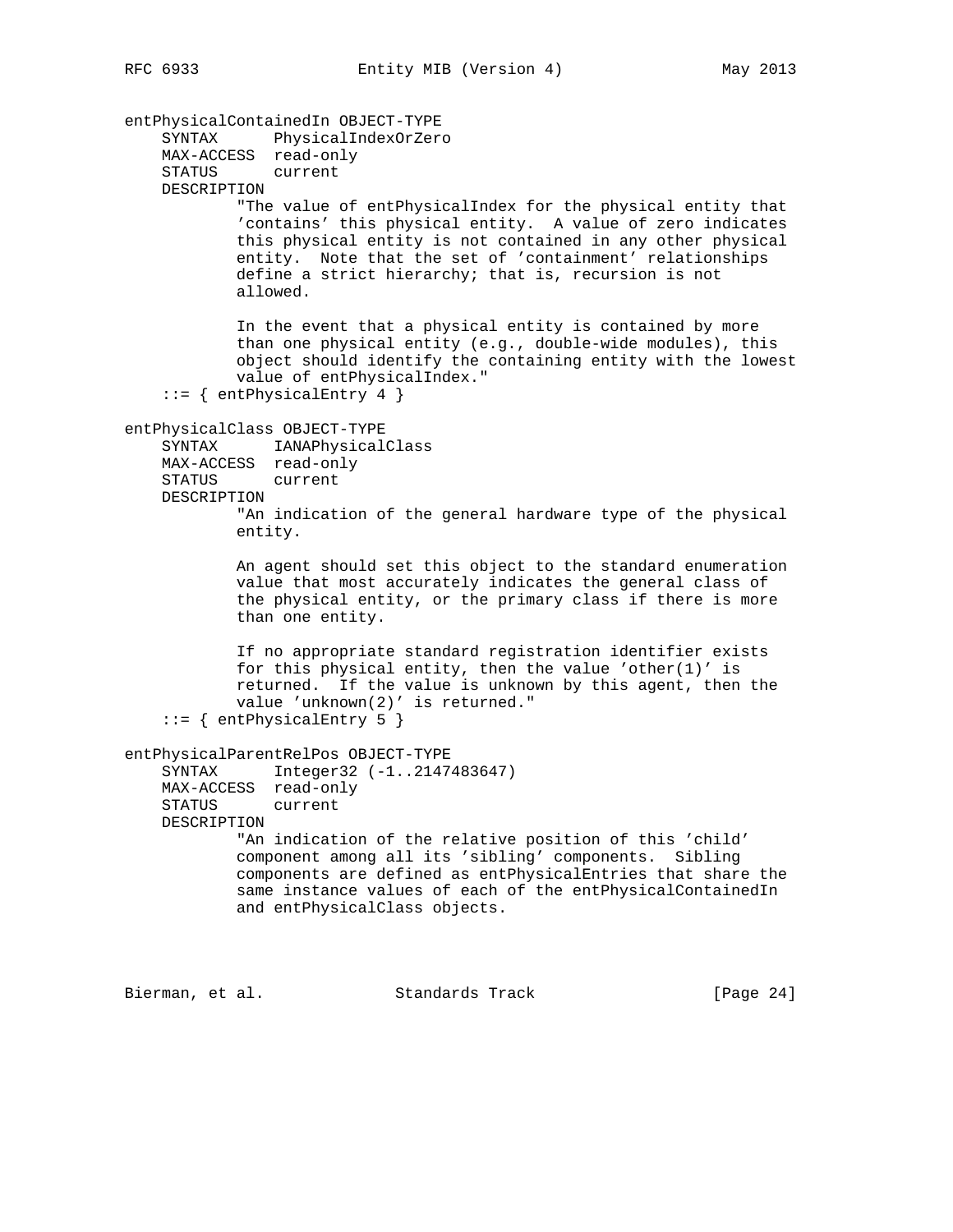entPhysicalContainedIn OBJECT-TYPE SYNTAX PhysicalIndexOrZero MAX-ACCESS read-only STATUS current DESCRIPTION "The value of entPhysicalIndex for the physical entity that 'contains' this physical entity. A value of zero indicates this physical entity is not contained in any other physical entity. Note that the set of 'containment' relationships define a strict hierarchy; that is, recursion is not allowed. In the event that a physical entity is contained by more than one physical entity (e.g., double-wide modules), this object should identify the containing entity with the lowest value of entPhysicalIndex."  $::=$  { entPhysicalEntry 4 } entPhysicalClass OBJECT-TYPE SYNTAX IANAPhysicalClass MAX-ACCESS read-only STATUS current DESCRIPTION "An indication of the general hardware type of the physical entity. An agent should set this object to the standard enumeration value that most accurately indicates the general class of the physical entity, or the primary class if there is more than one entity. If no appropriate standard registration identifier exists for this physical entity, then the value 'other $(1)'$  is returned. If the value is unknown by this agent, then the value 'unknown(2)' is returned." ::= { entPhysicalEntry 5 } entPhysicalParentRelPos OBJECT-TYPE SYNTAX Integer32 (-1..2147483647) MAX-ACCESS read-only STATUS current DESCRIPTION "An indication of the relative position of this 'child' component among all its 'sibling' components. Sibling components are defined as entPhysicalEntries that share the same instance values of each of the entPhysicalContainedIn and entPhysicalClass objects.

Bierman, et al. Standards Track [Page 24]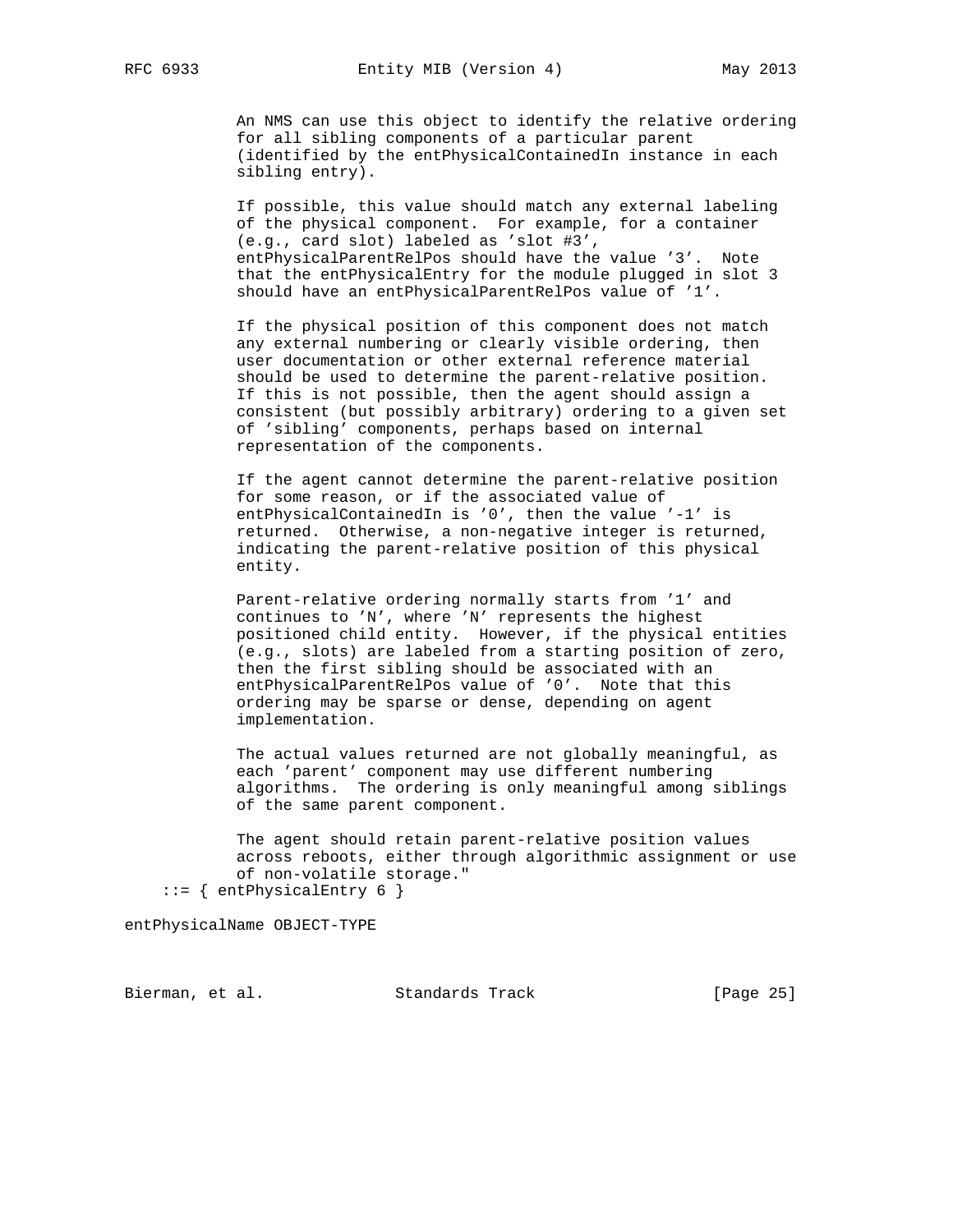An NMS can use this object to identify the relative ordering for all sibling components of a particular parent (identified by the entPhysicalContainedIn instance in each sibling entry).

 If possible, this value should match any external labeling of the physical component. For example, for a container (e.g., card slot) labeled as 'slot #3', entPhysicalParentRelPos should have the value '3'. Note that the entPhysicalEntry for the module plugged in slot 3 should have an entPhysicalParentRelPos value of '1'.

 If the physical position of this component does not match any external numbering or clearly visible ordering, then user documentation or other external reference material should be used to determine the parent-relative position. If this is not possible, then the agent should assign a consistent (but possibly arbitrary) ordering to a given set of 'sibling' components, perhaps based on internal representation of the components.

 If the agent cannot determine the parent-relative position for some reason, or if the associated value of entPhysicalContainedIn is '0', then the value '-1' is returned. Otherwise, a non-negative integer is returned, indicating the parent-relative position of this physical entity.

 Parent-relative ordering normally starts from '1' and continues to 'N', where 'N' represents the highest positioned child entity. However, if the physical entities (e.g., slots) are labeled from a starting position of zero, then the first sibling should be associated with an entPhysicalParentRelPos value of '0'. Note that this ordering may be sparse or dense, depending on agent implementation.

 The actual values returned are not globally meaningful, as each 'parent' component may use different numbering algorithms. The ordering is only meaningful among siblings of the same parent component.

 The agent should retain parent-relative position values across reboots, either through algorithmic assignment or use of non-volatile storage." ::= { entPhysicalEntry 6 }

entPhysicalName OBJECT-TYPE

Bierman, et al. Standards Track [Page 25]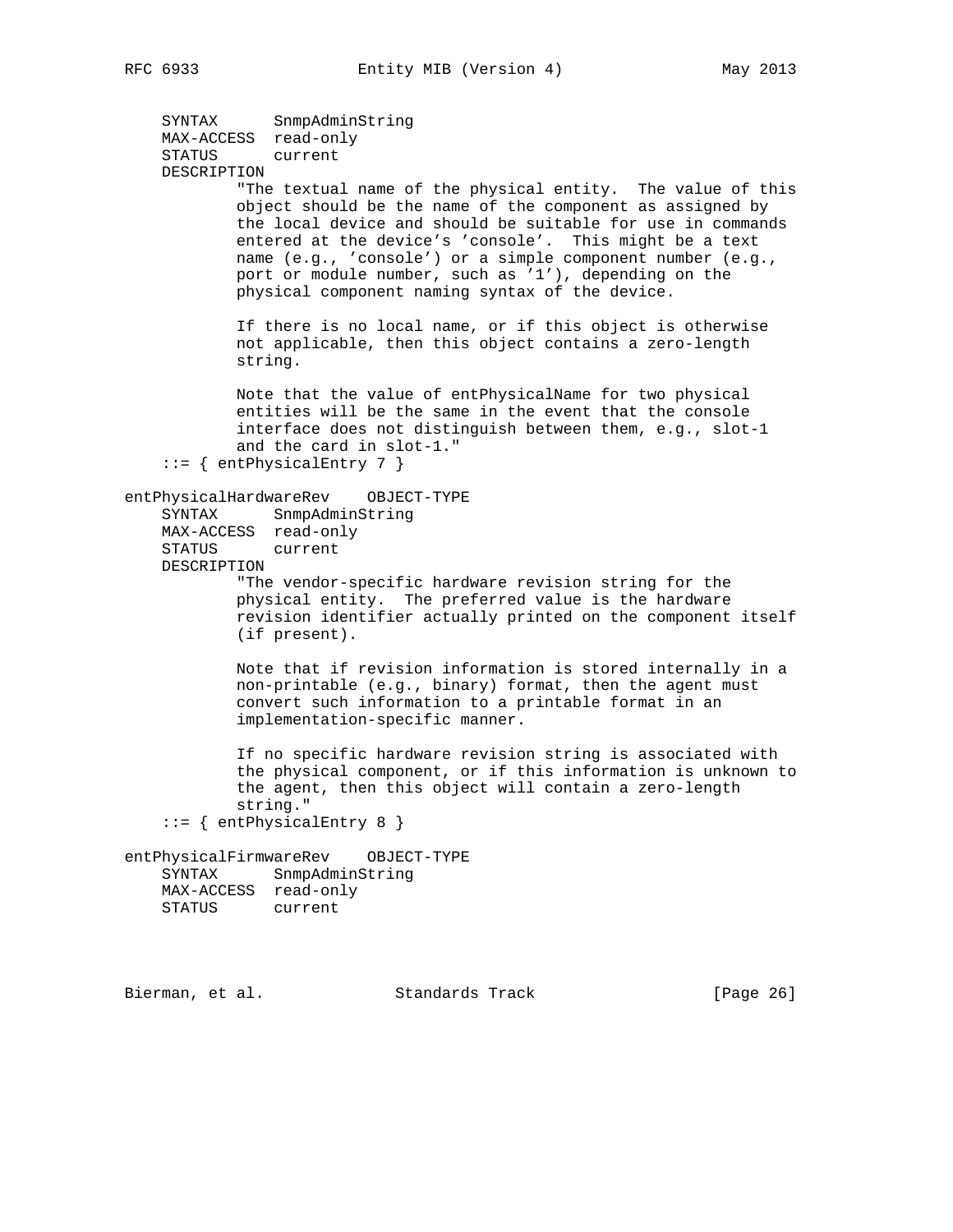```
 SYNTAX SnmpAdminString
    MAX-ACCESS read-only
     STATUS current
    DESCRIPTION
             "The textual name of the physical entity. The value of this
            object should be the name of the component as assigned by
            the local device and should be suitable for use in commands
            entered at the device's 'console'. This might be a text
            name (e.g., 'console') or a simple component number (e.g.,
            port or module number, such as '1'), depending on the
            physical component naming syntax of the device.
            If there is no local name, or if this object is otherwise
            not applicable, then this object contains a zero-length
            string.
            Note that the value of entPhysicalName for two physical
            entities will be the same in the event that the console
            interface does not distinguish between them, e.g., slot-1
            and the card in slot-1."
     ::= { entPhysicalEntry 7 }
entPhysicalHardwareRev OBJECT-TYPE
     SYNTAX SnmpAdminString
    MAX-ACCESS read-only
    STATUS current
    DESCRIPTION
            "The vendor-specific hardware revision string for the
            physical entity. The preferred value is the hardware
            revision identifier actually printed on the component itself
            (if present).
            Note that if revision information is stored internally in a
            non-printable (e.g., binary) format, then the agent must
            convert such information to a printable format in an
            implementation-specific manner.
             If no specific hardware revision string is associated with
             the physical component, or if this information is unknown to
            the agent, then this object will contain a zero-length
            string."
     ::= { entPhysicalEntry 8 }
entPhysicalFirmwareRev OBJECT-TYPE
     SYNTAX SnmpAdminString
    MAX-ACCESS read-only
    STATUS current
```
Bierman, et al. Standards Track [Page 26]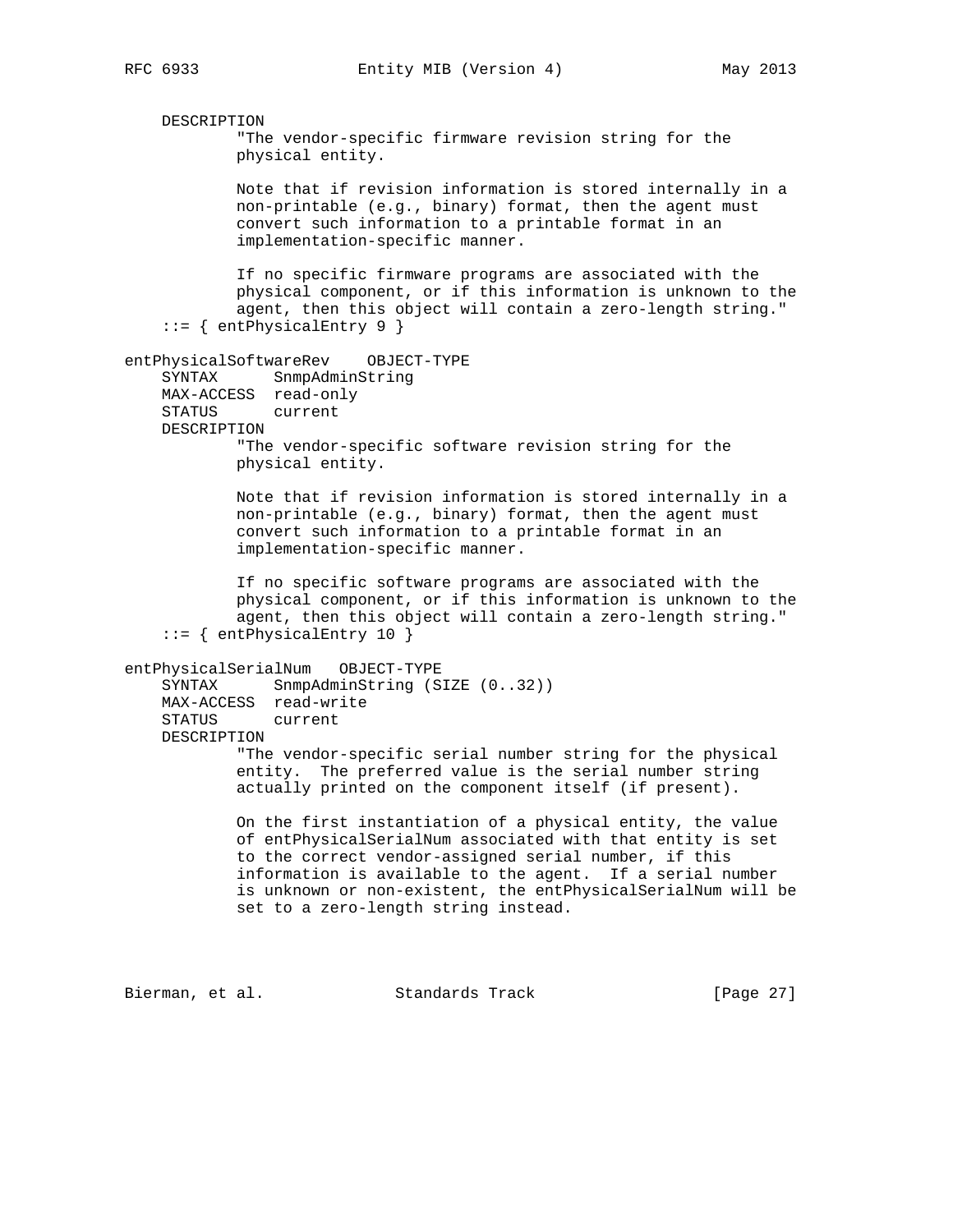DESCRIPTION "The vendor-specific firmware revision string for the physical entity. Note that if revision information is stored internally in a non-printable (e.g., binary) format, then the agent must convert such information to a printable format in an implementation-specific manner. If no specific firmware programs are associated with the physical component, or if this information is unknown to the agent, then this object will contain a zero-length string." ::= { entPhysicalEntry 9 } entPhysicalSoftwareRev OBJECT-TYPE SYNTAX SnmpAdminString MAX-ACCESS read-only STATUS current DESCRIPTION "The vendor-specific software revision string for the physical entity. Note that if revision information is stored internally in a non-printable (e.g., binary) format, then the agent must convert such information to a printable format in an implementation-specific manner. If no specific software programs are associated with the physical component, or if this information is unknown to the agent, then this object will contain a zero-length string." ::= { entPhysicalEntry 10 } entPhysicalSerialNum OBJECT-TYPE SYNTAX SnmpAdminString (SIZE (0..32)) MAX-ACCESS read-write STATUS current DESCRIPTION "The vendor-specific serial number string for the physical entity. The preferred value is the serial number string actually printed on the component itself (if present). On the first instantiation of a physical entity, the value of entPhysicalSerialNum associated with that entity is set to the correct vendor-assigned serial number, if this information is available to the agent. If a serial number is unknown or non-existent, the entPhysicalSerialNum will be set to a zero-length string instead. Bierman, et al. Standards Track [Page 27]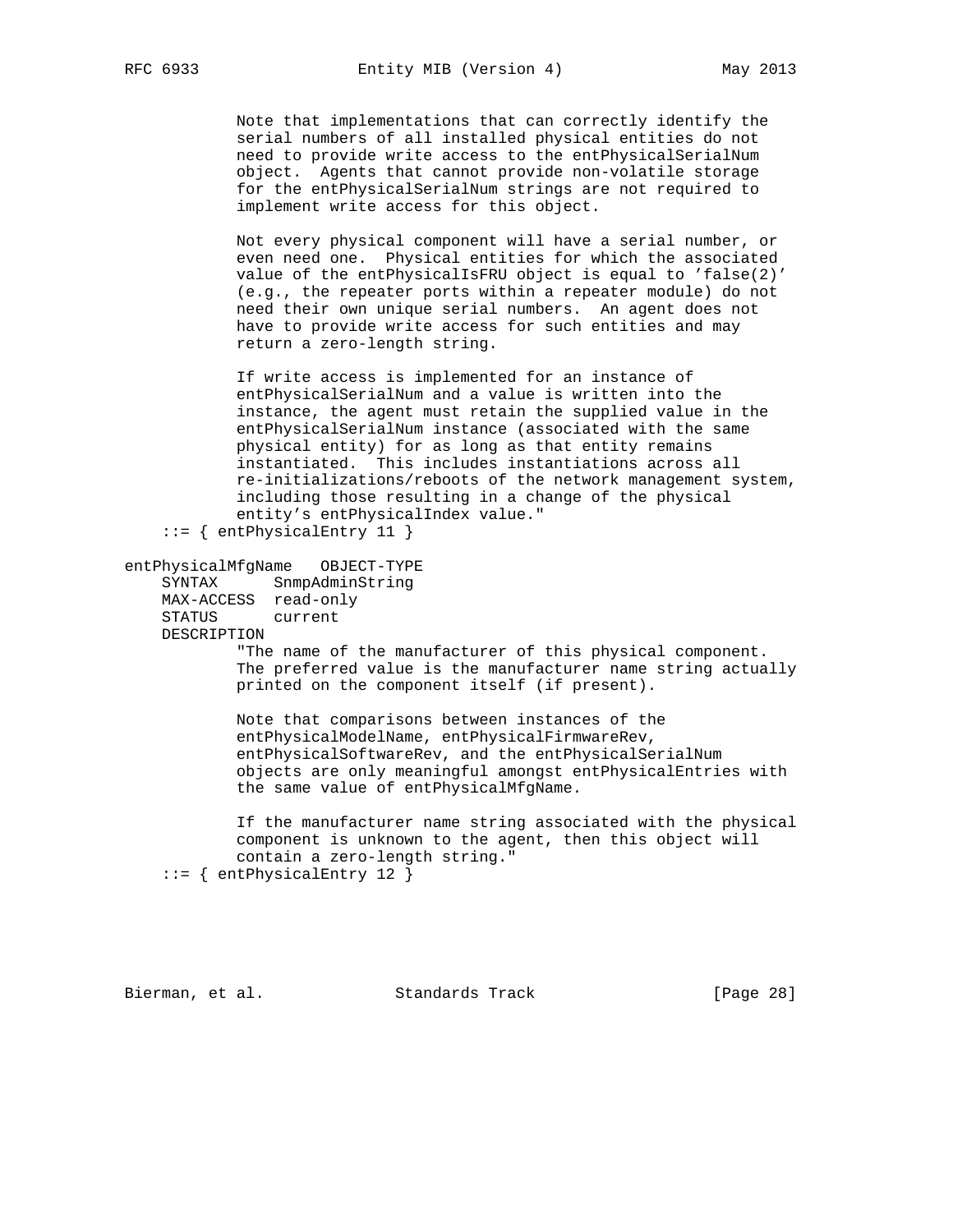Note that implementations that can correctly identify the serial numbers of all installed physical entities do not need to provide write access to the entPhysicalSerialNum object. Agents that cannot provide non-volatile storage for the entPhysicalSerialNum strings are not required to implement write access for this object.

 Not every physical component will have a serial number, or even need one. Physical entities for which the associated value of the entPhysicalIsFRU object is equal to 'false(2)' (e.g., the repeater ports within a repeater module) do not need their own unique serial numbers. An agent does not have to provide write access for such entities and may return a zero-length string.

 If write access is implemented for an instance of entPhysicalSerialNum and a value is written into the instance, the agent must retain the supplied value in the entPhysicalSerialNum instance (associated with the same physical entity) for as long as that entity remains instantiated. This includes instantiations across all re-initializations/reboots of the network management system, including those resulting in a change of the physical entity's entPhysicalIndex value."

::= { entPhysicalEntry 11 }

entPhysicalMfgName OBJECT-TYPE

 SYNTAX SnmpAdminString MAX-ACCESS read-only STATUS current DESCRIPTION

 "The name of the manufacturer of this physical component. The preferred value is the manufacturer name string actually printed on the component itself (if present).

 Note that comparisons between instances of the entPhysicalModelName, entPhysicalFirmwareRev, entPhysicalSoftwareRev, and the entPhysicalSerialNum objects are only meaningful amongst entPhysicalEntries with the same value of entPhysicalMfgName.

 If the manufacturer name string associated with the physical component is unknown to the agent, then this object will contain a zero-length string."

::= { entPhysicalEntry 12 }

Bierman, et al. Standards Track [Page 28]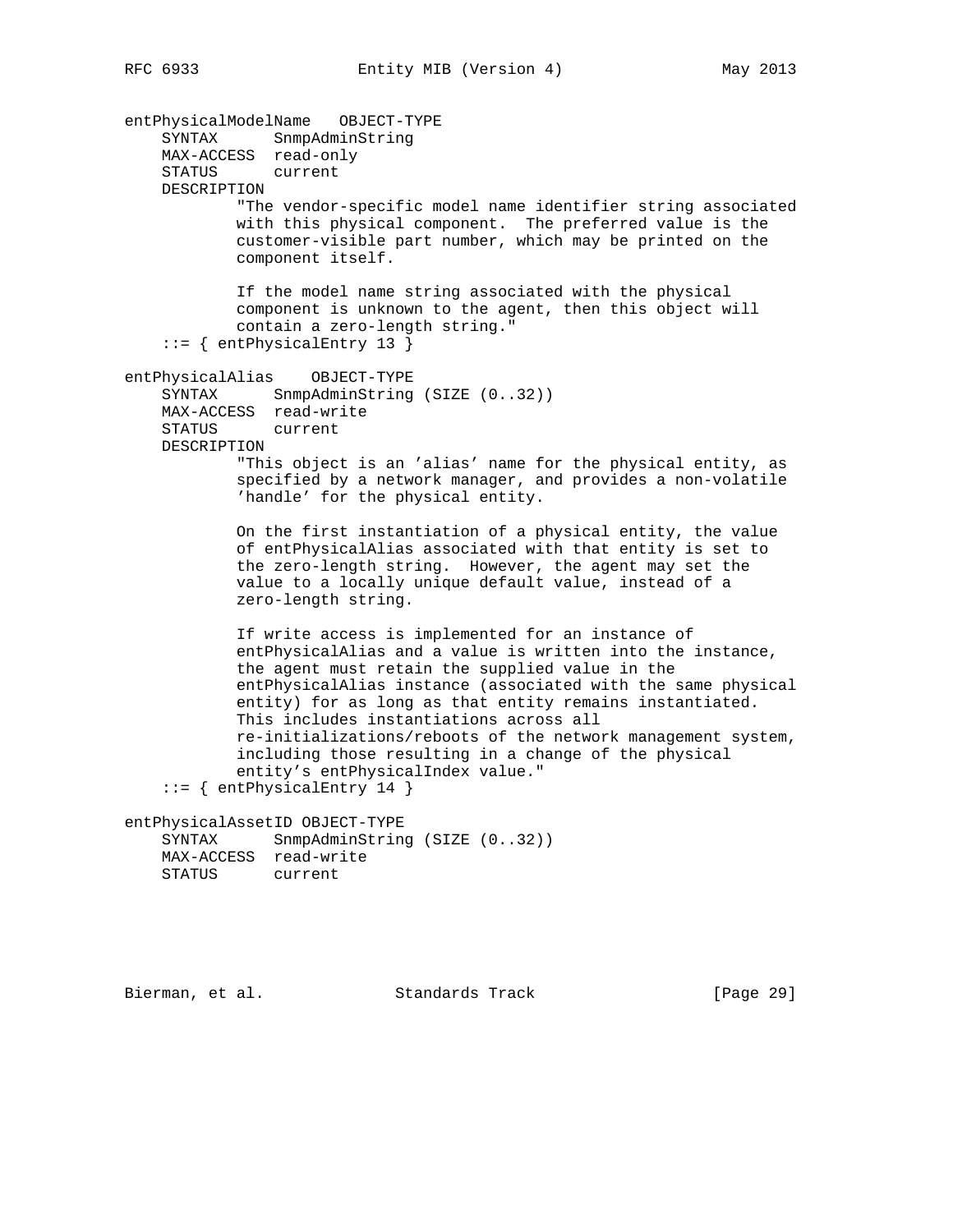entPhysicalModelName OBJECT-TYPE SYNTAX SnmpAdminString MAX-ACCESS read-only STATUS current DESCRIPTION "The vendor-specific model name identifier string associated with this physical component. The preferred value is the customer-visible part number, which may be printed on the component itself. If the model name string associated with the physical component is unknown to the agent, then this object will contain a zero-length string." ::= { entPhysicalEntry 13 } entPhysicalAlias OBJECT-TYPE SYNTAX SnmpAdminString (SIZE (0..32)) MAX-ACCESS read-write STATUS current DESCRIPTION "This object is an 'alias' name for the physical entity, as specified by a network manager, and provides a non-volatile 'handle' for the physical entity. On the first instantiation of a physical entity, the value of entPhysicalAlias associated with that entity is set to the zero-length string. However, the agent may set the value to a locally unique default value, instead of a zero-length string. If write access is implemented for an instance of entPhysicalAlias and a value is written into the instance, the agent must retain the supplied value in the entPhysicalAlias instance (associated with the same physical entity) for as long as that entity remains instantiated. This includes instantiations across all re-initializations/reboots of the network management system, including those resulting in a change of the physical entity's entPhysicalIndex value." ::= { entPhysicalEntry 14 } entPhysicalAssetID OBJECT-TYPE SYNTAX SnmpAdminString (SIZE (0..32)) MAX-ACCESS read-write STATUS current

Bierman, et al. Standards Track [Page 29]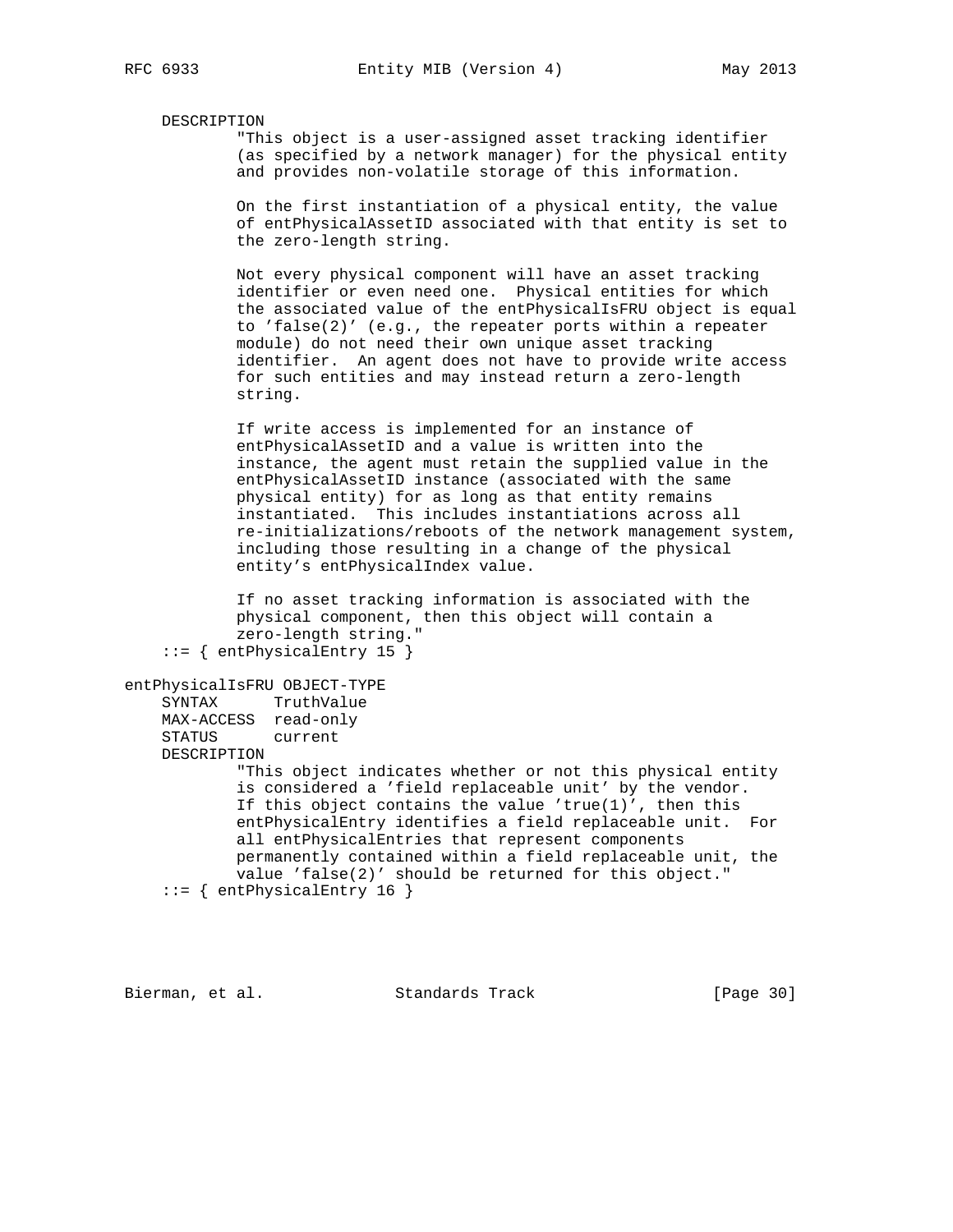#### DESCRIPTION

 "This object is a user-assigned asset tracking identifier (as specified by a network manager) for the physical entity and provides non-volatile storage of this information.

 On the first instantiation of a physical entity, the value of entPhysicalAssetID associated with that entity is set to the zero-length string.

 Not every physical component will have an asset tracking identifier or even need one. Physical entities for which the associated value of the entPhysicalIsFRU object is equal to 'false(2)' (e.g., the repeater ports within a repeater module) do not need their own unique asset tracking identifier. An agent does not have to provide write access for such entities and may instead return a zero-length string.

 If write access is implemented for an instance of entPhysicalAssetID and a value is written into the instance, the agent must retain the supplied value in the entPhysicalAssetID instance (associated with the same physical entity) for as long as that entity remains instantiated. This includes instantiations across all re-initializations/reboots of the network management system, including those resulting in a change of the physical entity's entPhysicalIndex value.

 If no asset tracking information is associated with the physical component, then this object will contain a zero-length string."  $::=$  { entPhysicalEntry 15 }

```
entPhysicalIsFRU OBJECT-TYPE
     SYNTAX TruthValue
    MAX-ACCESS read-only
     STATUS current
    DESCRIPTION
            "This object indicates whether or not this physical entity
             is considered a 'field replaceable unit' by the vendor.
             If this object contains the value 'true(1)', then this
             entPhysicalEntry identifies a field replaceable unit. For
             all entPhysicalEntries that represent components
             permanently contained within a field replaceable unit, the
            value 'false(2)' should be returned for this object."
     ::= { entPhysicalEntry 16 }
```
Bierman, et al. Standards Track [Page 30]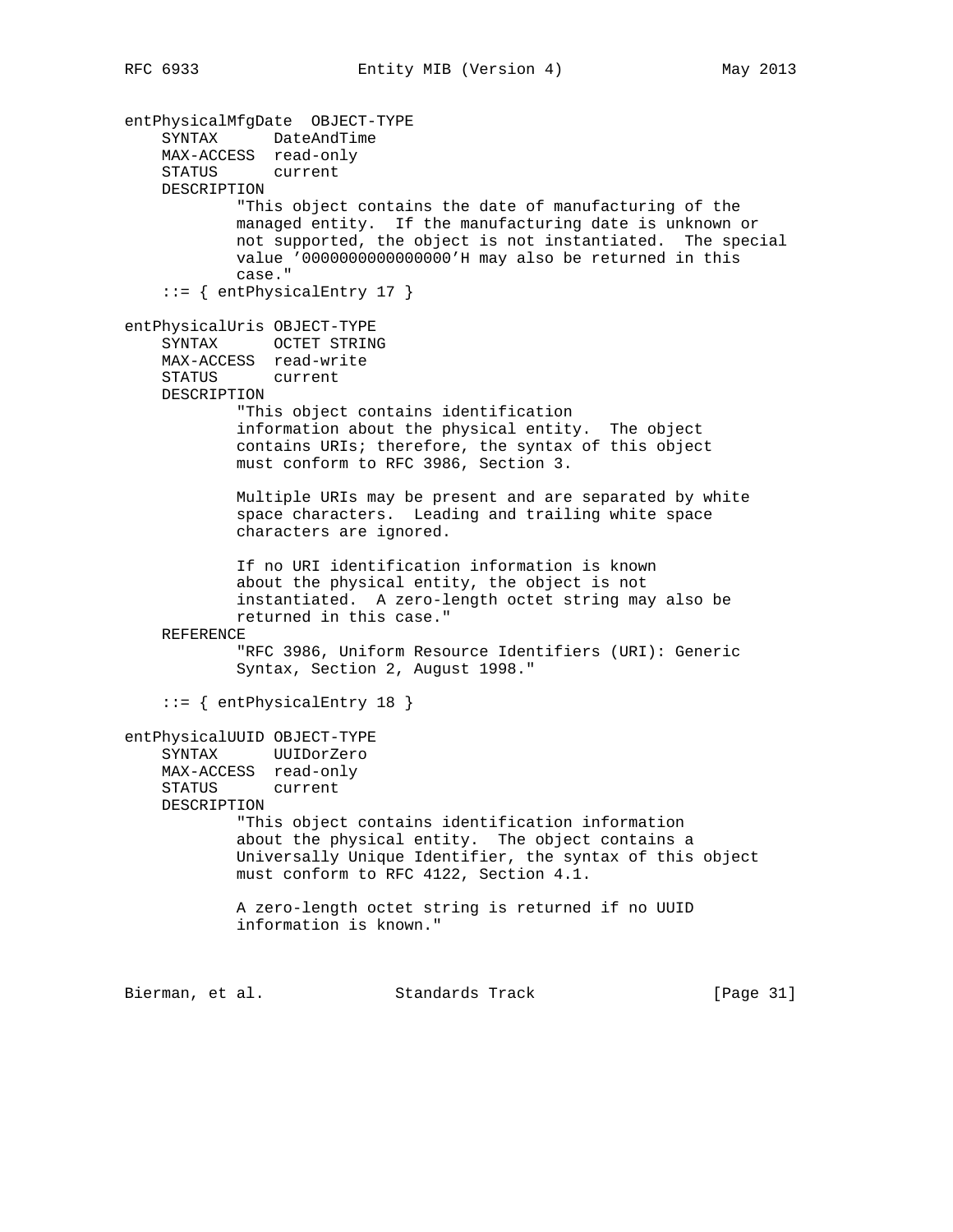entPhysicalMfgDate OBJECT-TYPE SYNTAX DateAndTime MAX-ACCESS read-only STATUS current DESCRIPTION "This object contains the date of manufacturing of the managed entity. If the manufacturing date is unknown or not supported, the object is not instantiated. The special value '0000000000000000'H may also be returned in this case." ::= { entPhysicalEntry 17 } entPhysicalUris OBJECT-TYPE SYNTAX OCTET STRING MAX-ACCESS read-write STATUS current DESCRIPTION "This object contains identification information about the physical entity. The object contains URIs; therefore, the syntax of this object must conform to RFC 3986, Section 3. Multiple URIs may be present and are separated by white space characters. Leading and trailing white space characters are ignored. If no URI identification information is known about the physical entity, the object is not instantiated. A zero-length octet string may also be returned in this case." REFERENCE "RFC 3986, Uniform Resource Identifiers (URI): Generic Syntax, Section 2, August 1998." ::= { entPhysicalEntry 18 } entPhysicalUUID OBJECT-TYPE SYNTAX UUIDorZero MAX-ACCESS read-only STATUS current DESCRIPTION "This object contains identification information about the physical entity. The object contains a Universally Unique Identifier, the syntax of this object must conform to RFC 4122, Section 4.1. A zero-length octet string is returned if no UUID information is known." Bierman, et al. Standards Track [Page 31]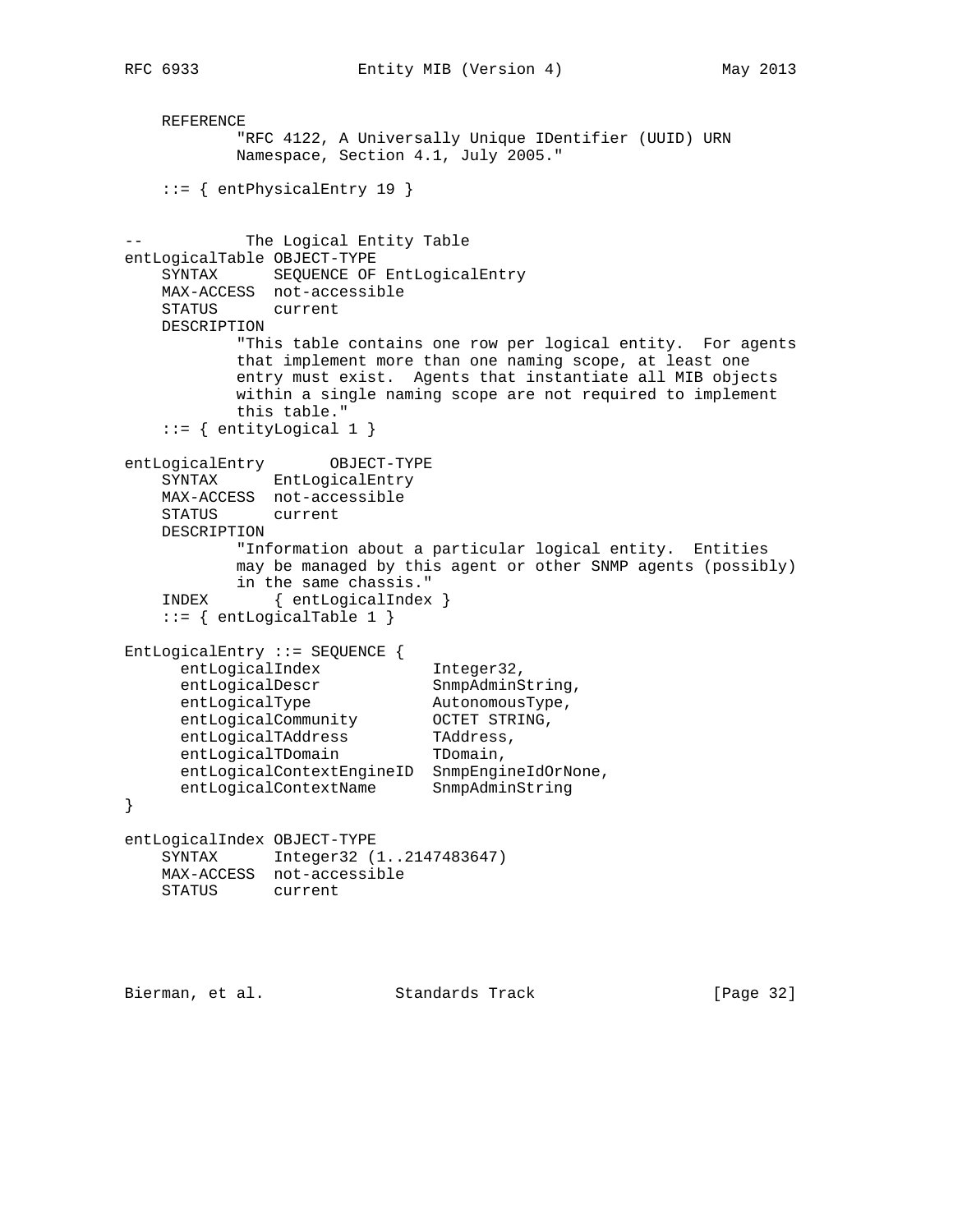REFERENCE "RFC 4122, A Universally Unique IDentifier (UUID) URN Namespace, Section 4.1, July 2005." ::= { entPhysicalEntry 19 } -- The Logical Entity Table entLogicalTable OBJECT-TYPE SYNTAX SEQUENCE OF EntLogicalEntry MAX-ACCESS not-accessible STATUS current DESCRIPTION "This table contains one row per logical entity. For agents that implement more than one naming scope, at least one entry must exist. Agents that instantiate all MIB objects within a single naming scope are not required to implement this table." ::= { entityLogical 1 } entLogicalEntry OBJECT-TYPE SYNTAX EntLogicalEntry MAX-ACCESS not-accessible STATUS current DESCRIPTION "Information about a particular logical entity. Entities may be managed by this agent or other SNMP agents (possibly) in the same chassis." INDEX { entLogicalIndex }  $::=$  { entLogicalTable 1 } EntLogicalEntry ::= SEQUENCE { entLogicalIndex 1nteger32, entLogicalDescr SnmpAdminString, entLogicalType and AutonomousType, entLogicalCommunity OCTET STRING, entLogicalTAddress TAddress, entLogicalTDomain TDomain, entLogicalContextEngineID SnmpEngineIdOrNone, entLogicalContextName SnmpAdminString } entLogicalIndex OBJECT-TYPE SYNTAX Integer32 (1..2147483647) MAX-ACCESS not-accessible STATUS current

Bierman, et al. Standards Track [Page 32]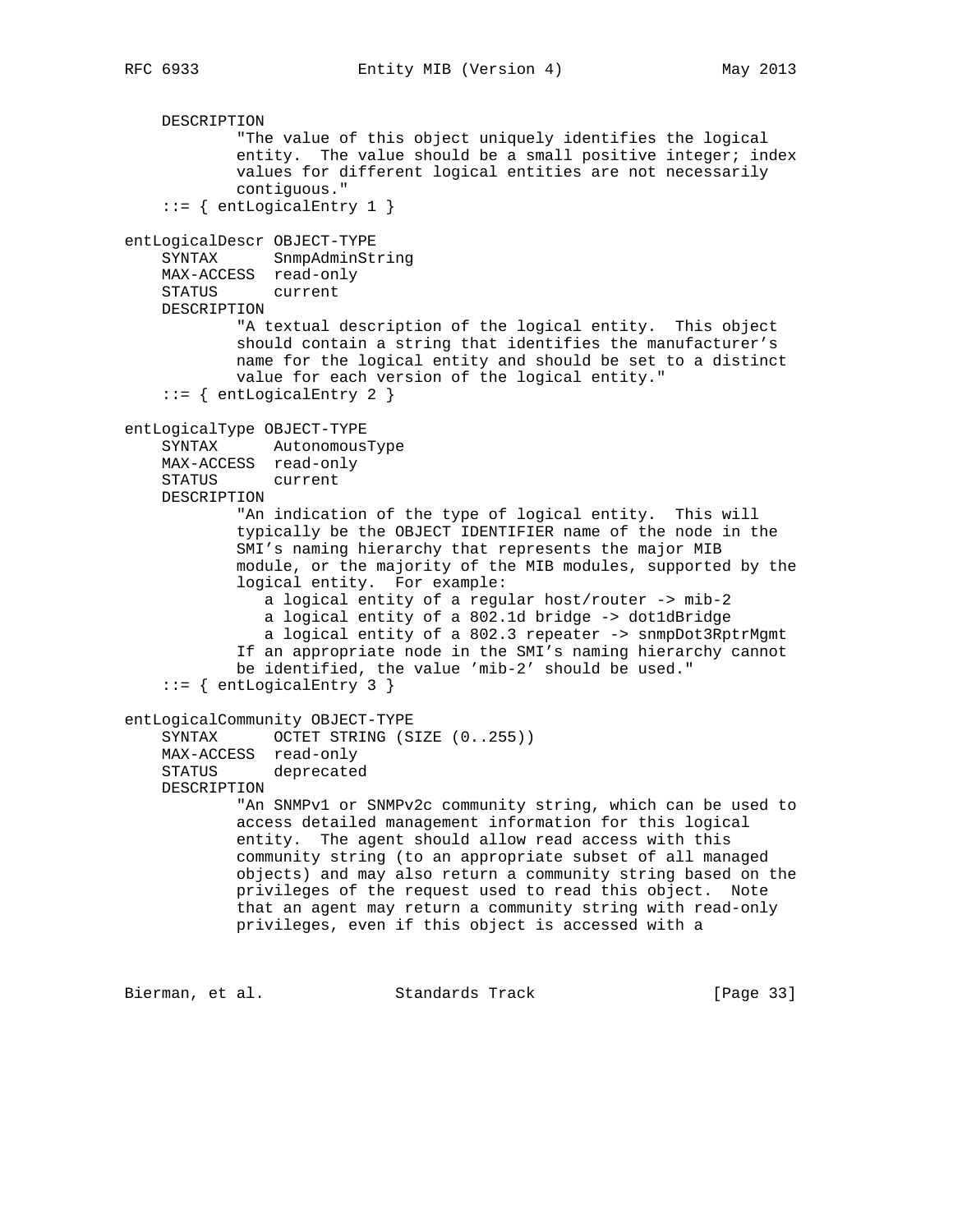DESCRIPTION "The value of this object uniquely identifies the logical entity. The value should be a small positive integer; index values for different logical entities are not necessarily contiguous."  $::=$  { entLogicalEntry 1 } entLogicalDescr OBJECT-TYPE SYNTAX SnmpAdminString MAX-ACCESS read-only STATUS current DESCRIPTION "A textual description of the logical entity. This object should contain a string that identifies the manufacturer's name for the logical entity and should be set to a distinct value for each version of the logical entity."  $::=$  { entLogicalEntry 2 } entLogicalType OBJECT-TYPE SYNTAX AutonomousType MAX-ACCESS read-only STATUS current DESCRIPTION "An indication of the type of logical entity. This will typically be the OBJECT IDENTIFIER name of the node in the SMI's naming hierarchy that represents the major MIB module, or the majority of the MIB modules, supported by the logical entity. For example: a logical entity of a regular host/router -> mib-2 a logical entity of a 802.1d bridge -> dot1dBridge a logical entity of a 802.3 repeater -> snmpDot3RptrMgmt If an appropriate node in the SMI's naming hierarchy cannot be identified, the value 'mib-2' should be used." ::= { entLogicalEntry 3 } entLogicalCommunity OBJECT-TYPE SYNTAX OCTET STRING (SIZE (0..255)) MAX-ACCESS read-only STATUS deprecated DESCRIPTION "An SNMPv1 or SNMPv2c community string, which can be used to access detailed management information for this logical entity. The agent should allow read access with this community string (to an appropriate subset of all managed objects) and may also return a community string based on the privileges of the request used to read this object. Note that an agent may return a community string with read-only privileges, even if this object is accessed with a Bierman, et al. Standards Track [Page 33]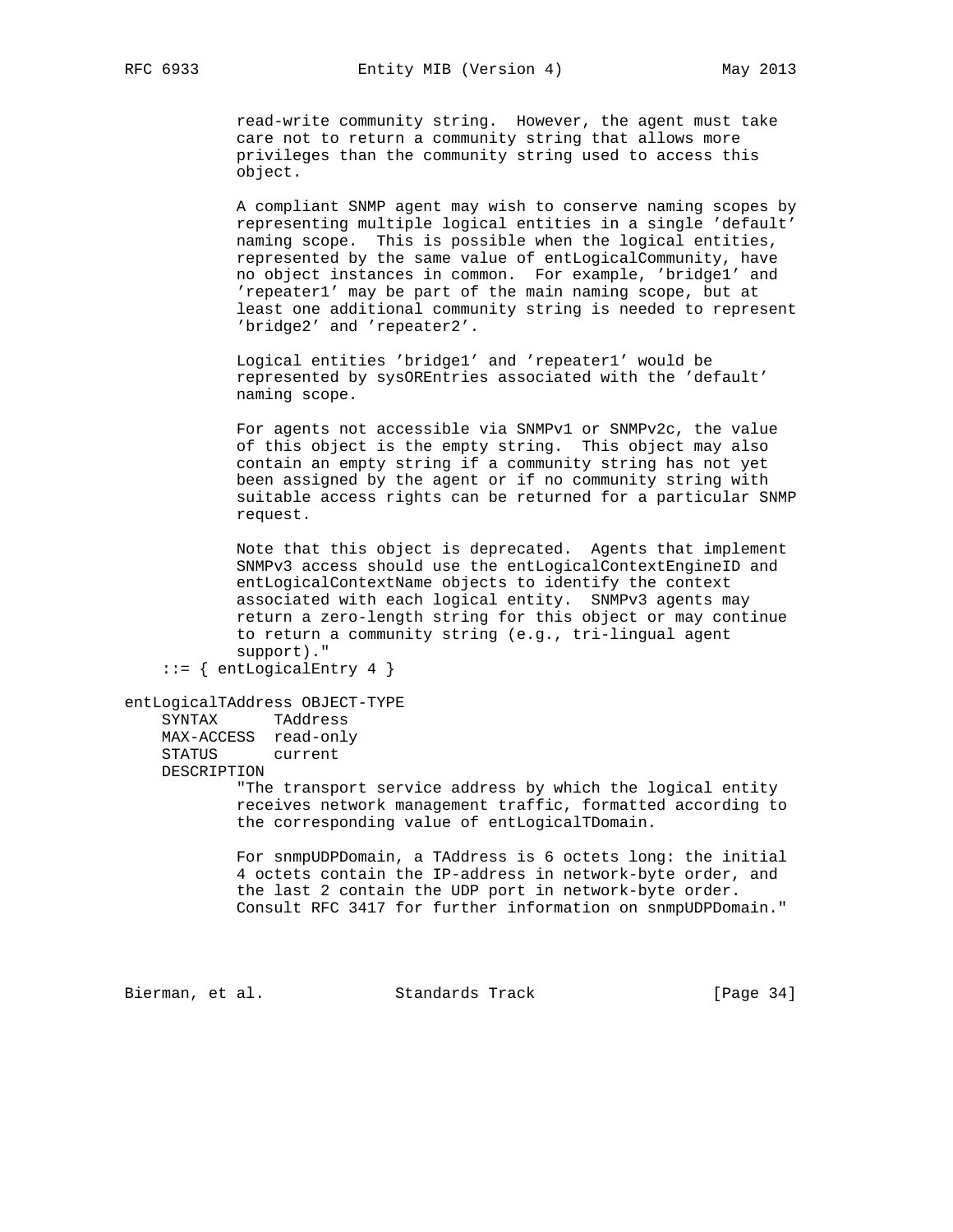read-write community string. However, the agent must take care not to return a community string that allows more privileges than the community string used to access this object.

 A compliant SNMP agent may wish to conserve naming scopes by representing multiple logical entities in a single 'default' naming scope. This is possible when the logical entities, represented by the same value of entLogicalCommunity, have no object instances in common. For example, 'bridge1' and 'repeater1' may be part of the main naming scope, but at least one additional community string is needed to represent 'bridge2' and 'repeater2'.

 Logical entities 'bridge1' and 'repeater1' would be represented by sysOREntries associated with the 'default' naming scope.

 For agents not accessible via SNMPv1 or SNMPv2c, the value of this object is the empty string. This object may also contain an empty string if a community string has not yet been assigned by the agent or if no community string with suitable access rights can be returned for a particular SNMP request.

 Note that this object is deprecated. Agents that implement SNMPv3 access should use the entLogicalContextEngineID and entLogicalContextName objects to identify the context associated with each logical entity. SNMPv3 agents may return a zero-length string for this object or may continue to return a community string (e.g., tri-lingual agent support)."

```
entLogicalTAddress OBJECT-TYPE
```
 SYNTAX TAddress MAX-ACCESS read-only STATUS current DESCRIPTION

 "The transport service address by which the logical entity receives network management traffic, formatted according to the corresponding value of entLogicalTDomain.

 For snmpUDPDomain, a TAddress is 6 octets long: the initial 4 octets contain the IP-address in network-byte order, and the last 2 contain the UDP port in network-byte order. Consult RFC 3417 for further information on snmpUDPDomain."

Bierman, et al. Standards Track [Page 34]

 $::=$  { entLogicalEntry 4 }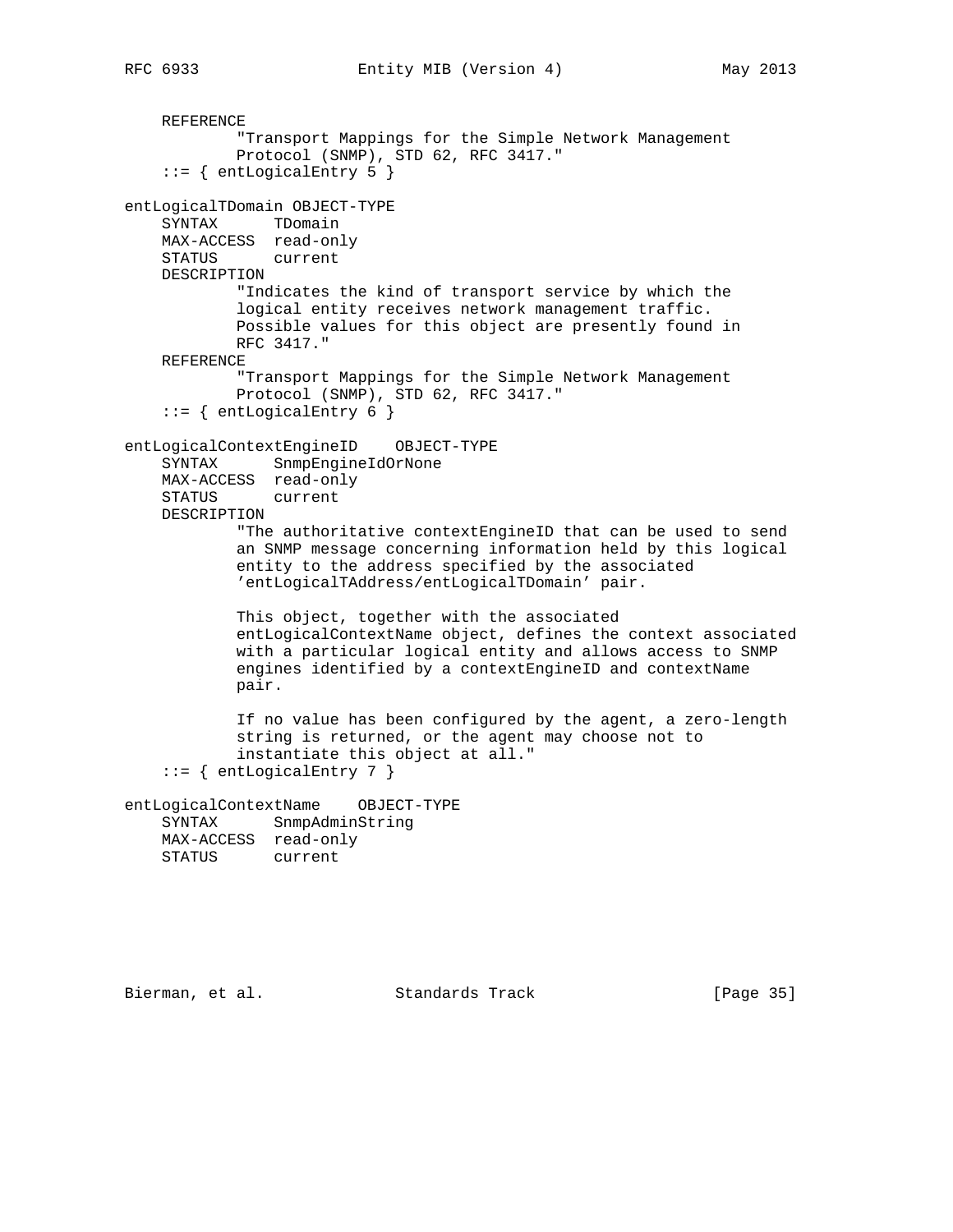```
 REFERENCE
             "Transport Mappings for the Simple Network Management
            Protocol (SNMP), STD 62, RFC 3417."
    ::= { entLogicalEntry 5 }
entLogicalTDomain OBJECT-TYPE
     SYNTAX TDomain
    MAX-ACCESS read-only
    STATUS current
    DESCRIPTION
            "Indicates the kind of transport service by which the
             logical entity receives network management traffic.
            Possible values for this object are presently found in
            RFC 3417."
     REFERENCE
             "Transport Mappings for the Simple Network Management
            Protocol (SNMP), STD 62, RFC 3417."
    ::= { entLogicalEntry 6 }
entLogicalContextEngineID OBJECT-TYPE
    SYNTAX SnmpEngineIdOrNone
    MAX-ACCESS read-only
    STATUS current
    DESCRIPTION
             "The authoritative contextEngineID that can be used to send
            an SNMP message concerning information held by this logical
            entity to the address specified by the associated
             'entLogicalTAddress/entLogicalTDomain' pair.
            This object, together with the associated
            entLogicalContextName object, defines the context associated
            with a particular logical entity and allows access to SNMP
            engines identified by a contextEngineID and contextName
            pair.
            If no value has been configured by the agent, a zero-length
            string is returned, or the agent may choose not to
            instantiate this object at all."
    ::= { entLogicalEntry 7 }
entLogicalContextName OBJECT-TYPE
    SYNTAX SnmpAdminString
    MAX-ACCESS read-only
    STATUS current
```
Bierman, et al. Standards Track [Page 35]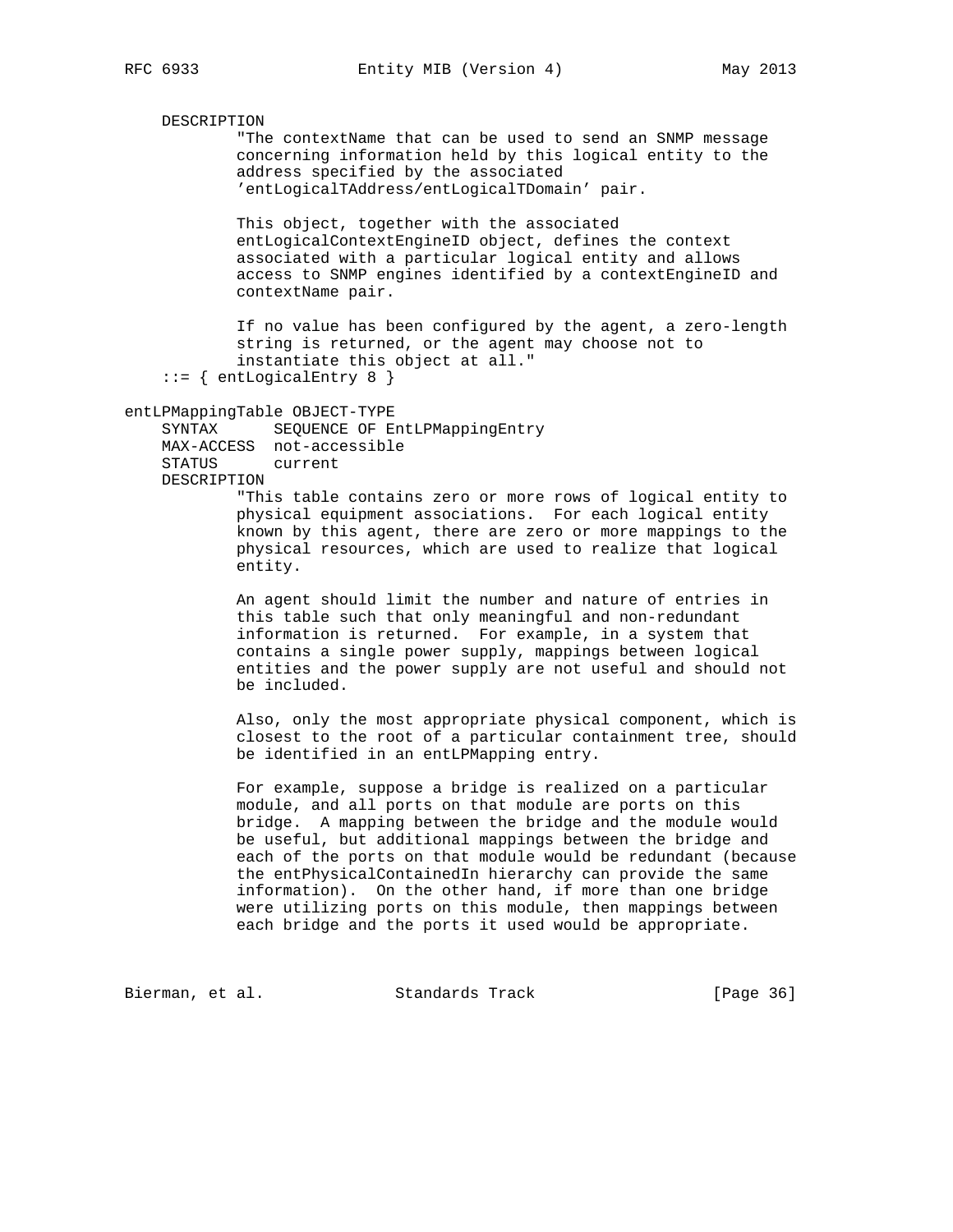DESCRIPTION

 "The contextName that can be used to send an SNMP message concerning information held by this logical entity to the address specified by the associated 'entLogicalTAddress/entLogicalTDomain' pair.

 This object, together with the associated entLogicalContextEngineID object, defines the context associated with a particular logical entity and allows access to SNMP engines identified by a contextEngineID and contextName pair.

 If no value has been configured by the agent, a zero-length string is returned, or the agent may choose not to instantiate this object at all."

::= { entLogicalEntry 8 }

entLPMappingTable OBJECT-TYPE

 SYNTAX SEQUENCE OF EntLPMappingEntry MAX-ACCESS not-accessible STATUS current DESCRIPTION

 "This table contains zero or more rows of logical entity to physical equipment associations. For each logical entity known by this agent, there are zero or more mappings to the physical resources, which are used to realize that logical entity.

 An agent should limit the number and nature of entries in this table such that only meaningful and non-redundant information is returned. For example, in a system that contains a single power supply, mappings between logical entities and the power supply are not useful and should not be included.

 Also, only the most appropriate physical component, which is closest to the root of a particular containment tree, should be identified in an entLPMapping entry.

 For example, suppose a bridge is realized on a particular module, and all ports on that module are ports on this bridge. A mapping between the bridge and the module would be useful, but additional mappings between the bridge and each of the ports on that module would be redundant (because the entPhysicalContainedIn hierarchy can provide the same information). On the other hand, if more than one bridge were utilizing ports on this module, then mappings between each bridge and the ports it used would be appropriate.

Bierman, et al. Standards Track [Page 36]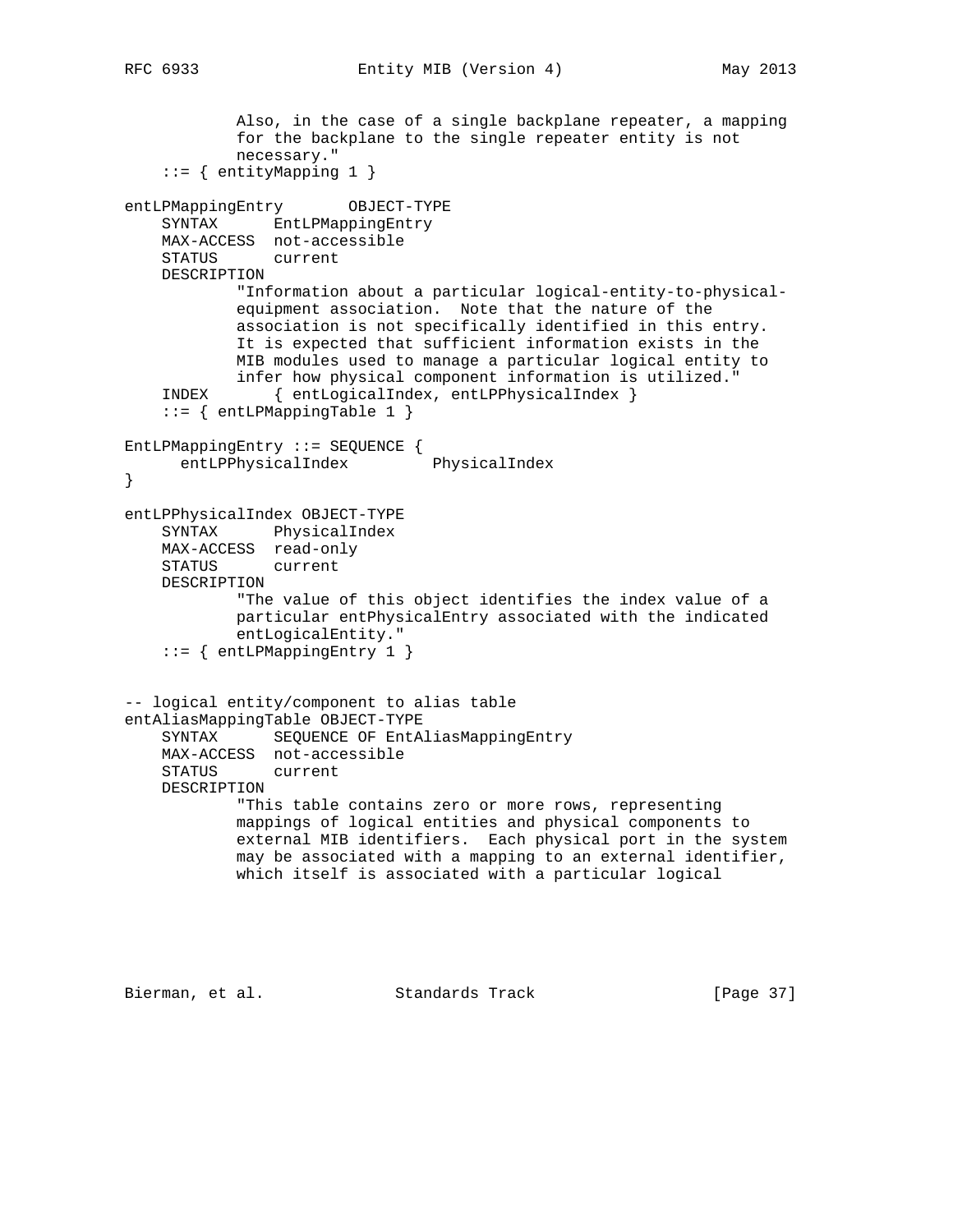```
 Also, in the case of a single backplane repeater, a mapping
             for the backplane to the single repeater entity is not
             necessary."
     ::= { entityMapping 1 }
entLPMappingEntry OBJECT-TYPE
     SYNTAX EntLPMappingEntry
    MAX-ACCESS not-accessible
    STATUS current
    DESCRIPTION
             "Information about a particular logical-entity-to-physical-
             equipment association. Note that the nature of the
             association is not specifically identified in this entry.
             It is expected that sufficient information exists in the
             MIB modules used to manage a particular logical entity to
    infer how physical component information is utilized."<br>INDEX {entLogicalIndex, entLPPhysicalIndex }
            { entLogicalIndex, entLPPhysicalIndex }
     ::= { entLPMappingTable 1 }
EntLPMappingEntry ::= SEQUENCE {
      entLPPhysicalIndex PhysicalIndex
}
entLPPhysicalIndex OBJECT-TYPE
     SYNTAX PhysicalIndex
    MAX-ACCESS read-only
    STATUS current
    DESCRIPTION
             "The value of this object identifies the index value of a
             particular entPhysicalEntry associated with the indicated
             entLogicalEntity."
     ::= { entLPMappingEntry 1 }
-- logical entity/component to alias table
entAliasMappingTable OBJECT-TYPE
     SYNTAX SEQUENCE OF EntAliasMappingEntry
    MAX-ACCESS not-accessible
    STATUS current
    DESCRIPTION
             "This table contains zero or more rows, representing
             mappings of logical entities and physical components to
             external MIB identifiers. Each physical port in the system
             may be associated with a mapping to an external identifier,
             which itself is associated with a particular logical
```
Bierman, et al. Standards Track [Page 37]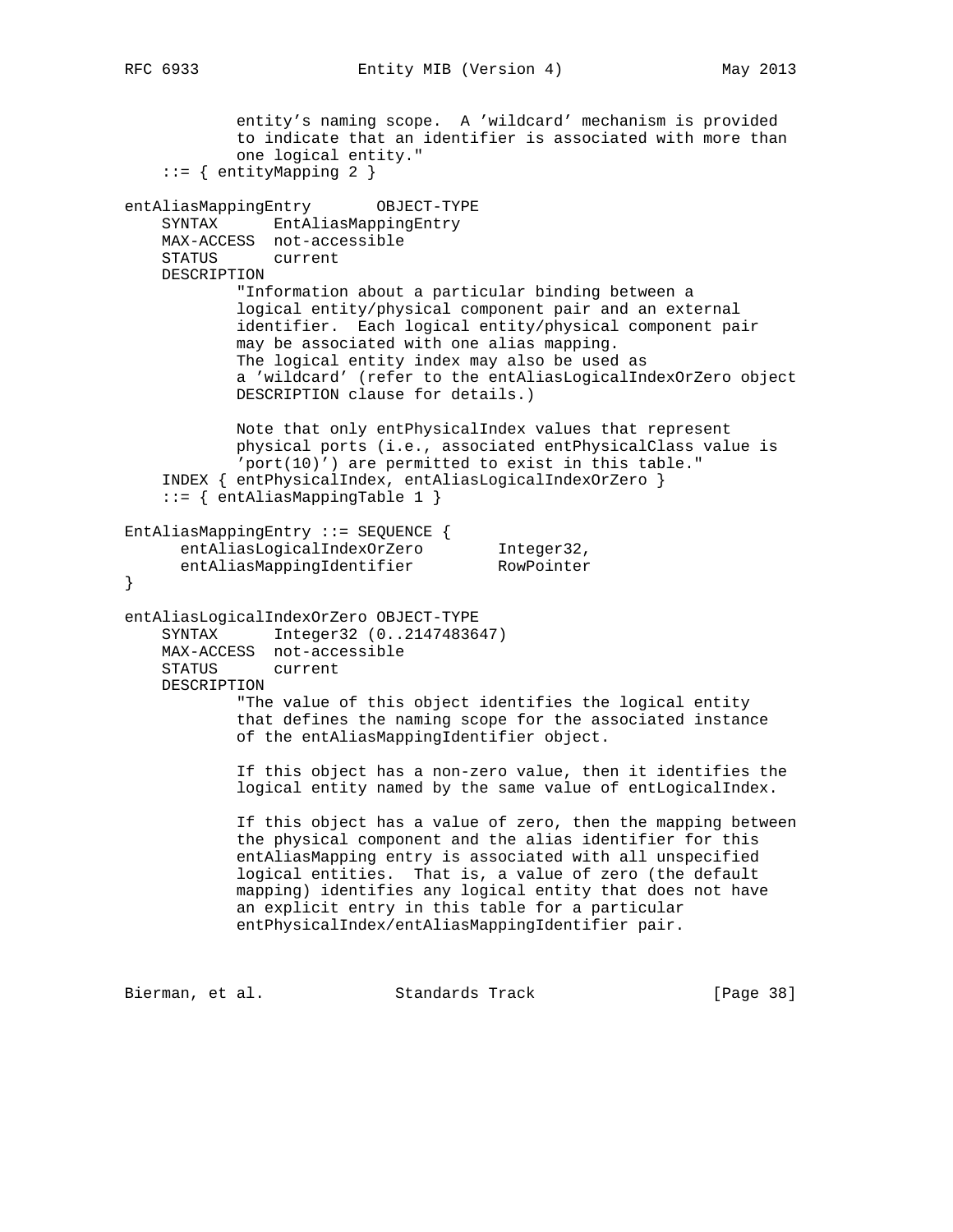RFC 6933 Entity MIB (Version 4) May 2013

 entity's naming scope. A 'wildcard' mechanism is provided to indicate that an identifier is associated with more than one logical entity." ::= { entityMapping 2 } entAliasMappingEntry OBJECT-TYPE SYNTAX EntAliasMappingEntry MAX-ACCESS not-accessible STATUS current DESCRIPTION "Information about a particular binding between a logical entity/physical component pair and an external identifier. Each logical entity/physical component pair may be associated with one alias mapping. The logical entity index may also be used as a 'wildcard' (refer to the entAliasLogicalIndexOrZero object DESCRIPTION clause for details.) Note that only entPhysicalIndex values that represent physical ports (i.e., associated entPhysicalClass value is 'port(10)') are permitted to exist in this table." INDEX { entPhysicalIndex, entAliasLogicalIndexOrZero } ::= { entAliasMappingTable 1 } EntAliasMappingEntry ::= SEQUENCE { entAliasLogicalIndexOrZero Integer32, entAliasMappingIdentifier RowPointer } entAliasLogicalIndexOrZero OBJECT-TYPE SYNTAX Integer32 (0..2147483647) MAX-ACCESS not-accessible STATUS current DESCRIPTION "The value of this object identifies the logical entity that defines the naming scope for the associated instance of the entAliasMappingIdentifier object. If this object has a non-zero value, then it identifies the logical entity named by the same value of entLogicalIndex. If this object has a value of zero, then the mapping between the physical component and the alias identifier for this entAliasMapping entry is associated with all unspecified logical entities. That is, a value of zero (the default mapping) identifies any logical entity that does not have an explicit entry in this table for a particular entPhysicalIndex/entAliasMappingIdentifier pair.

Bierman, et al. Standards Track [Page 38]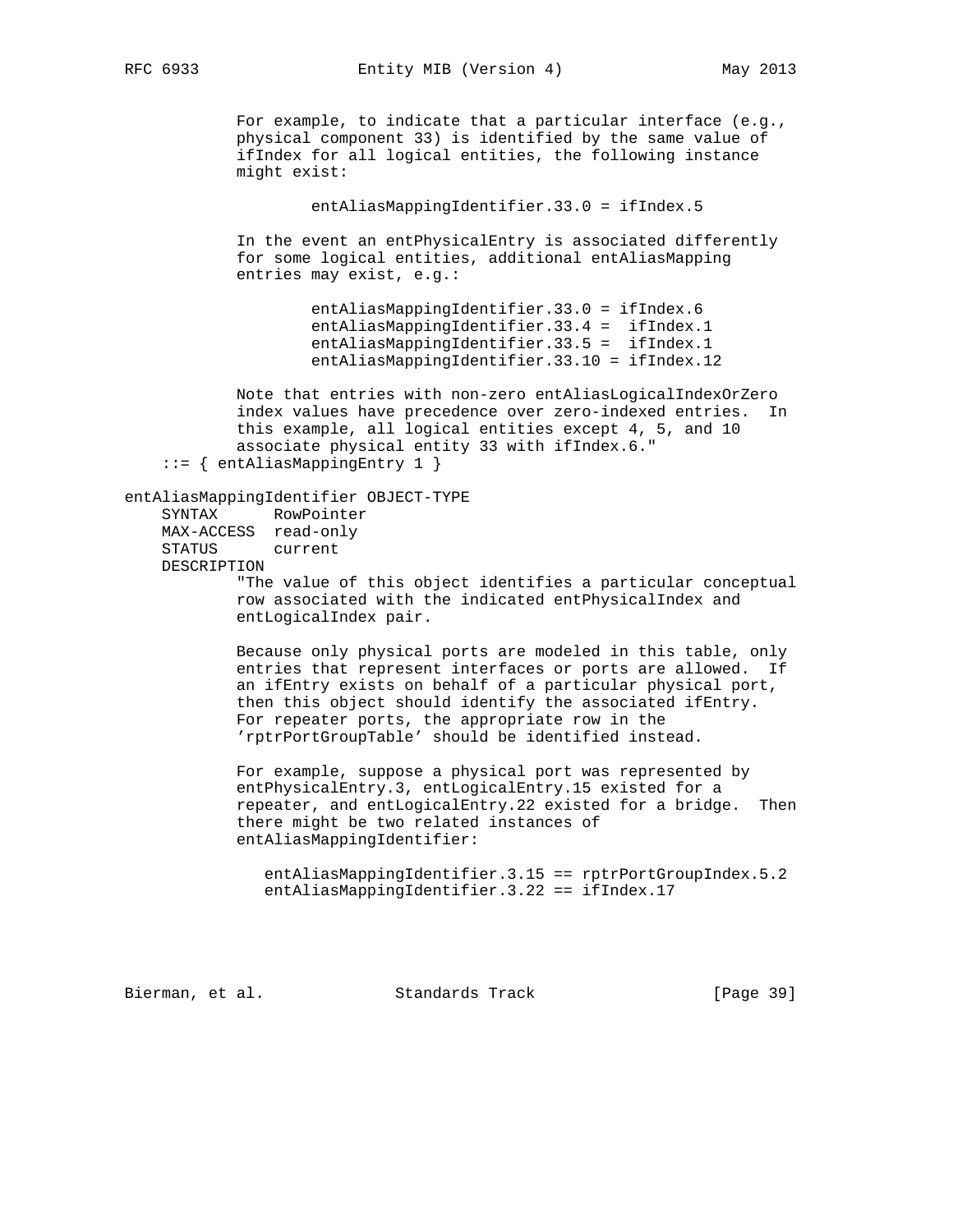RFC 6933 Entity MIB (Version 4) May 2013

For example, to indicate that a particular interface (e.g., physical component 33) is identified by the same value of ifIndex for all logical entities, the following instance might exist:

entAliasMappingIdentifier.33.0 = ifIndex.5

 In the event an entPhysicalEntry is associated differently for some logical entities, additional entAliasMapping entries may exist, e.g.:

> entAliasMappingIdentifier.33.0 = ifIndex.6 entAliasMappingIdentifier.33.4 = ifIndex.1 entAliasMappingIdentifier.33.5 = ifIndex.1 entAliasMappingIdentifier.33.10 = ifIndex.12

 Note that entries with non-zero entAliasLogicalIndexOrZero index values have precedence over zero-indexed entries. In this example, all logical entities except 4, 5, and 10 associate physical entity 33 with ifIndex.6." ::= { entAliasMappingEntry 1 }

entAliasMappingIdentifier OBJECT-TYPE

 SYNTAX RowPointer MAX-ACCESS read-only STATUS current DESCRIPTION

 "The value of this object identifies a particular conceptual row associated with the indicated entPhysicalIndex and entLogicalIndex pair.

 Because only physical ports are modeled in this table, only entries that represent interfaces or ports are allowed. If an ifEntry exists on behalf of a particular physical port, then this object should identify the associated ifEntry. For repeater ports, the appropriate row in the 'rptrPortGroupTable' should be identified instead.

 For example, suppose a physical port was represented by entPhysicalEntry.3, entLogicalEntry.15 existed for a repeater, and entLogicalEntry.22 existed for a bridge. Then there might be two related instances of entAliasMappingIdentifier:

 entAliasMappingIdentifier.3.15 == rptrPortGroupIndex.5.2 entAliasMappingIdentifier.3.22 == ifIndex.17

Bierman, et al. Standards Track [Page 39]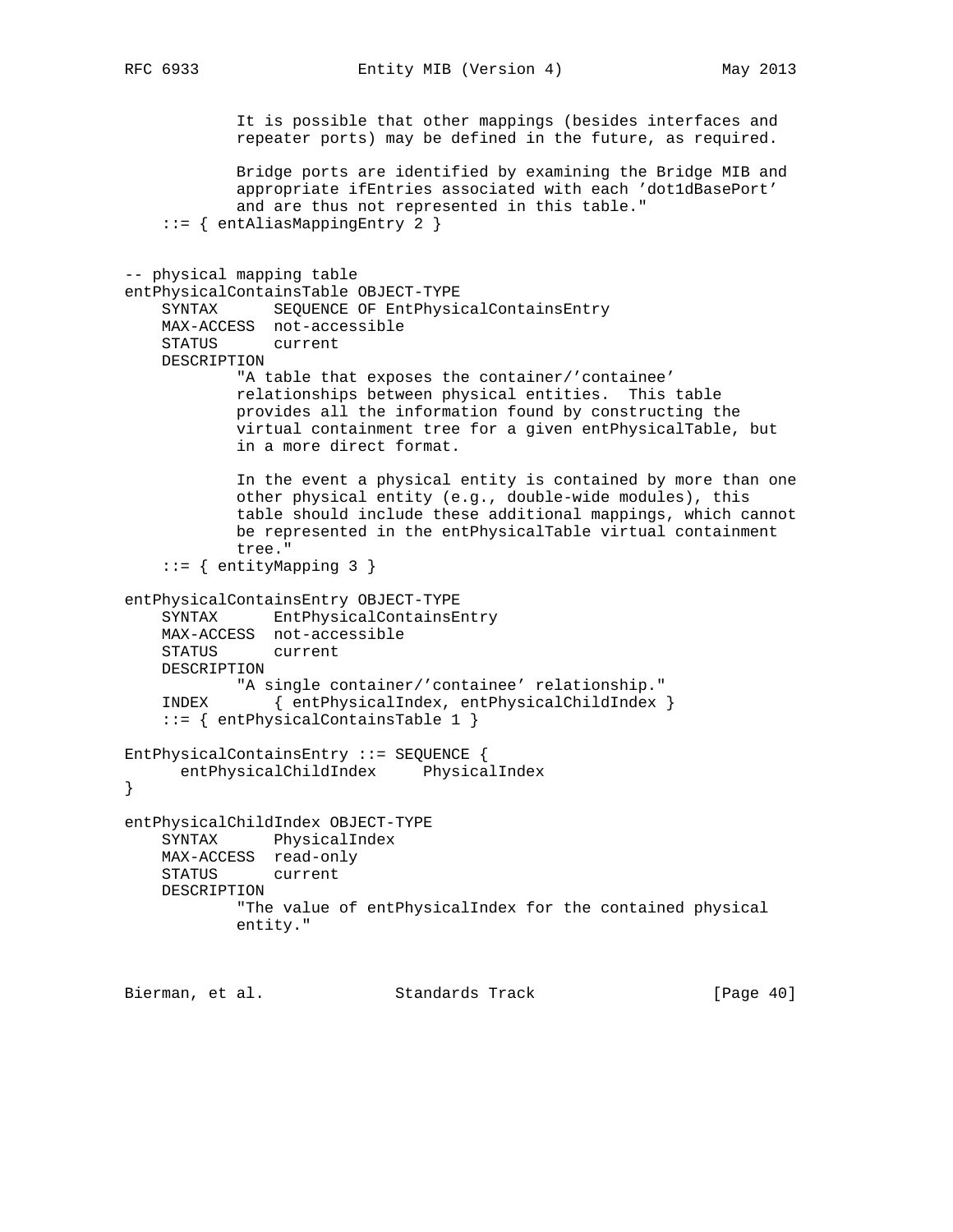```
 It is possible that other mappings (besides interfaces and
            repeater ports) may be defined in the future, as required.
            Bridge ports are identified by examining the Bridge MIB and
            appropriate ifEntries associated with each 'dot1dBasePort'
            and are thus not represented in this table."
     ::= { entAliasMappingEntry 2 }
-- physical mapping table
entPhysicalContainsTable OBJECT-TYPE
    SYNTAX SEQUENCE OF EntPhysicalContainsEntry
    MAX-ACCESS not-accessible
    STATUS current
    DESCRIPTION
            "A table that exposes the container/'containee'
            relationships between physical entities. This table
            provides all the information found by constructing the
            virtual containment tree for a given entPhysicalTable, but
            in a more direct format.
            In the event a physical entity is contained by more than one
            other physical entity (e.g., double-wide modules), this
            table should include these additional mappings, which cannot
            be represented in the entPhysicalTable virtual containment
            tree."
     ::= { entityMapping 3 }
entPhysicalContainsEntry OBJECT-TYPE
    SYNTAX EntPhysicalContainsEntry
    MAX-ACCESS not-accessible
    STATUS current
    DESCRIPTION
            "A single container/'containee' relationship."
    INDEX { entPhysicalIndex, entPhysicalChildIndex }
    ::= { entPhysicalContainsTable 1 }
EntPhysicalContainsEntry ::= SEQUENCE {
     entPhysicalChildIndex PhysicalIndex
}
entPhysicalChildIndex OBJECT-TYPE
    SYNTAX PhysicalIndex
    MAX-ACCESS read-only
    STATUS current
    DESCRIPTION
            "The value of entPhysicalIndex for the contained physical
            entity."
Bierman, et al. Standards Track [Page 40]
```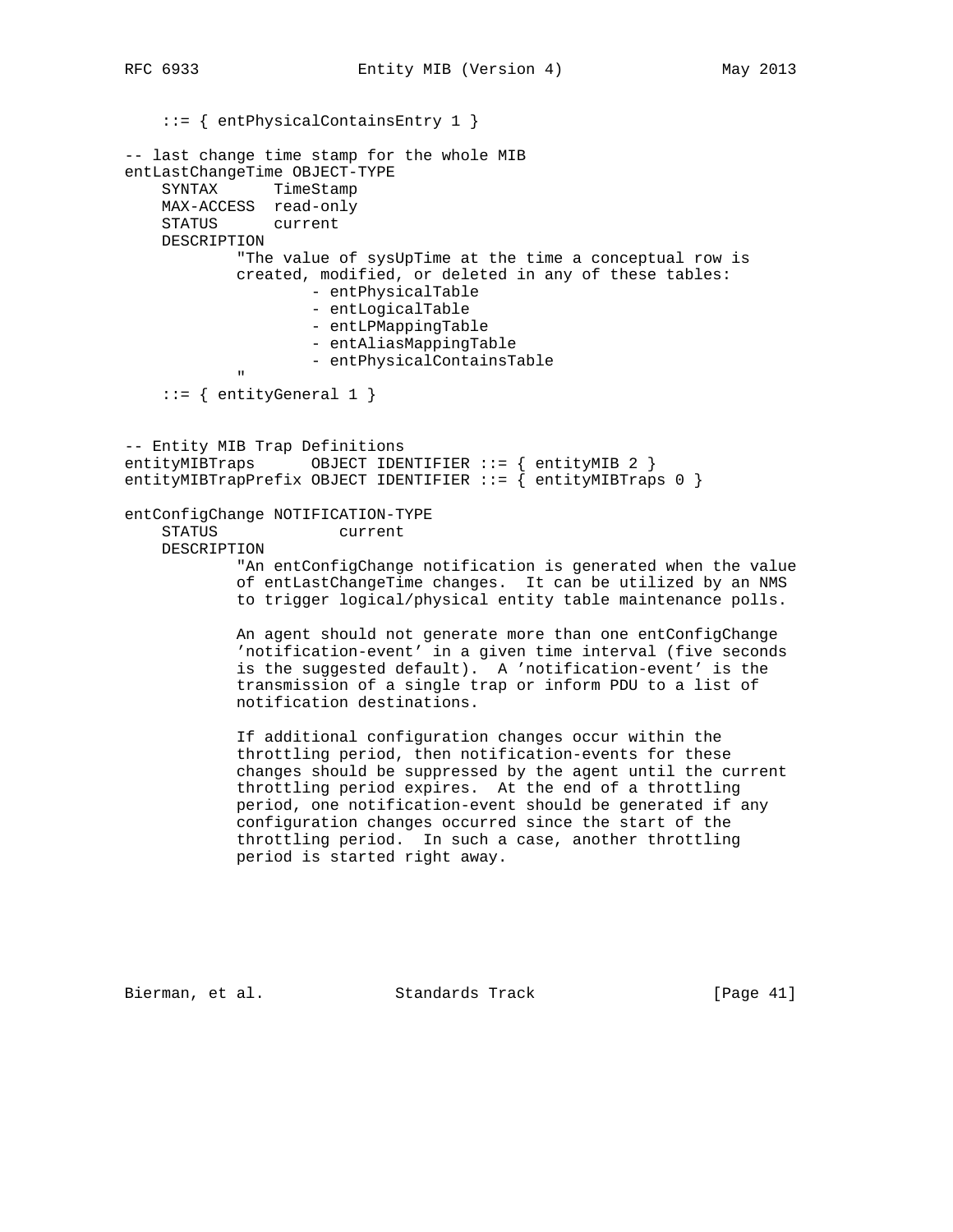::= { entPhysicalContainsEntry 1 } -- last change time stamp for the whole MIB entLastChangeTime OBJECT-TYPE SYNTAX TimeStamp MAX-ACCESS read-only STATUS current DESCRIPTION "The value of sysUpTime at the time a conceptual row is created, modified, or deleted in any of these tables: - entPhysicalTable - entLogicalTable - entLPMappingTable - entAliasMappingTable - entPhysicalContainsTable " "The Contract of the Contract of the Contract of the Contract of the Contract of the Contract of the Contract of the Contract of the Contract of the Contract of the Contract of the Contract of the Contract of the Contrac  $::=$  { entityGeneral 1 } -- Entity MIB Trap Definitions entityMIBTraps OBJECT IDENTIFIER ::= { entityMIB 2 } entityMIBTrapPrefix OBJECT IDENTIFIER ::= { entityMIBTraps 0 } entConfigChange NOTIFICATION-TYPE STATUS current DESCRIPTION "An entConfigChange notification is generated when the value of entLastChangeTime changes. It can be utilized by an NMS to trigger logical/physical entity table maintenance polls. An agent should not generate more than one entConfigChange 'notification-event' in a given time interval (five seconds is the suggested default). A 'notification-event' is the transmission of a single trap or inform PDU to a list of notification destinations. If additional configuration changes occur within the throttling period, then notification-events for these changes should be suppressed by the agent until the current throttling period expires. At the end of a throttling period, one notification-event should be generated if any

Bierman, et al. Standards Track [Page 41]

 configuration changes occurred since the start of the throttling period. In such a case, another throttling

period is started right away.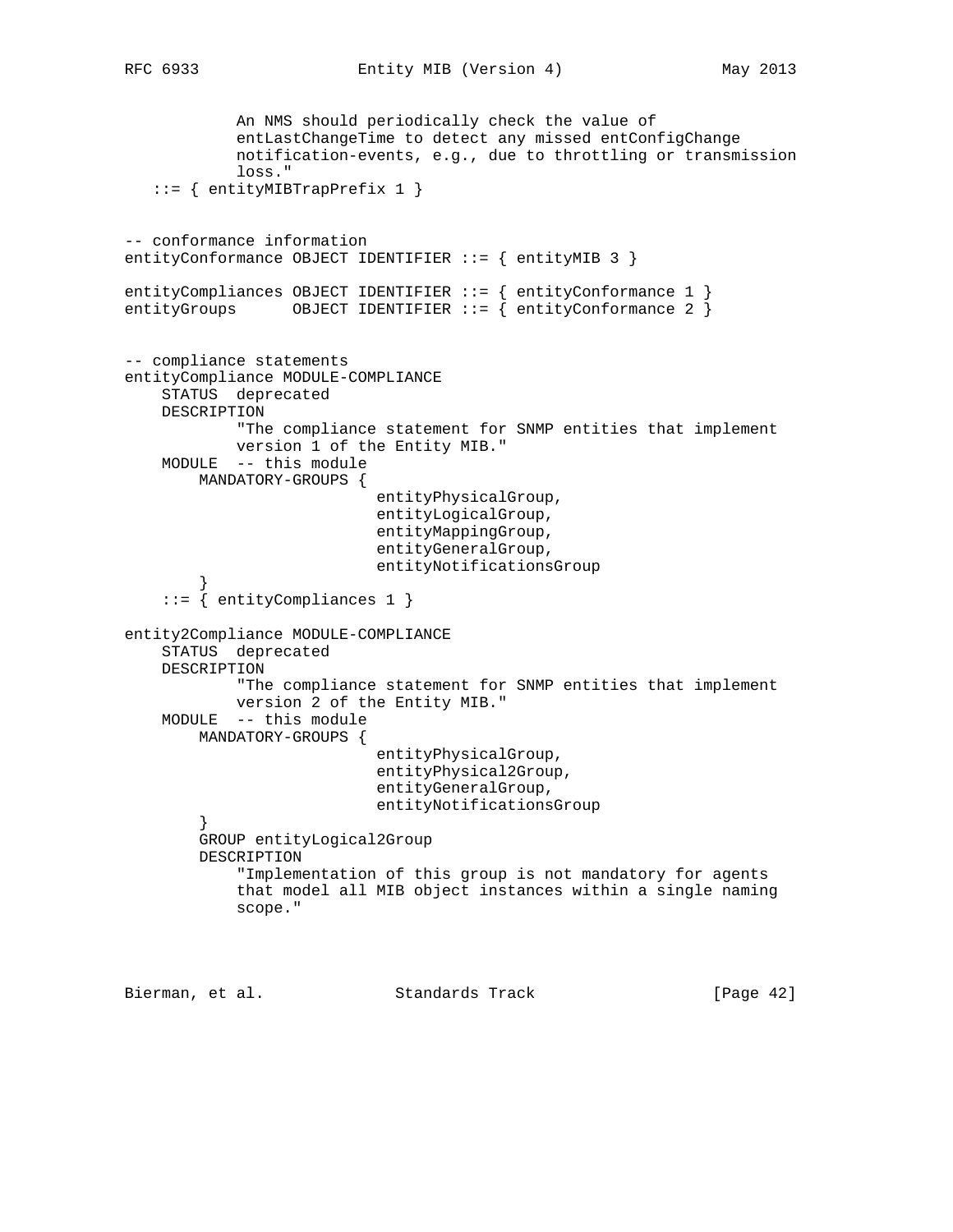An NMS should periodically check the value of entLastChangeTime to detect any missed entConfigChange notification-events, e.g., due to throttling or transmission loss." ::= { entityMIBTrapPrefix 1 } -- conformance information entityConformance OBJECT IDENTIFIER ::= { entityMIB 3 } entityCompliances OBJECT IDENTIFIER ::= { entityConformance 1 } entityGroups OBJECT IDENTIFIER ::=  $\{$  entityConformance 2  $\}$ -- compliance statements entityCompliance MODULE-COMPLIANCE STATUS deprecated DESCRIPTION "The compliance statement for SNMP entities that implement version 1 of the Entity MIB." MODULE -- this module MANDATORY-GROUPS { entityPhysicalGroup, entityLogicalGroup, entityMappingGroup, entityGeneralGroup, entityNotificationsGroup } ::= { entityCompliances 1 } entity2Compliance MODULE-COMPLIANCE STATUS deprecated DESCRIPTION "The compliance statement for SNMP entities that implement version 2 of the Entity MIB." MODULE -- this module MANDATORY-GROUPS { entityPhysicalGroup, entityPhysical2Group, entityGeneralGroup, entityNotificationsGroup } GROUP entityLogical2Group DESCRIPTION "Implementation of this group is not mandatory for agents that model all MIB object instances within a single naming scope."

Bierman, et al. Standards Track [Page 42]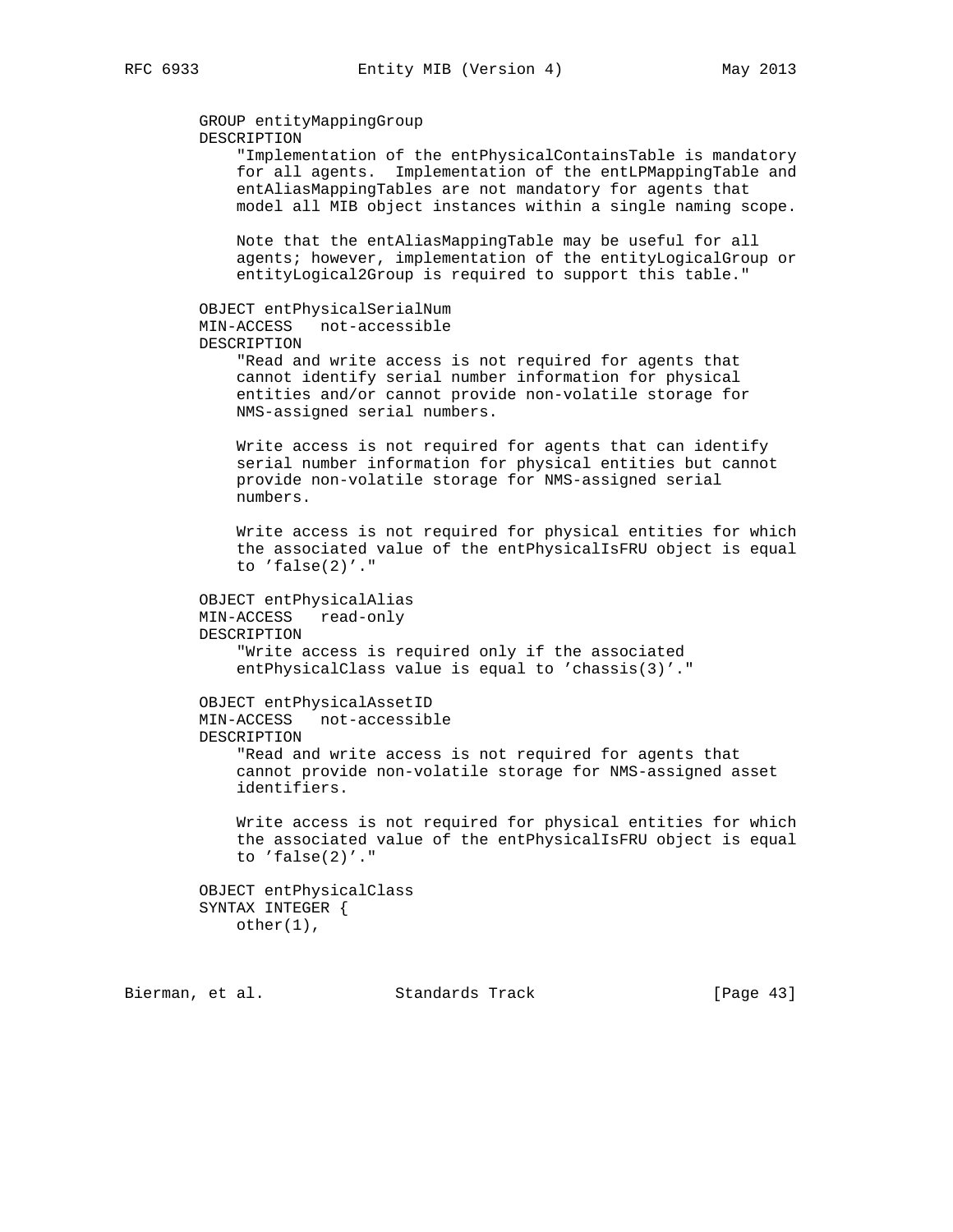```
 GROUP entityMappingGroup
 DESCRIPTION
     "Implementation of the entPhysicalContainsTable is mandatory
     for all agents. Implementation of the entLPMappingTable and
     entAliasMappingTables are not mandatory for agents that
     model all MIB object instances within a single naming scope.
     Note that the entAliasMappingTable may be useful for all
     agents; however, implementation of the entityLogicalGroup or
     entityLogical2Group is required to support this table."
 OBJECT entPhysicalSerialNum
 MIN-ACCESS not-accessible
 DESCRIPTION
     "Read and write access is not required for agents that
     cannot identify serial number information for physical
     entities and/or cannot provide non-volatile storage for
     NMS-assigned serial numbers.
     Write access is not required for agents that can identify
     serial number information for physical entities but cannot
     provide non-volatile storage for NMS-assigned serial
    numbers.
     Write access is not required for physical entities for which
     the associated value of the entPhysicalIsFRU object is equal
     to 'false(2)'."
 OBJECT entPhysicalAlias
 MIN-ACCESS read-only
 DESCRIPTION
     "Write access is required only if the associated
     entPhysicalClass value is equal to 'chassis(3)'."
 OBJECT entPhysicalAssetID
 MIN-ACCESS not-accessible
 DESCRIPTION
     "Read and write access is not required for agents that
     cannot provide non-volatile storage for NMS-assigned asset
     identifiers.
     Write access is not required for physical entities for which
     the associated value of the entPhysicalIsFRU object is equal
     to 'false(2)'."
 OBJECT entPhysicalClass
 SYNTAX INTEGER {
     other(1),
```
Bierman, et al. Standards Track [Page 43]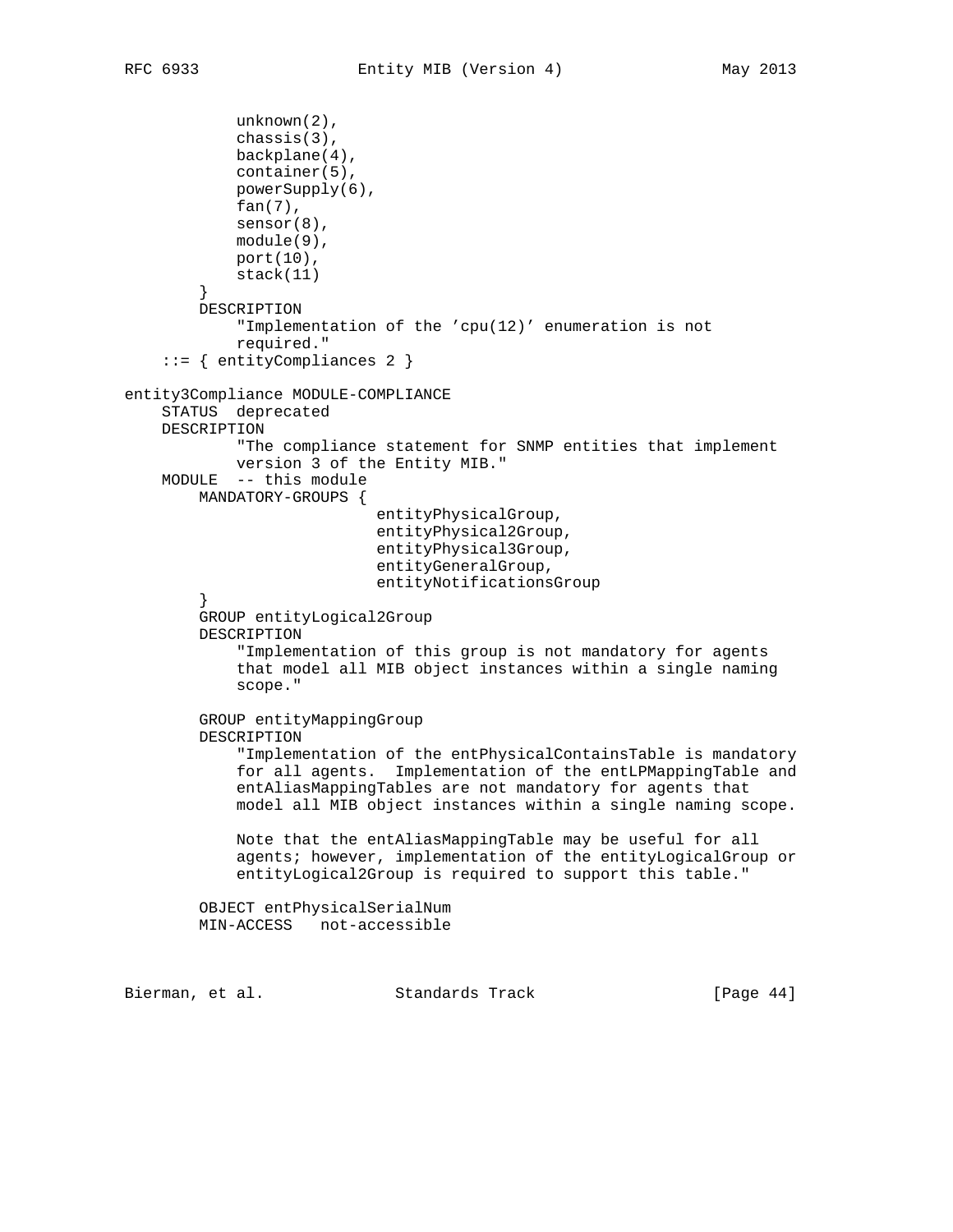```
 unknown(2),
             chassis(3),
            backplane(4),
            container(5),
            powerSupply(6),
            fan(7),
            sensor(8),
            module(9),
            port(10),
            stack(11)
 }
        DESCRIPTION
             "Implementation of the 'cpu(12)' enumeration is not
            required."
     ::= { entityCompliances 2 }
entity3Compliance MODULE-COMPLIANCE
     STATUS deprecated
    DESCRIPTION
            "The compliance statement for SNMP entities that implement
            version 3 of the Entity MIB."
    MODULE -- this module
        MANDATORY-GROUPS {
                            entityPhysicalGroup,
                            entityPhysical2Group,
                            entityPhysical3Group,
                            entityGeneralGroup,
                            entityNotificationsGroup
 }
        GROUP entityLogical2Group
        DESCRIPTION
             "Implementation of this group is not mandatory for agents
             that model all MIB object instances within a single naming
             scope."
         GROUP entityMappingGroup
        DESCRIPTION
             "Implementation of the entPhysicalContainsTable is mandatory
             for all agents. Implementation of the entLPMappingTable and
             entAliasMappingTables are not mandatory for agents that
             model all MIB object instances within a single naming scope.
            Note that the entAliasMappingTable may be useful for all
             agents; however, implementation of the entityLogicalGroup or
             entityLogical2Group is required to support this table."
        OBJECT entPhysicalSerialNum
        MIN-ACCESS not-accessible
Bierman, et al. Standards Track [Page 44]
```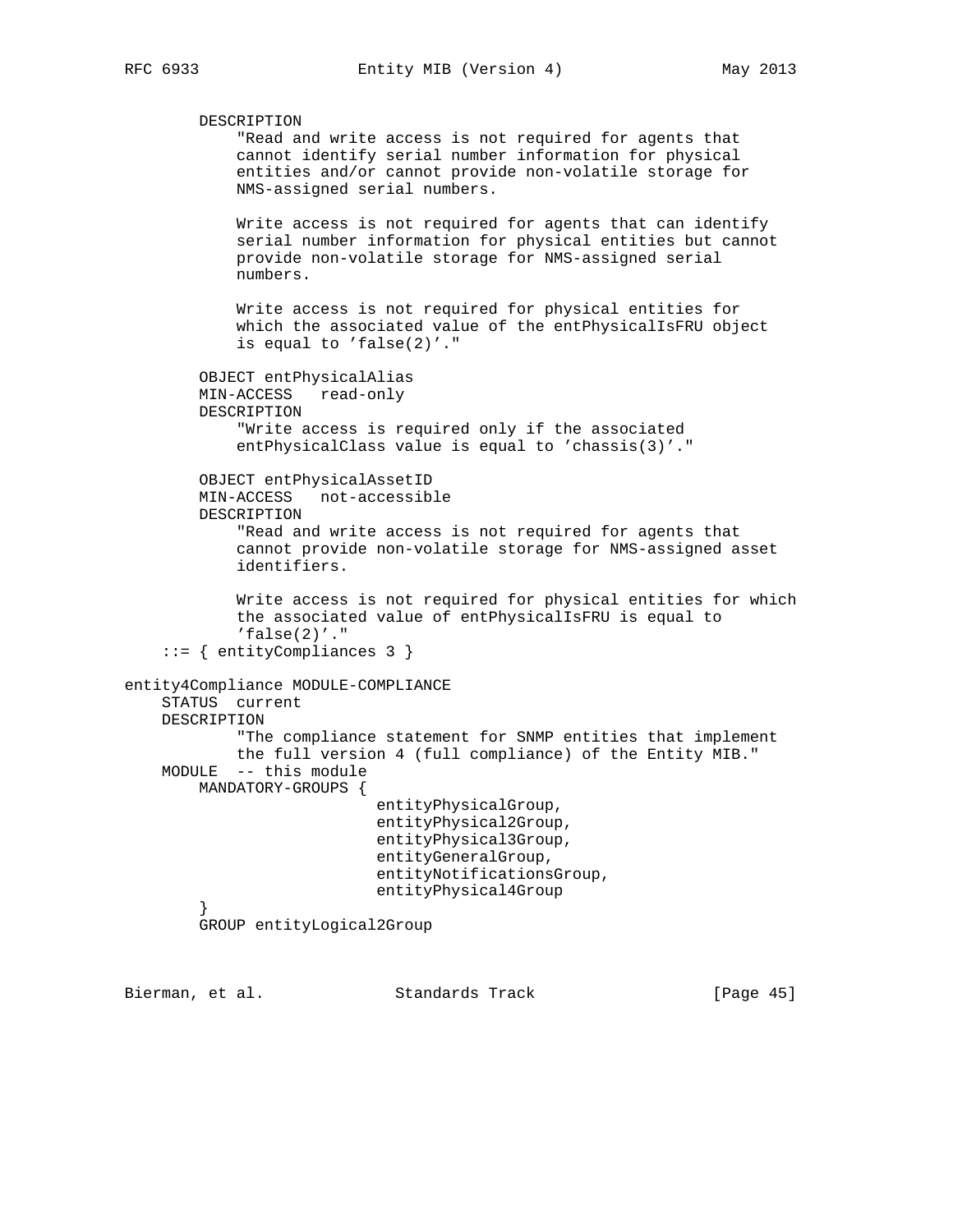```
 DESCRIPTION
             "Read and write access is not required for agents that
             cannot identify serial number information for physical
             entities and/or cannot provide non-volatile storage for
             NMS-assigned serial numbers.
             Write access is not required for agents that can identify
             serial number information for physical entities but cannot
             provide non-volatile storage for NMS-assigned serial
             numbers.
             Write access is not required for physical entities for
             which the associated value of the entPhysicalIsFRU object
             is equal to 'false(2)'."
         OBJECT entPhysicalAlias
         MIN-ACCESS read-only
         DESCRIPTION
             "Write access is required only if the associated
             entPhysicalClass value is equal to 'chassis(3)'."
         OBJECT entPhysicalAssetID
         MIN-ACCESS not-accessible
         DESCRIPTION
             "Read and write access is not required for agents that
             cannot provide non-volatile storage for NMS-assigned asset
             identifiers.
             Write access is not required for physical entities for which
             the associated value of entPhysicalIsFRU is equal to
            'false(2)'."
     ::= { entityCompliances 3 }
entity4Compliance MODULE-COMPLIANCE
     STATUS current
     DESCRIPTION
             "The compliance statement for SNMP entities that implement
            the full version 4 (full compliance) of the Entity MIB."
     MODULE -- this module
         MANDATORY-GROUPS {
                            entityPhysicalGroup,
                            entityPhysical2Group,
                            entityPhysical3Group,
                            entityGeneralGroup,
                            entityNotificationsGroup,
                            entityPhysical4Group
 }
         GROUP entityLogical2Group
```
Bierman, et al. Standards Track [Page 45]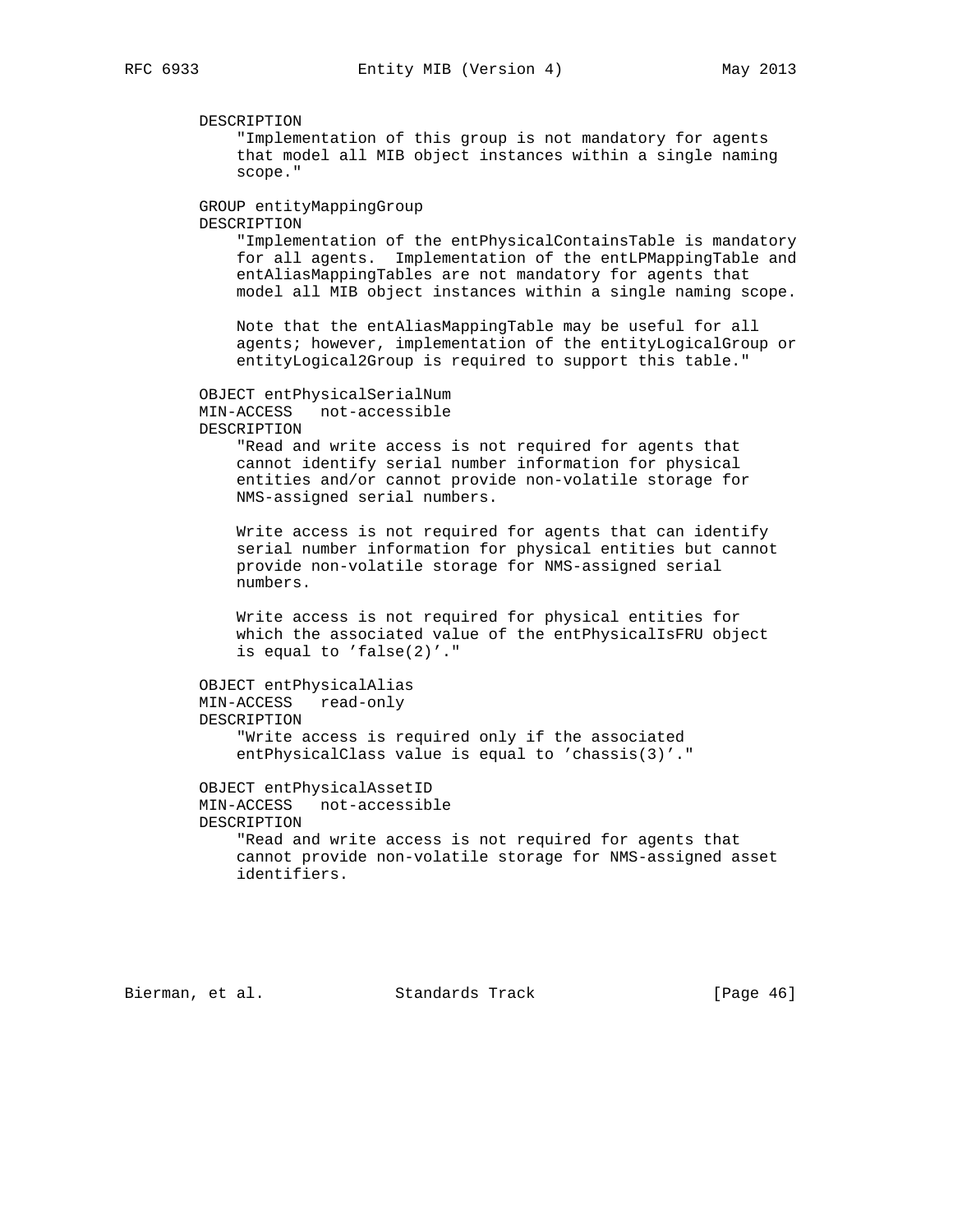DESCRIPTION "Implementation of this group is not mandatory for agents that model all MIB object instances within a single naming scope." GROUP entityMappingGroup DESCRIPTION "Implementation of the entPhysicalContainsTable is mandatory for all agents. Implementation of the entLPMappingTable and entAliasMappingTables are not mandatory for agents that model all MIB object instances within a single naming scope. Note that the entAliasMappingTable may be useful for all agents; however, implementation of the entityLogicalGroup or entityLogical2Group is required to support this table." OBJECT entPhysicalSerialNum MIN-ACCESS not-accessible DESCRIPTION "Read and write access is not required for agents that cannot identify serial number information for physical entities and/or cannot provide non-volatile storage for NMS-assigned serial numbers. Write access is not required for agents that can identify serial number information for physical entities but cannot provide non-volatile storage for NMS-assigned serial numbers. Write access is not required for physical entities for which the associated value of the entPhysicalIsFRU object is equal to 'false(2)'." OBJECT entPhysicalAlias MIN-ACCESS read-only DESCRIPTION "Write access is required only if the associated entPhysicalClass value is equal to 'chassis(3)'." OBJECT entPhysicalAssetID MIN-ACCESS not-accessible DESCRIPTION "Read and write access is not required for agents that cannot provide non-volatile storage for NMS-assigned asset identifiers.

Bierman, et al. Standards Track [Page 46]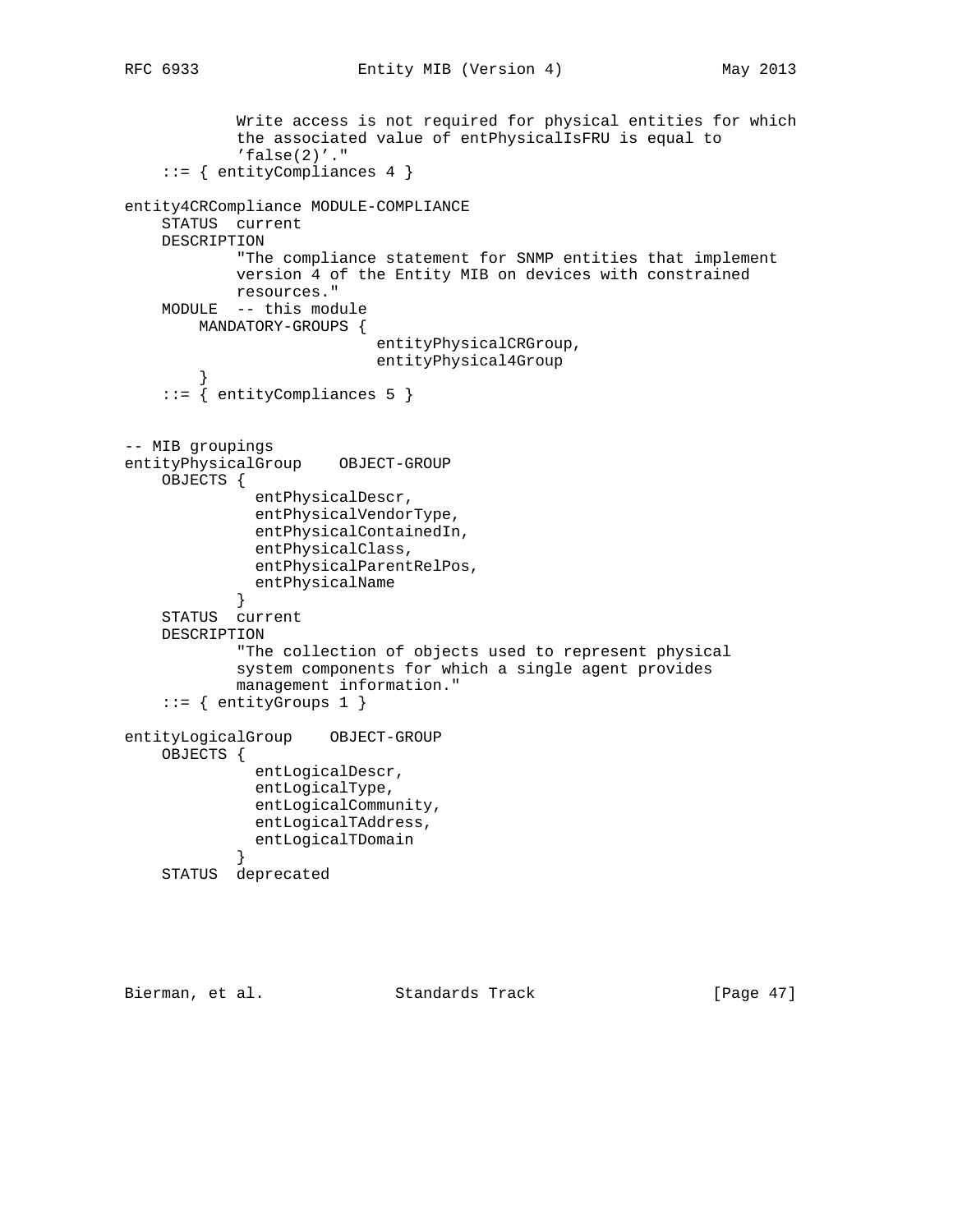```
 Write access is not required for physical entities for which
             the associated value of entPhysicalIsFRU is equal to
            'false(2)'."
     ::= { entityCompliances 4 }
entity4CRCompliance MODULE-COMPLIANCE
     STATUS current
    DESCRIPTION
             "The compliance statement for SNMP entities that implement
            version 4 of the Entity MIB on devices with constrained
            resources."
    MODULE -- this module
        MANDATORY-GROUPS {
                            entityPhysicalCRGroup,
                            entityPhysical4Group
 }
     ::= { entityCompliances 5 }
-- MIB groupings
entityPhysicalGroup OBJECT-GROUP
    OBJECTS {
              entPhysicalDescr,
              entPhysicalVendorType,
               entPhysicalContainedIn,
               entPhysicalClass,
               entPhysicalParentRelPos,
               entPhysicalName
 }
     STATUS current
    DESCRIPTION
             "The collection of objects used to represent physical
             system components for which a single agent provides
            management information."
     ::= { entityGroups 1 }
entityLogicalGroup OBJECT-GROUP
    OBJECTS {
               entLogicalDescr,
               entLogicalType,
               entLogicalCommunity,
               entLogicalTAddress,
               entLogicalTDomain
 }
     STATUS deprecated
```
Bierman, et al. Standards Track [Page 47]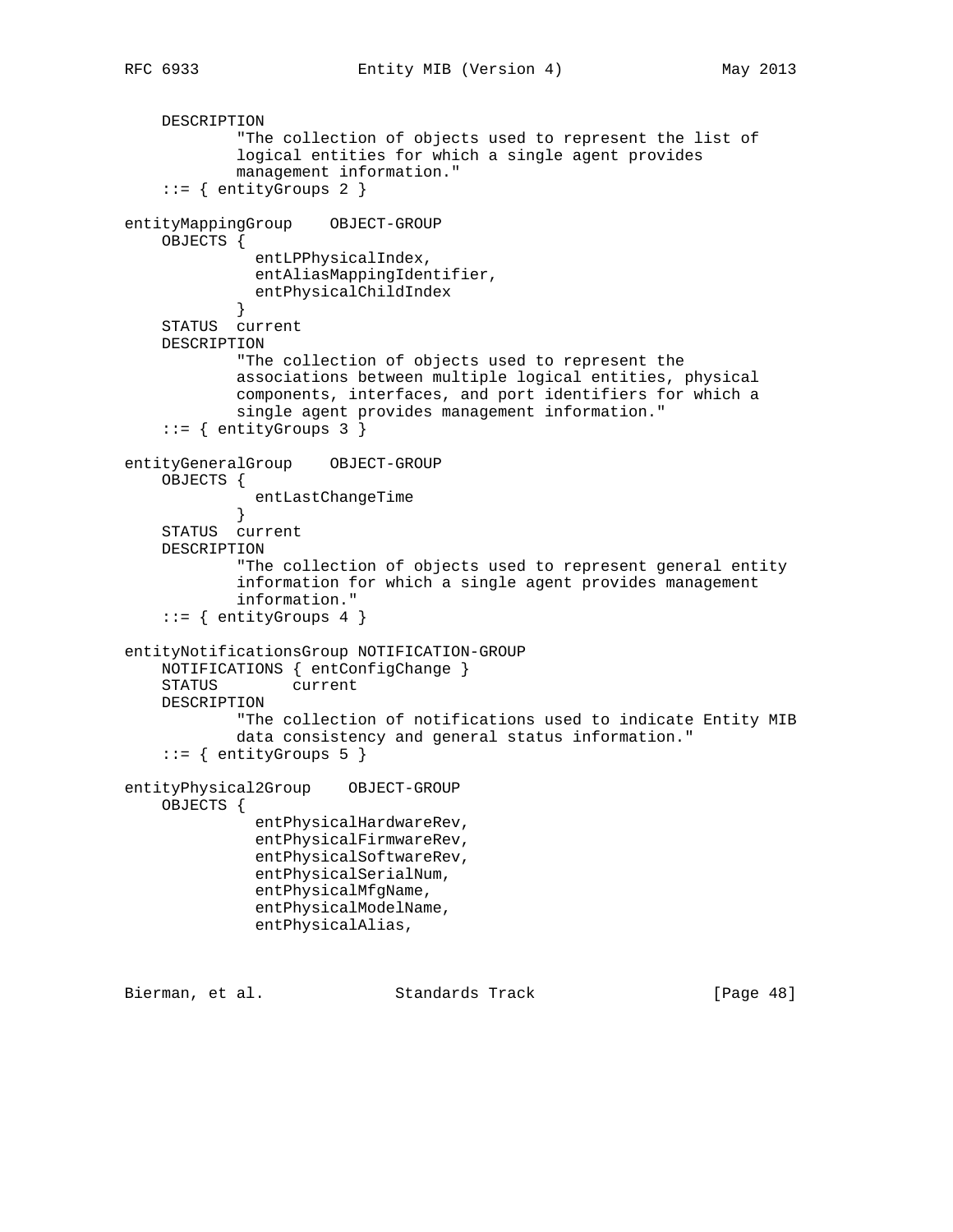```
 DESCRIPTION
```

```
 "The collection of objects used to represent the list of
             logical entities for which a single agent provides
             management information."
     ::= { entityGroups 2 }
entityMappingGroup OBJECT-GROUP
    OBJECTS {
               entLPPhysicalIndex,
               entAliasMappingIdentifier,
            entPhysicalChildIndex<br>}
 }
     STATUS current
    DESCRIPTION
             "The collection of objects used to represent the
             associations between multiple logical entities, physical
             components, interfaces, and port identifiers for which a
             single agent provides management information."
     ::= { entityGroups 3 }
entityGeneralGroup OBJECT-GROUP
     OBJECTS {
            entLastChangeTime<br>}
 }
     STATUS current
    DESCRIPTION
             "The collection of objects used to represent general entity
             information for which a single agent provides management
            information."
    ::= { entityGroups 4 }
entityNotificationsGroup NOTIFICATION-GROUP
    NOTIFICATIONS { entConfigChange }
     STATUS current
    DESCRIPTION
             "The collection of notifications used to indicate Entity MIB
            data consistency and general status information."
    ::= { entityGroups 5 }
entityPhysical2Group OBJECT-GROUP
    OBJECTS {
               entPhysicalHardwareRev,
               entPhysicalFirmwareRev,
               entPhysicalSoftwareRev,
               entPhysicalSerialNum,
               entPhysicalMfgName,
               entPhysicalModelName,
               entPhysicalAlias,
```
Bierman, et al. Standards Track [Page 48]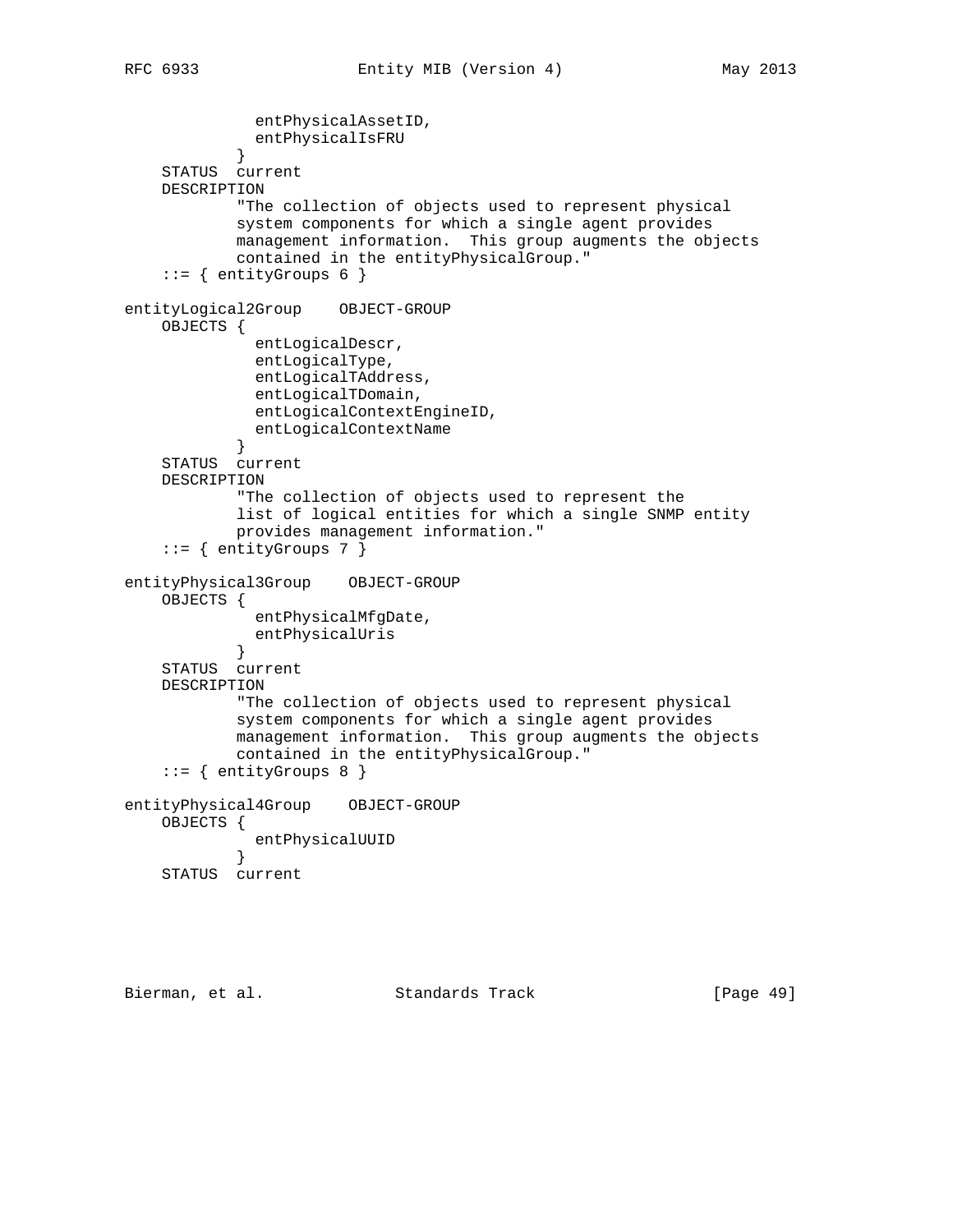```
 entPhysicalAssetID,
            entPhysicalIsFRU<br>}
 }
     STATUS current
     DESCRIPTION
             "The collection of objects used to represent physical
             system components for which a single agent provides
            management information. This group augments the objects
            contained in the entityPhysicalGroup."
    ::= { entityGroups 6 }
entityLogical2Group OBJECT-GROUP
     OBJECTS {
               entLogicalDescr,
               entLogicalType,
               entLogicalTAddress,
               entLogicalTDomain,
              entLogicalContextEngineID,
            entLogicalContextName<br>}
 }
     STATUS current
    DESCRIPTION
             "The collection of objects used to represent the
             list of logical entities for which a single SNMP entity
            provides management information."
    ::= { entityGroups 7 }
entityPhysical3Group OBJECT-GROUP
    OBJECTS {
               entPhysicalMfgDate,
              entPhysicalUris
 }
     STATUS current
     DESCRIPTION
             "The collection of objects used to represent physical
            system components for which a single agent provides
            management information. This group augments the objects
            contained in the entityPhysicalGroup."
     ::= { entityGroups 8 }
entityPhysical4Group OBJECT-GROUP
    OBJECTS {
              entPhysicalUUID
             }
     STATUS current
```
Bierman, et al. Standards Track [Page 49]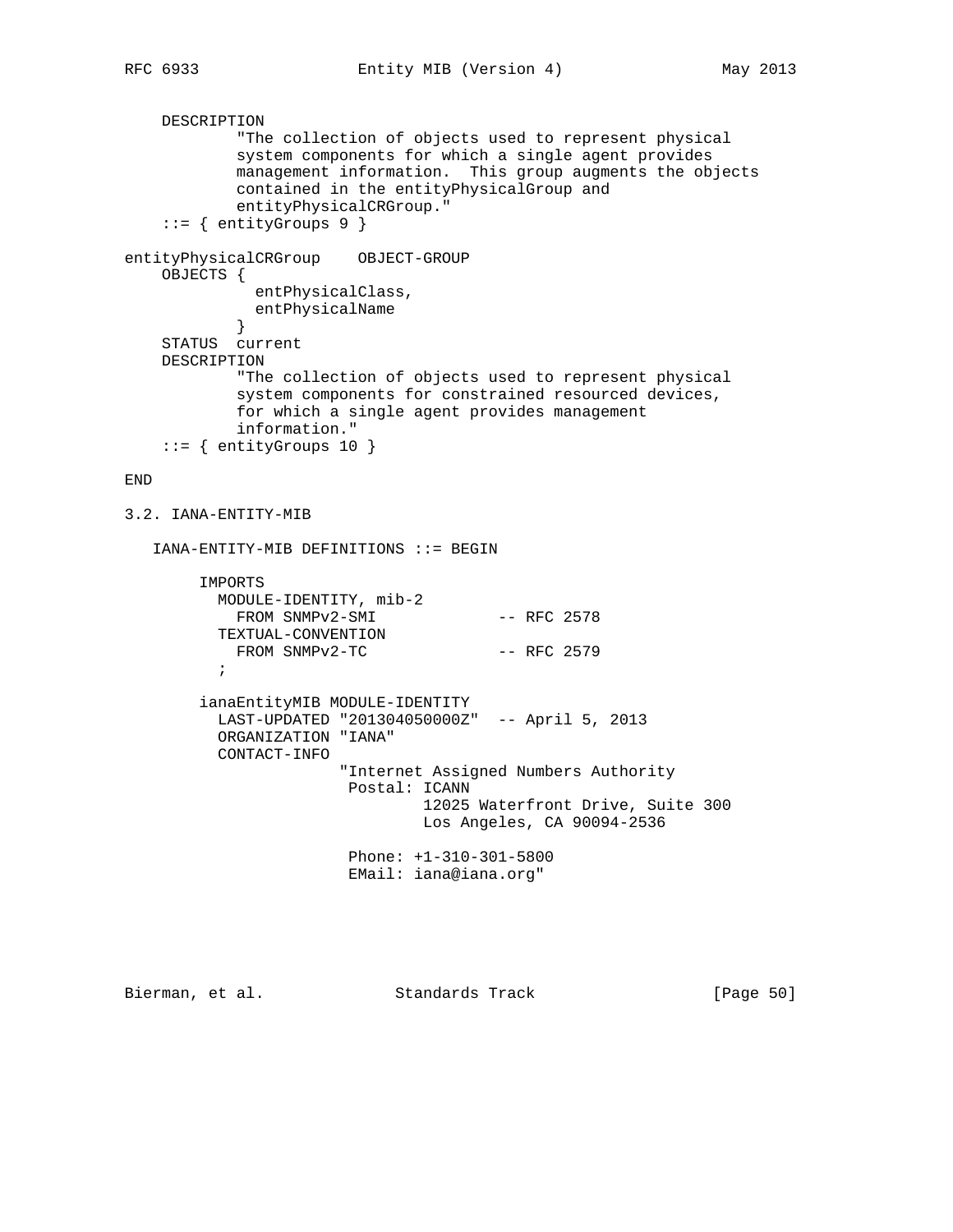```
 DESCRIPTION
             "The collection of objects used to represent physical
             system components for which a single agent provides
            management information. This group augments the objects
            contained in the entityPhysicalGroup and
            entityPhysicalCRGroup."
     ::= { entityGroups 9 }
entityPhysicalCRGroup OBJECT-GROUP
    OBJECTS {
              entPhysicalClass,
            entPhysicalName<br>}
 }
     STATUS current
    DESCRIPTION
            "The collection of objects used to represent physical
            system components for constrained resourced devices,
            for which a single agent provides management
            information."
    ::= { entityGroups 10 }
END
3.2. IANA-ENTITY-MIB
    IANA-ENTITY-MIB DEFINITIONS ::= BEGIN
         IMPORTS
          MODULE-IDENTITY, mib-2
           FROM SNMPv2-SMI -- RFC 2578
           TEXTUAL-CONVENTION
          FROM SNMPv2-TC -- RFC 2579
\mathcal{L}^{\text{max}} ianaEntityMIB MODULE-IDENTITY
          LAST-UPDATED "201304050000Z" -- April 5, 2013
           ORGANIZATION "IANA"
           CONTACT-INFO
                        "Internet Assigned Numbers Authority
                         Postal: ICANN
                                 12025 Waterfront Drive, Suite 300
                                 Los Angeles, CA 90094-2536
                         Phone: +1-310-301-5800
                         EMail: iana@iana.org"
```
Bierman, et al. Standards Track [Page 50]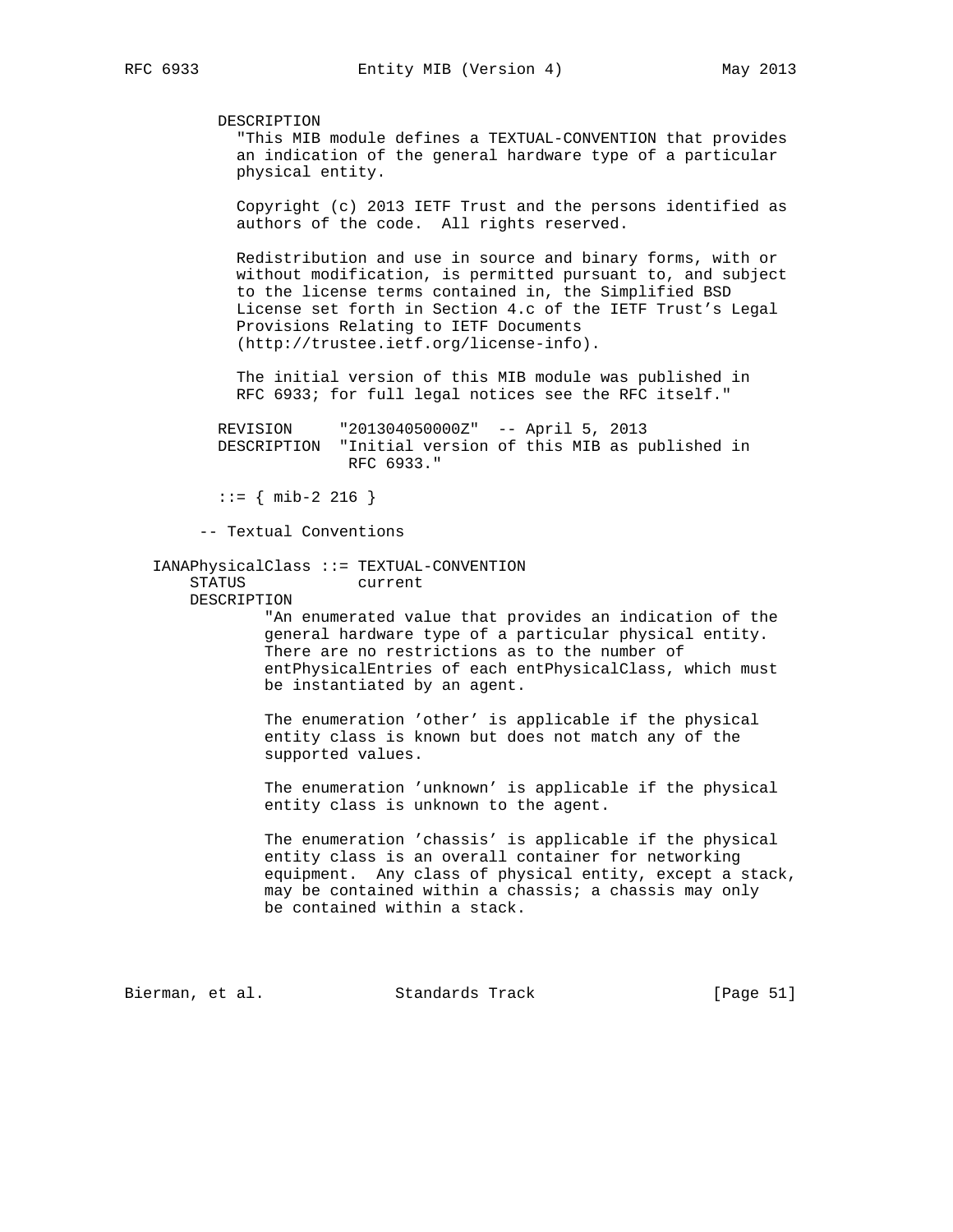DESCRIPTION "This MIB module defines a TEXTUAL-CONVENTION that provides an indication of the general hardware type of a particular physical entity. Copyright (c) 2013 IETF Trust and the persons identified as authors of the code. All rights reserved. Redistribution and use in source and binary forms, with or without modification, is permitted pursuant to, and subject to the license terms contained in, the Simplified BSD License set forth in Section 4.c of the IETF Trust's Legal Provisions Relating to IETF Documents (http://trustee.ietf.org/license-info). The initial version of this MIB module was published in RFC 6933; for full legal notices see the RFC itself." REVISION "201304050000Z" -- April 5, 2013 DESCRIPTION "Initial version of this MIB as published in RFC 6933." ::= { mib-2 216 } -- Textual Conventions IANAPhysicalClass ::= TEXTUAL-CONVENTION STATUS current DESCRIPTION "An enumerated value that provides an indication of the general hardware type of a particular physical entity. There are no restrictions as to the number of entPhysicalEntries of each entPhysicalClass, which must be instantiated by an agent. The enumeration 'other' is applicable if the physical entity class is known but does not match any of the supported values. The enumeration 'unknown' is applicable if the physical entity class is unknown to the agent. The enumeration 'chassis' is applicable if the physical entity class is an overall container for networking equipment. Any class of physical entity, except a stack, may be contained within a chassis; a chassis may only be contained within a stack. Bierman, et al. Standards Track [Page 51]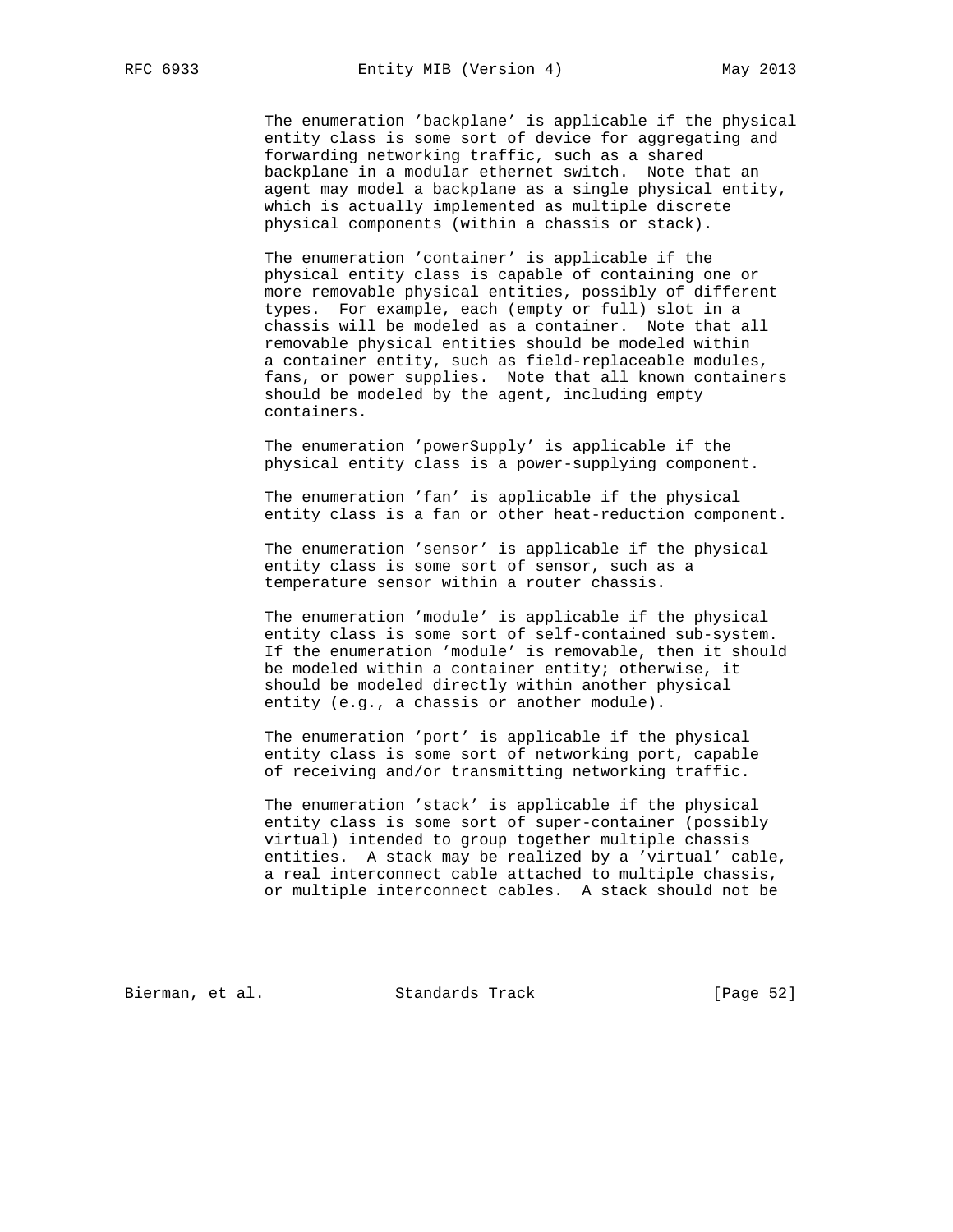The enumeration 'backplane' is applicable if the physical entity class is some sort of device for aggregating and forwarding networking traffic, such as a shared backplane in a modular ethernet switch. Note that an agent may model a backplane as a single physical entity, which is actually implemented as multiple discrete physical components (within a chassis or stack).

 The enumeration 'container' is applicable if the physical entity class is capable of containing one or more removable physical entities, possibly of different types. For example, each (empty or full) slot in a chassis will be modeled as a container. Note that all removable physical entities should be modeled within a container entity, such as field-replaceable modules, fans, or power supplies. Note that all known containers should be modeled by the agent, including empty containers.

 The enumeration 'powerSupply' is applicable if the physical entity class is a power-supplying component.

 The enumeration 'fan' is applicable if the physical entity class is a fan or other heat-reduction component.

 The enumeration 'sensor' is applicable if the physical entity class is some sort of sensor, such as a temperature sensor within a router chassis.

 The enumeration 'module' is applicable if the physical entity class is some sort of self-contained sub-system. If the enumeration 'module' is removable, then it should be modeled within a container entity; otherwise, it should be modeled directly within another physical entity (e.g., a chassis or another module).

 The enumeration 'port' is applicable if the physical entity class is some sort of networking port, capable of receiving and/or transmitting networking traffic.

 The enumeration 'stack' is applicable if the physical entity class is some sort of super-container (possibly virtual) intended to group together multiple chassis entities. A stack may be realized by a 'virtual' cable, a real interconnect cable attached to multiple chassis, or multiple interconnect cables. A stack should not be

Bierman, et al. Standards Track [Page 52]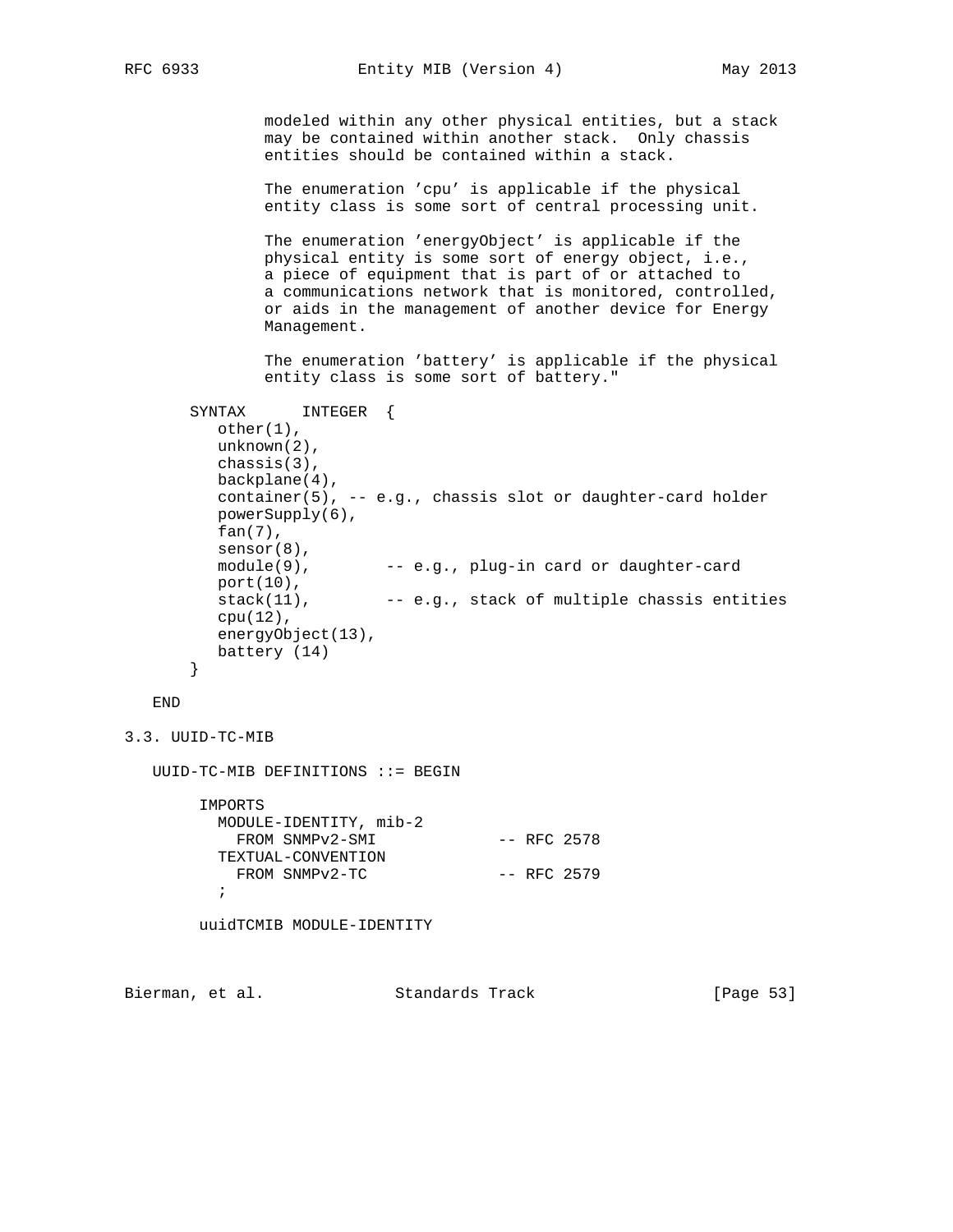modeled within any other physical entities, but a stack may be contained within another stack. Only chassis entities should be contained within a stack.

 The enumeration 'cpu' is applicable if the physical entity class is some sort of central processing unit.

 The enumeration 'energyObject' is applicable if the physical entity is some sort of energy object, i.e., a piece of equipment that is part of or attached to a communications network that is monitored, controlled, or aids in the management of another device for Energy Management.

 The enumeration 'battery' is applicable if the physical entity class is some sort of battery."

```
 SYNTAX INTEGER {
   other(1),
   unknown(2),
   chassis(3),
   backplane(4),
   container(5), -- e.g., chassis slot or daughter-card holder
   powerSupply(6),
   fan(7),
   sensor(8),
  module(9), -- e.g., plug-in card or daughter-card
   port(10),
   stack(11), -- e.g., stack of multiple chassis entities
   cpu(12),
   energyObject(13),
   battery (14)
 }
```
END

```
3.3. UUID-TC-MIB
```
UUID-TC-MIB DEFINITIONS ::= BEGIN

 IMPORTS MODULE-IDENTITY, mib-2 FROM SNMPv2-SMI -- RFC 2578 TEXTUAL-CONVENTION FROM SNMPv2-TC -- RFC 2579  $\mathcal{L}^{\text{max}}$ 

uuidTCMIB MODULE-IDENTITY

Bierman, et al. Standards Track [Page 53]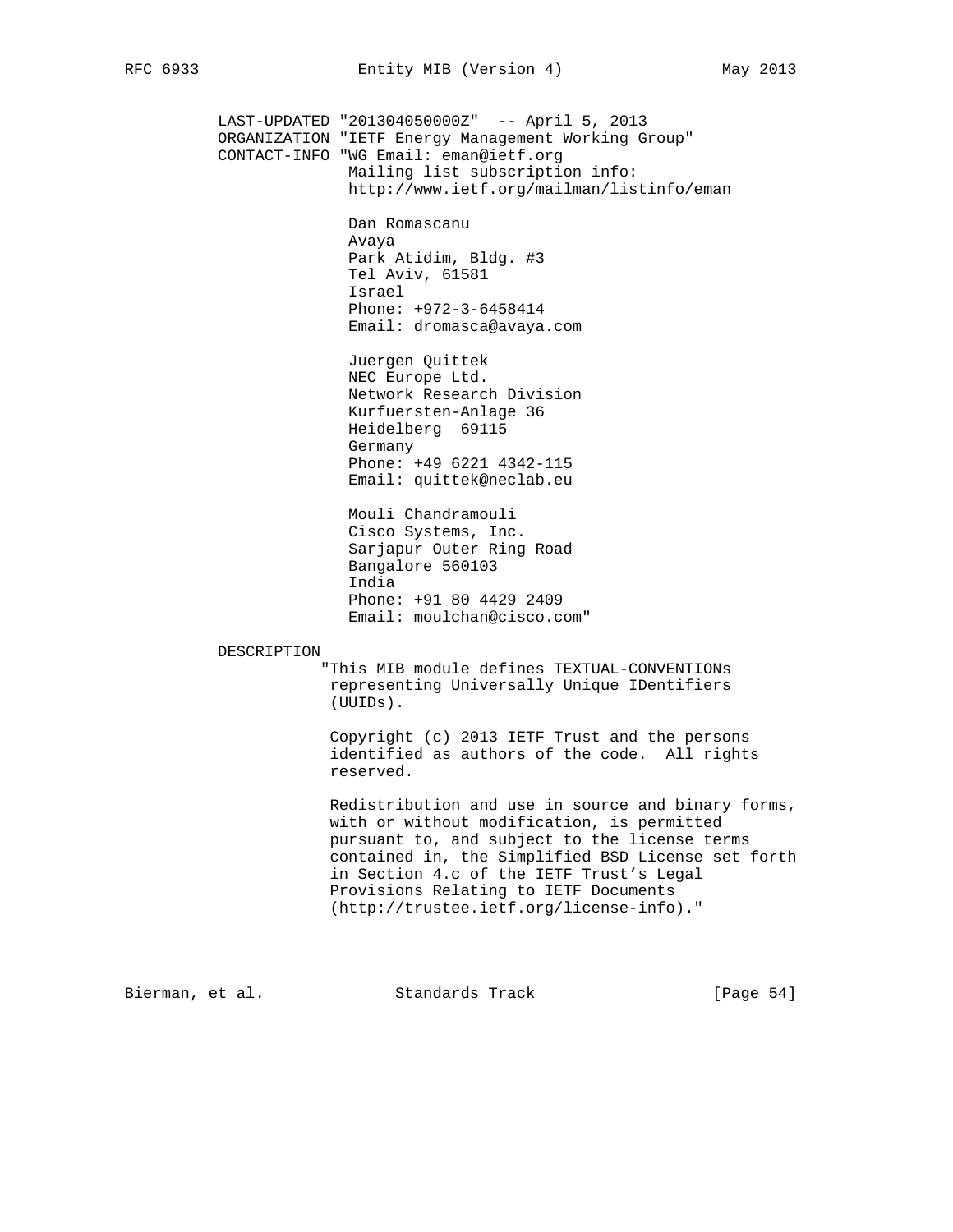LAST-UPDATED "201304050000Z" -- April 5, 2013 ORGANIZATION "IETF Energy Management Working Group" CONTACT-INFO "WG Email: eman@ietf.org Mailing list subscription info: http://www.ietf.org/mailman/listinfo/eman Dan Romascanu Avaya Park Atidim, Bldg. #3 Tel Aviv, 61581 Israel Phone: +972-3-6458414 Email: dromasca@avaya.com Juergen Quittek NEC Europe Ltd. Network Research Division Kurfuersten-Anlage 36 Heidelberg 69115 Germany Phone: +49 6221 4342-115 Email: quittek@neclab.eu Mouli Chandramouli Cisco Systems, Inc. Sarjapur Outer Ring Road Bangalore 560103 India Phone: +91 80 4429 2409 Email: moulchan@cisco.com" DESCRIPTION "This MIB module defines TEXTUAL-CONVENTIONs representing Universally Unique IDentifiers (UUIDs). Copyright (c) 2013 IETF Trust and the persons identified as authors of the code. All rights reserved. Redistribution and use in source and binary forms, with or without modification, is permitted pursuant to, and subject to the license terms contained in, the Simplified BSD License set forth in Section 4.c of the IETF Trust's Legal Provisions Relating to IETF Documents (http://trustee.ietf.org/license-info)."

Bierman, et al. Standards Track [Page 54]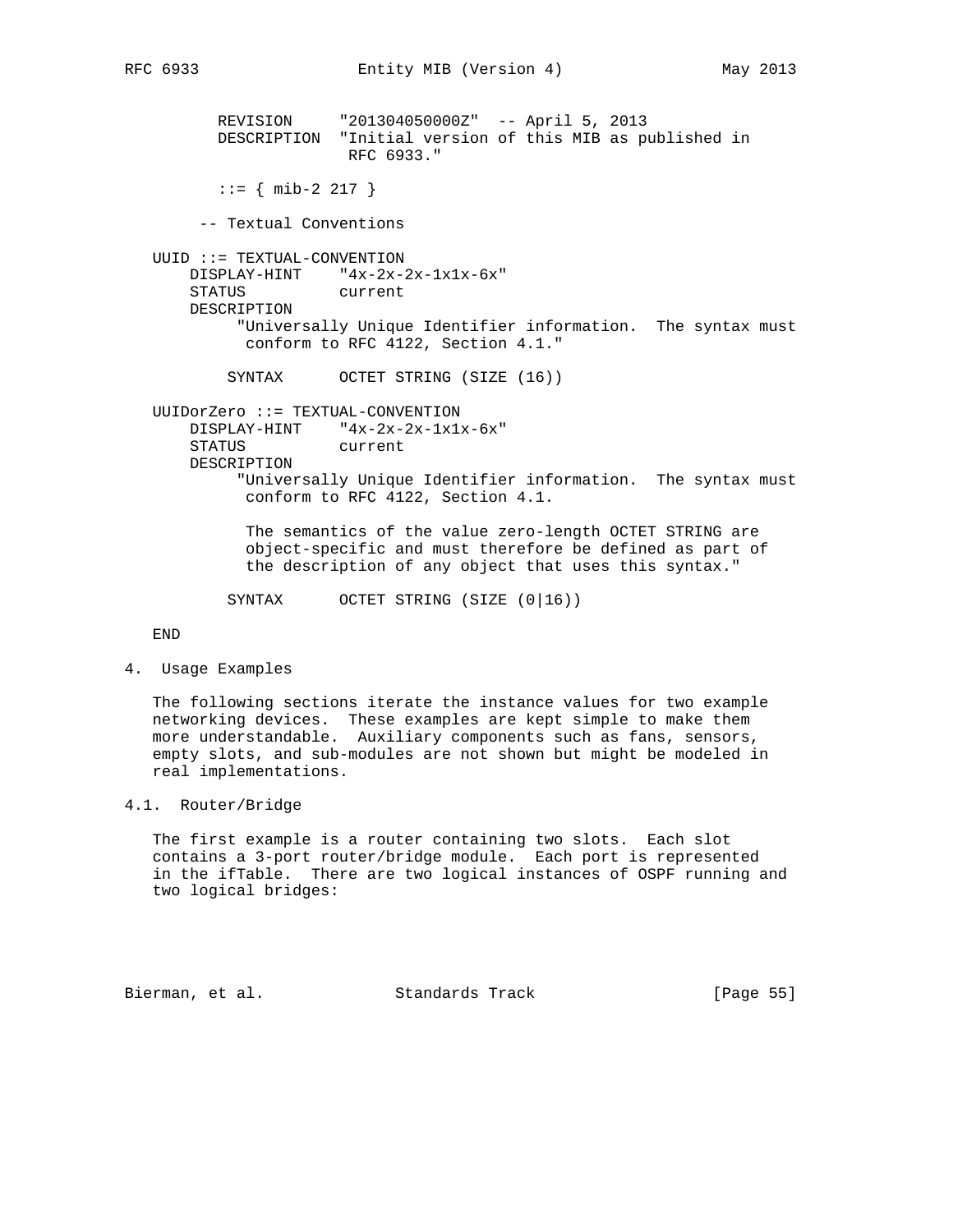REVISION "201304050000Z" -- April 5, 2013 DESCRIPTION "Initial version of this MIB as published in RFC 6933."

 $::=$  { mib-2 217 }

-- Textual Conventions

 UUID ::= TEXTUAL-CONVENTION DISPLAY-HINT "4x-2x-2x-1x1x-6x" STATUS current DESCRIPTION "Universally Unique Identifier information. The syntax must conform to RFC 4122, Section 4.1."

SYNTAX OCTET STRING (SIZE (16))

UUIDorZero ::= TEXTUAL-CONVENTION

 DISPLAY-HINT "4x-2x-2x-1x1x-6x" STATUS current

DESCRIPTION

 "Universally Unique Identifier information. The syntax must conform to RFC 4122, Section 4.1.

 The semantics of the value zero-length OCTET STRING are object-specific and must therefore be defined as part of the description of any object that uses this syntax."

SYNTAX OCTET STRING (SIZE (0|16))

END

4. Usage Examples

 The following sections iterate the instance values for two example networking devices. These examples are kept simple to make them more understandable. Auxiliary components such as fans, sensors, empty slots, and sub-modules are not shown but might be modeled in real implementations.

## 4.1. Router/Bridge

 The first example is a router containing two slots. Each slot contains a 3-port router/bridge module. Each port is represented in the ifTable. There are two logical instances of OSPF running and two logical bridges:

Bierman, et al. Standards Track [Page 55]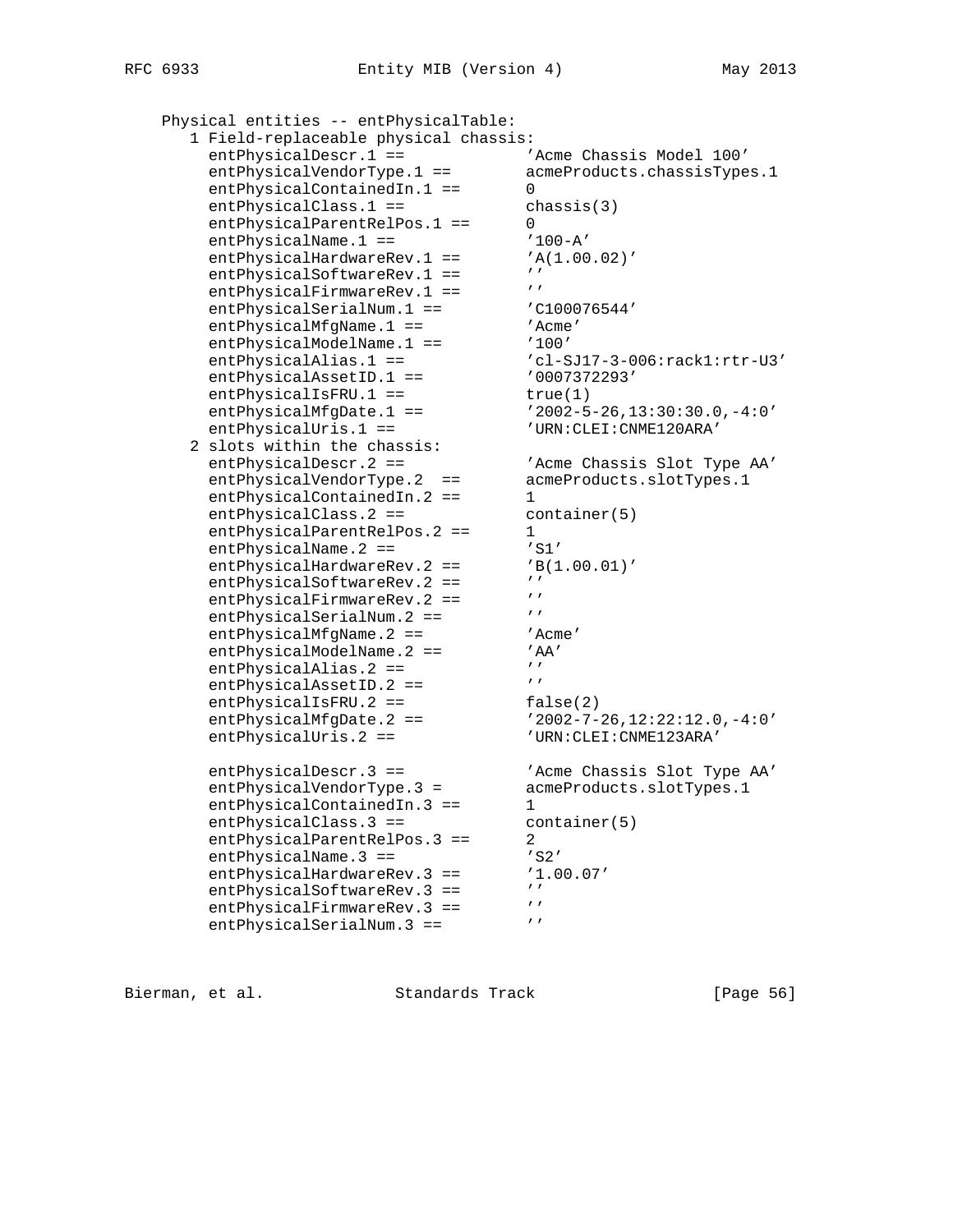```
 Physical entities -- entPhysicalTable:
     1 Field-replaceable physical chassis:
entPhysicalDescr.1 == \overline{A} 'Acme Chassis Model 100'
 entPhysicalVendorType.1 == acmeProducts.chassisTypes.1
entPhysicalContainedIn.1 == 0
      entPhysicalClass.1 == chassis(3)
entPhysicalParentRelPos.1 == 0
entPhysicalName.1 == '100-A'entPhysicalHardwareRev.1 == 'A(1.00.02)'
entPhysicalSoftwareRev.1 == ''
entPhysicalFirmwareRev.1 == ''
entPhysicalSerialNum.1 == \qquad 'C100076544'
entPhysicalMfgName.1 == 'Acme'
entPhysicalModelName.1 == '100' entPhysicalAlias.1 == 'cl-SJ17-3-006:rack1:rtr-U3'
entPhysicalAssetID.1 == 0007372293'entPhysicalIsFRU.1 == true(1)
 entPhysicalMfgDate.1 == '2002-5-26,13:30:30.0,-4:0'
entPhysicalUris.1 == $^{\prime} URN:CLEI:CNME120ARA'
 2 slots within the chassis:
 entPhysicalDescr.2 == 'Acme Chassis Slot Type AA'
 entPhysicalVendorType.2 == acmeProducts.slotTypes.1
entPhysicalContainedIn.2 == 1
entPhysicalClass.2 == container(5)
entPhysicalParentRelPos.2 == 1
entPhysicalName.2 == 'S1'entPhysicalHardwareRev.2 == 'B(1.00.01)'
entPhysicalSoftwareRev.2 == ''
entPhysicalFirmwareRev.2 == ''
entPhysicalSerialNum.2 == '''
entPhysicalMfgName.2 == 'Acme'
entPhysicalModelName.2 == 'AA'
entPhysicalAlias.2 == 'entPhysicalAssetID.2 == 'entPhysicalIsFRU.2 == false(2)
 entPhysicalMfgDate.2 == '2002-7-26,12:22:12.0,-4:0'
 entPhysicalUris.2 == 'URN:CLEI:CNME123ARA'
 entPhysicalDescr.3 == 'Acme Chassis Slot Type AA'
 entPhysicalVendorType.3 = acmeProducts.slotTypes.1
entPhysicalContainedIn.3 == 1
entPhysicalClass.3 == container(5)
entPhysicalParentRelPos.3 == 2
entPhysicalName.3 == 'S2'
 entPhysicalHardwareRev.3 == '1.00.07'
entPhysicalSoftwareRev.3 == ''
entPhysicalFirmwareRev.3 == ''
entPhysicalSerialNum.3 == ''
```
Bierman, et al. Standards Track [Page 56]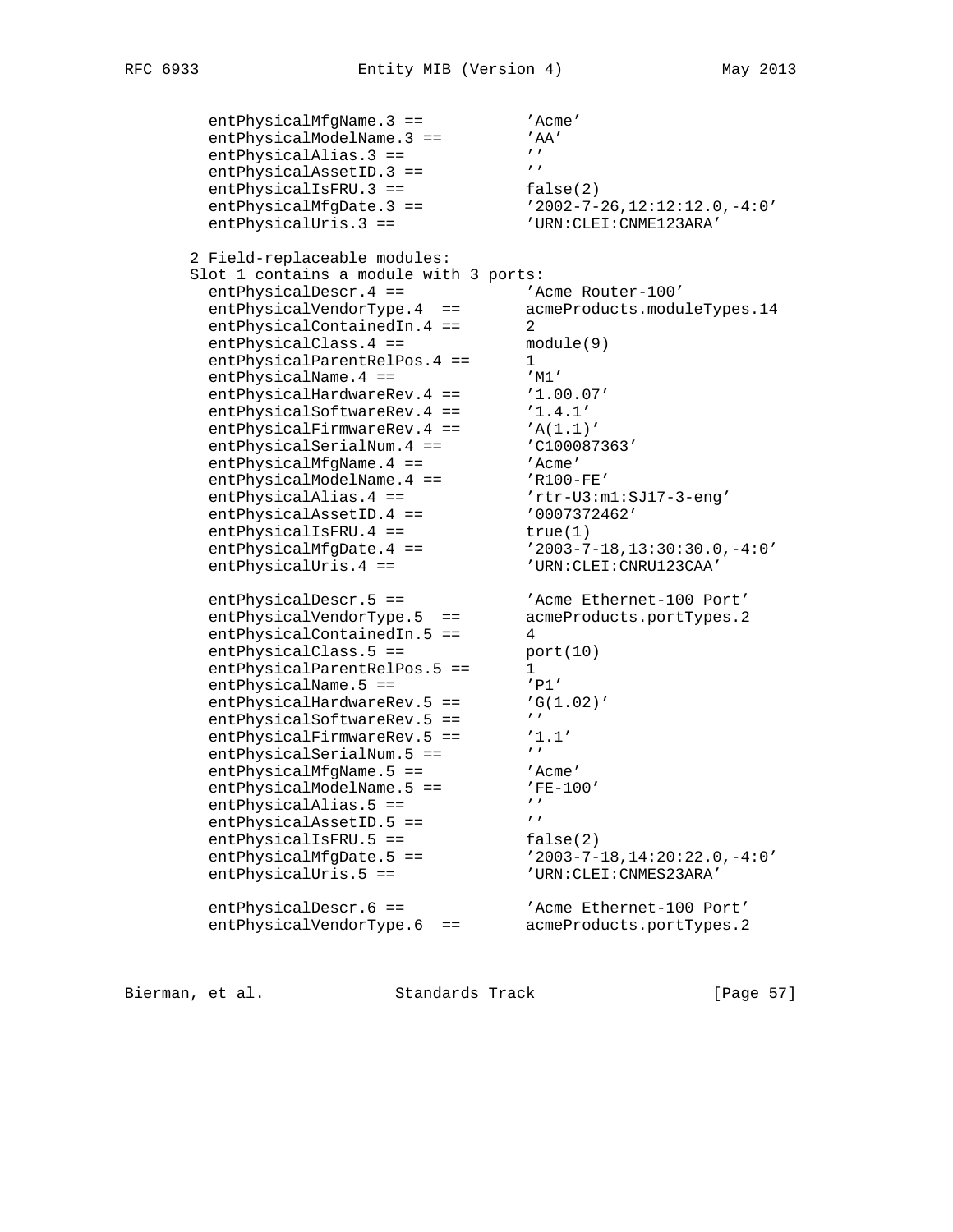entPhysicalMfgName.3 == 'Acme' entPhysicalModelName.3 == 'AA' entPhysicalAlias.3 ==  $'$ entPhysicalAssetID.3 ==  $'$ entPhysicalIsFRU.3 == false(2) entPhysicalMfgDate.3 == '2002-7-26,12:12:12.0,-4:0' entPhysicalUris.3 ==  $$^{\prime}$  URN:CLEI:CNME123ARA' 2 Field-replaceable modules: Slot 1 contains a module with 3 ports: entPhysicalDescr.4 ==  $\blacksquare$  'Acme Router-100' entPhysicalVendorType.4 == acmeProducts.moduleTypes.14 entPhysicalContainedIn.4 == 2 entPhysicalClass.4 == module(9) entPhysicalParentRelPos.4 == 1 entPhysicalName.4 ==  $'M1'$ entPhysicalHardwareRev.4 ==  $'1.00.07'$ entPhysicalSoftwareRev.4 ==  $'1.4.1'$ entPhysicalFirmwareRev.4 == 'A(1.1)' entPhysicalSerialNum.4 ==  $\qquad$  'C100087363' entPhysicalMfgName.4 ==  $'$ Acme' entPhysicalModelName.4 ==  $'$ R100-FE' entPhysicalAlias.4 ==  $r$ rtr-U3:m1:SJ17-3-eng' entPhysicalAssetID.4 ==  $0007372462'$ entPhysicalIsFRU.4 == true(1) entPhysicalMfgDate.4 == '2003-7-18,13:30:30.0,-4:0' entPhysicalUris.4 == 'URN:CLEI:CNRU123CAA' entPhysicalDescr.5 ==  $\overline{A}$  'Acme Ethernet-100 Port' entPhysicalVendorType.5 == acmeProducts.portTypes.2 entPhysicalContainedIn.5 == 4 entPhysicalClass.5 == port(10) entPhysicalParentRelPos.5 == 1 entPhysicalName.5 ==  $'P1'$ entPhysicalHardwareRev.5 ==  $G(1.02)'$ entPhysicalSoftwareRev.5 ==  $'$ entPhysicalFirmwareRev.5 ==  $'1.1'$ entPhysicalSerialNum.5 ==  $'$ entPhysicalMfgName.5 ==  $'$ Acme' entPhysicalModelName.5 ==  $'$ FE-100' entPhysicalAlias.5 ==  $'$ entPhysicalAssetID.5 ==  $'$ entPhysicalIsFRU.5 == false(2) entPhysicalMfgDate.5 == '2003-7-18,14:20:22.0,-4:0' entPhysicalUris.5 == 'URN:CLEI:CNMES23ARA' entPhysicalDescr.6 ==  $\overline{A}$  'Acme Ethernet-100 Port' entPhysicalVendorType.6 == acmeProducts.portTypes.2

Bierman, et al. Standards Track [Page 57]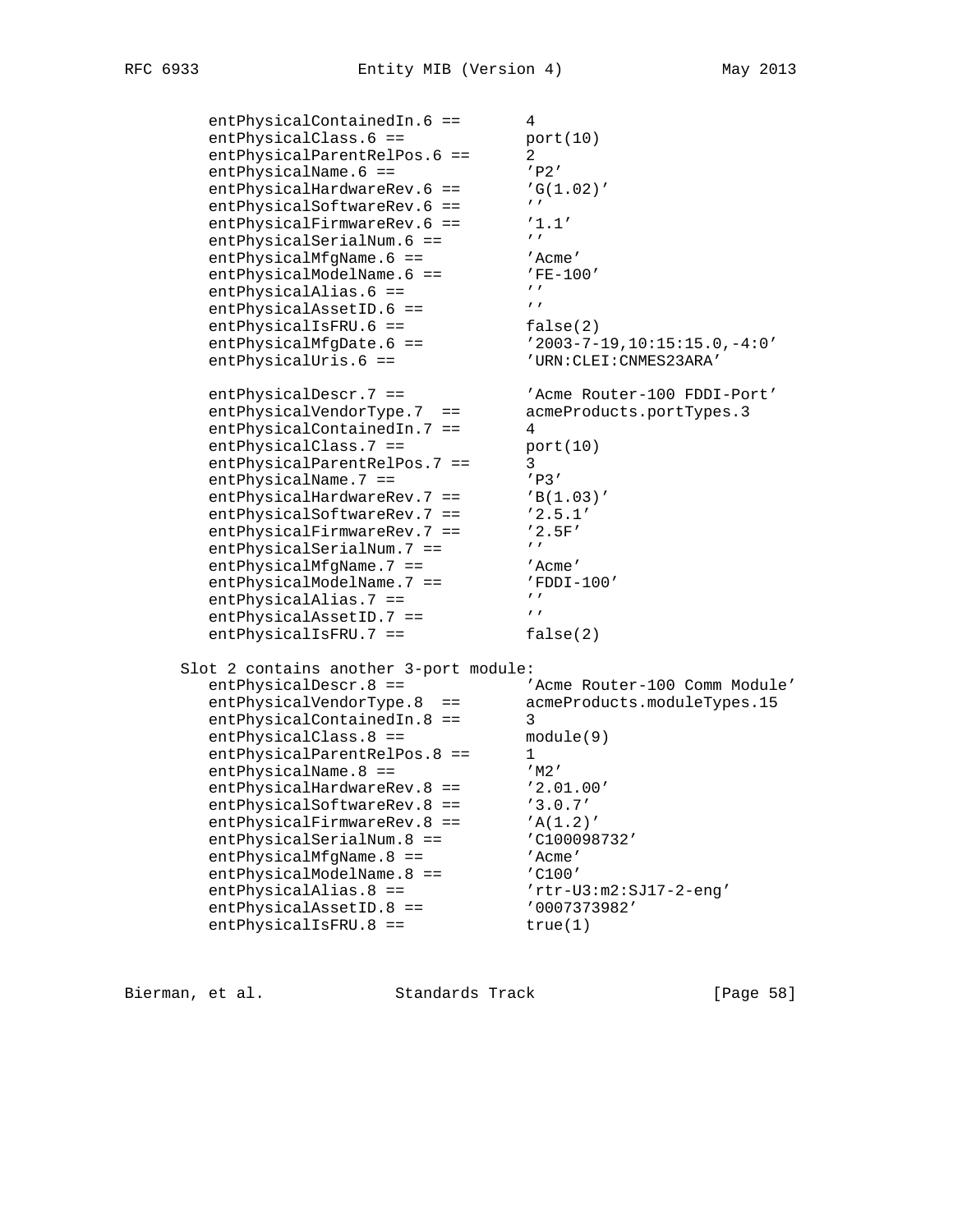entPhysicalContainedIn.6 == 4 entPhysicalClass.6 == port(10) entPhysicalParentRelPos.6 == 2 entPhysicalName.6 ==  $'P2'$ entPhysicalHardwareRev.6 ==  $G(1.02)'$ entPhysicalSoftwareRev.6 ==  $'$ entPhysicalFirmwareRev.6 ==  $'1.1'$ entPhysicalSerialNum.6 ==  $'$ entPhysicalMfgName.6 ==  $'$ Acme' entPhysicalModelName.6 ==  $'$ FE-100' entPhysicalAlias.6 ==  $'$ entPhysicalAssetID.6 ==  $'$ entPhysicalIsFRU.6 == false(2) entPhysicalMfgDate.6 == '2003-7-19,10:15:15.0,-4:0' entPhysicalUris.6 == 'URN:CLEI:CNMES23ARA' entPhysicalDescr.7 == 'Acme Router-100 FDDI-Port' entPhysicalVendorType.7 == acmeProducts.portTypes.3 entPhysicalContainedIn.7 == 4 entPhysicalClass.7 == port(10) entPhysicalParentRelPos.7 == 3 entPhysicalName.7 ==  $'P3'$ entPhysicalHardwareRev.7 == 'B(1.03)' entPhysicalSoftwareRev.7 ==  $'2.5.1'$ entPhysicalFirmwareRev.7 == '2.5F' entPhysicalSerialNum.7 ==  $'$ entPhysicalMfgName.7 ==  $'$ Acme' entPhysicalModelName.7 ==  $\blacksquare$  'FDDI-100' entPhysicalAlias.7 ==  $'$ entPhysicalAssetID.7 ==  $'$ entPhysicalIsFRU.7 == false(2) Slot 2 contains another 3-port module:<br>entPhysicalDescr.8 == 'Acme Router-100 Comm Module' entPhysicalDescr.8 ==  $\overline{A}$  /Acme Router-100 Comm Module' entPhysicalVendorType.8 == acmeProducts.moduleTypes.15 entPhysicalContainedIn.8 == 3 entPhysicalClass.8 == module(9) entPhysicalParentRelPos.8 == 1 entPhysicalName.8 ==  $'M2'$ entPhysicalHardwareRev.8 == '2.01.00' entPhysicalSoftwareRev.8 == '3.0.7' entPhysicalFirmwareRev.8 == 'A(1.2)' entPhysicalSerialNum.8 ==  $\qquad$  'C100098732' entPhysicalMfgName.8 == 'Acme' entPhysicalModelName.8 == 'C100' entPhysicalAlias.8 ==  $r$ rtr-U3:m2:SJ17-2-eng' entPhysicalAssetID.8 ==  $0007373982'$ entPhysicalIsFRU.8 == true(1)

Bierman, et al. Standards Track [Page 58]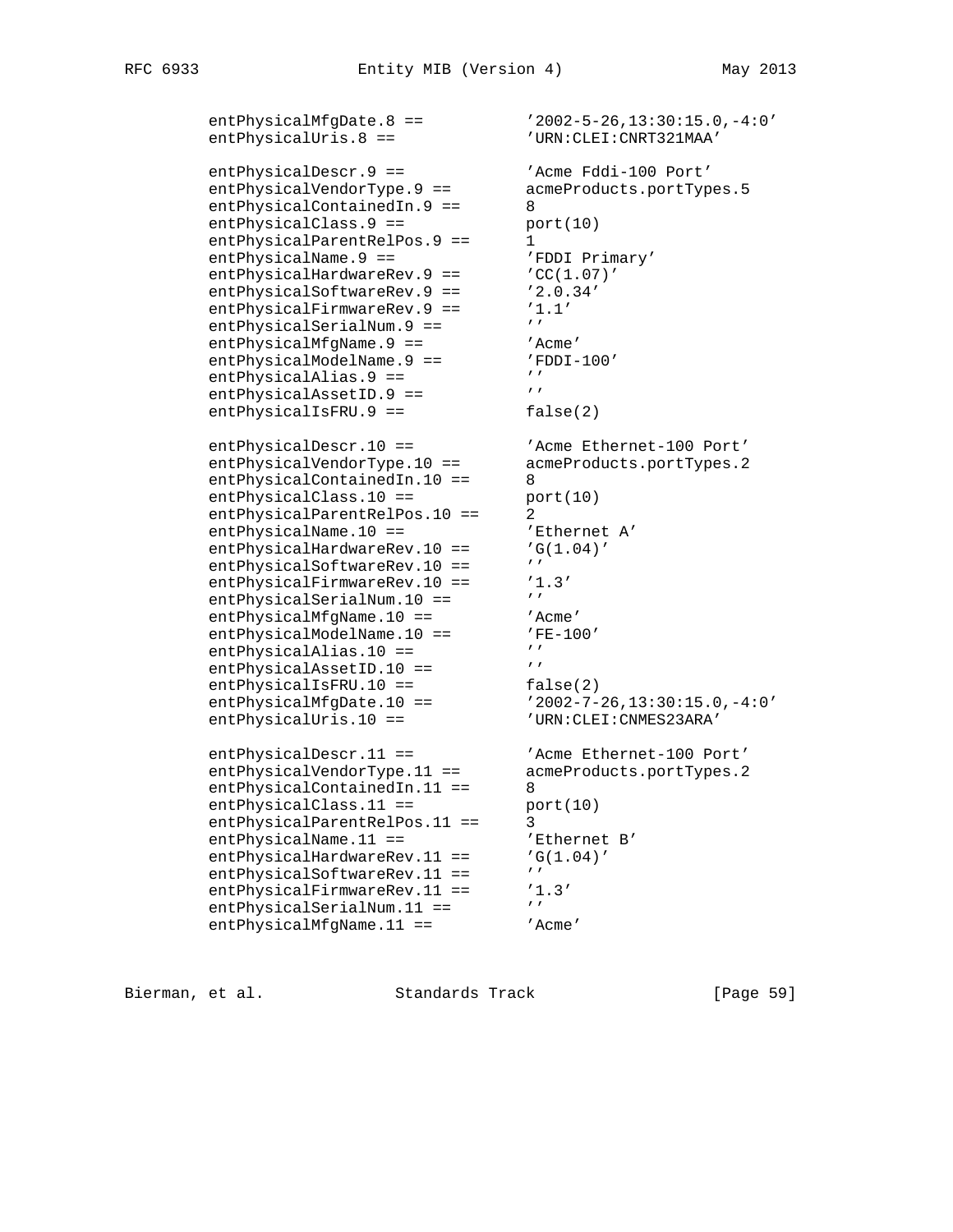```
entPhysicalMfgDate.8 == '2002-5-26,13:30:15.0,-4:0'<br>entPhysicalUris.8 == 'URN:CLEI:CRRT321MAA' entPhysicalUris.8 == 'URN:CLEI:CNRT321MAA'
 entPhysicalDescr.9 == 'Acme Fddi-100 Port'
 entPhysicalVendorType.9 == acmeProducts.portTypes.5
entPhysicalContainedIn.9 == 8
 entPhysicalClass.9 == port(10)
entPhysicalParentRelPos.9 == 1
entPhysicalName.9 == The 'FDDI Primary'
entPhysicalHardwareRev.9 == \text{CC}(1.07)'entPhysicalSoftwareRev.9 == '2.0.34'entPhysicalFirmwareRev.9 == '1.1'
entPhysicalSerialNum.9 == 'entPhysicalMfgName.9 == 'Acme'
 entPhysicalModelName.9 == 'FDDI-100'
entPhysicalAlias.9 == 'entPhysicalAssetID.9 == 'entPhysicalIsFRU.9 == false(2)
entPhysicalDescr.10 == \qquad 'Acme Ethernet-100 Port'
 entPhysicalVendorType.10 == acmeProducts.portTypes.2
entPhysicalContainedIn.10 == 8
entPhysicalClass.10 == port(10)
entPhysicalParentRelPos.10 == 2
entPhysicalName.10 == \overline{P} 'Ethernet A'
entPhysicalHardwareRev.10 == 'G(1.04)'
entPhysicalSoftwareRev.10 == ''
      entPhysicalFirmwareRev.10 == '1.3'<br>AntPhysicalSerialNum.10 == '''
entPhysicalSerialNum.10 == ''
entPhysicalMfgName.10 == 'Acme'
entPhysicalModelName.10 == 'FE-100'
entPhysicalAlias.10 == 'entPhysicalAssetID.10 == ''
entPhysicalIsFRU.10 == false(2)
 entPhysicalMfgDate.10 == '2002-7-26,13:30:15.0,-4:0'
 entPhysicalUris.10 == 'URN:CLEI:CNMES23ARA'
entPhysicalDescr.11 == \qquad \qquad 'Acme Ethernet-100 Port'
 entPhysicalVendorType.11 == acmeProducts.portTypes.2
entPhysicalContainedIn.11 == 8
entPhysicalClass.11 == port(10)
entPhysicalParentRelPos.11 == 3
entPhysicalName.11 == \overline{B} 'Ethernet B'
entPhysicalHardwareRev.11 == 'G(1.04)'
entPhysicalSoftwareRev.11 == ''
      entPhysicalFirmwareRev.11 == '1.3'<br>entPhysicalSerialNum 11 == 'entPhysicalSerialNum.11 == '''
entPhysicalMfgName.11 == 'Acme'
```
Bierman, et al. Standards Track [Page 59]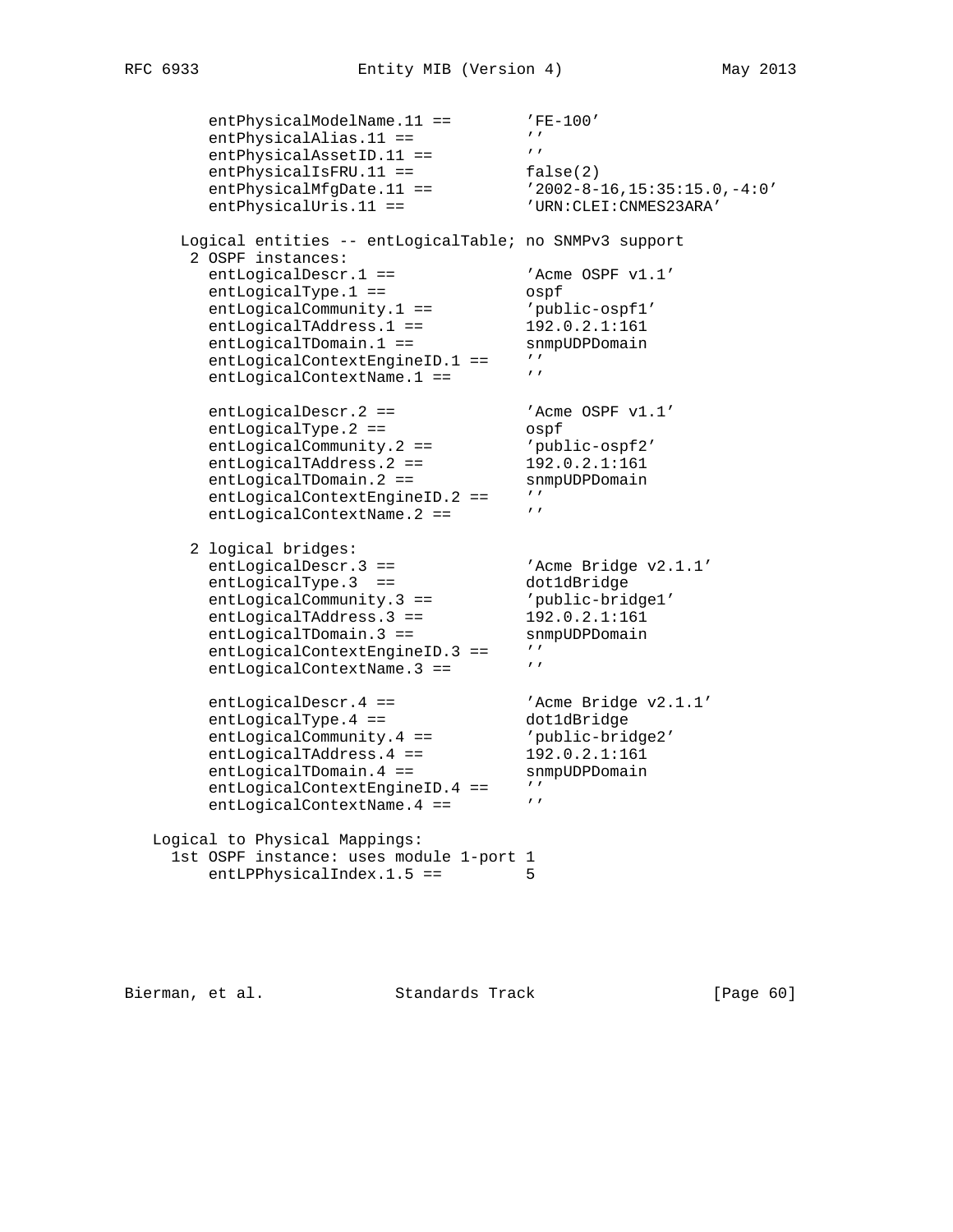```
entPhysicalModelName.11 == 'FE-100'
entPhysicalAlias.11 == 'entPhysicalAssetID.11 == ''
entPhysicalIsFRU.11 == false(2)
 entPhysicalMfgDate.11 == '2002-8-16,15:35:15.0,-4:0'
 entPhysicalUris.11 == 'URN:CLEI:CNMES23ARA'
     Logical entities -- entLogicalTable; no SNMPv3 support
 2 OSPF instances:
entLogicalDescr.1 == 'Acme OSPF v1.1'
entLogicalType.1 == 0spf
entLogicalCommunity.1 == 'public - ospf1' entLogicalTAddress.1 == 192.0.2.1:161
entLogicalTDomain.1 == snmpUDPDomain
entLogicalContextEngineID.1 == ''
entLogicalContextName.1 == 'entLogicalDescri.2 == 'Acme OSPF v1.1'
entLogicalType.2 == 0spf
entLogicalCommunity.2 == 'public - ospf2'entLogicalTAddress.2 == 192.0.2.1:161
entLogicalTDomain.2 == snmpUDPDomain
entLogicalContextEngineID.2 == ''
entLogicalContextName.2 == ' 2 logical bridges:
entLogicalDescr.3 == \qquad \qquad 'Acme Bridge v2.1.1'
entLogicalType.3 == dot1dBridge
entLogicalCommunity.3 == 'public-bridge1'
entLogicalTAddress.3 == 192.0.2.1:161
entLogicalTDomain.3 == snmpUDPDomain
entLogicalContextEngineID.3 == ''
entLogicalContextName.3 == ''
entLogicalDescr.4 == \qquad \qquad 'Acme Bridge v2.1.1'
entLogicalType.4 == dot1dBridge
 entLogicalCommunity.4 == 'public-bridge2'
 entLogicalTAddress.4 == 192.0.2.1:161
entLogicalTDomain.4 == snmpUDPDomain
entLogicalContextEngineID.4 == ''
entLogicalContextName.4 == ' Logical to Physical Mappings:
    1st OSPF instance: uses module 1-port 1
      entLPPhysicalIndex.1.5 == 5
```
Bierman, et al. Standards Track [Page 60]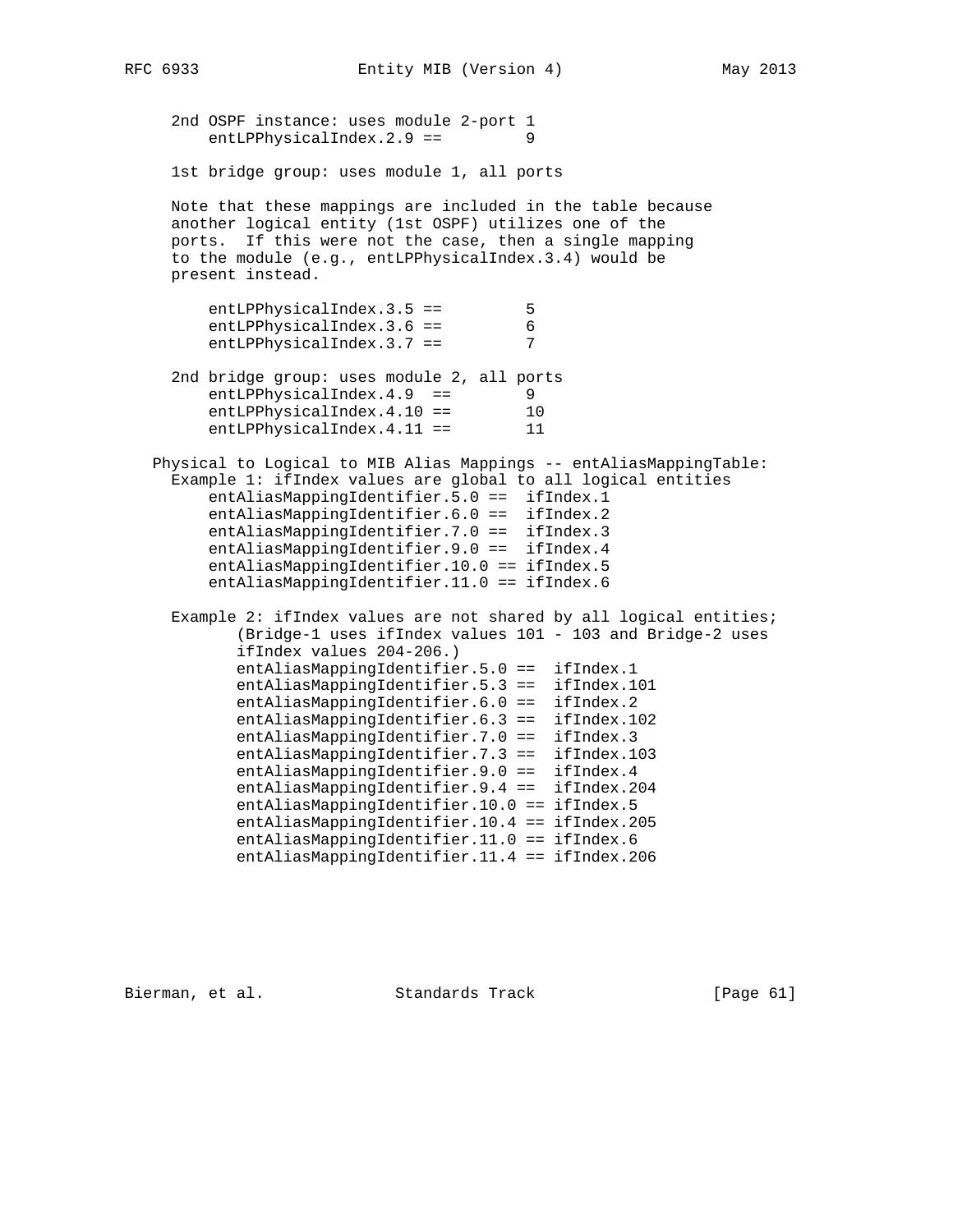```
 2nd OSPF instance: uses module 2-port 1
        entLPPhysicalIndex.2.9 == 9
     1st bridge group: uses module 1, all ports
     Note that these mappings are included in the table because
     another logical entity (1st OSPF) utilizes one of the
     ports. If this were not the case, then a single mapping
     to the module (e.g., entLPPhysicalIndex.3.4) would be
     present instead.
        entLPPhysicalIndex.3.5 == 5
        entLPPhysicalIndex.3.6 == 6<br>entLPPhysicalIndex.3.7 == 7
        entLPPhysicalIndex.3.7 == 2nd bridge group: uses module 2, all ports
        entLPPhysicalIndex.4.9 == 9<br>entLPPhysicalIndex.4.10 == 10
        entLPPhysicalIndex.4.10 ==
        entLPPhysicalIndex.4.11 == 11
   Physical to Logical to MIB Alias Mappings -- entAliasMappingTable:
     Example 1: ifIndex values are global to all logical entities
         entAliasMappingIdentifier.5.0 == ifIndex.1
         entAliasMappingIdentifier.6.0 == ifIndex.2
         entAliasMappingIdentifier.7.0 == ifIndex.3
         entAliasMappingIdentifier.9.0 == ifIndex.4
         entAliasMappingIdentifier.10.0 == ifIndex.5
         entAliasMappingIdentifier.11.0 == ifIndex.6
     Example 2: ifIndex values are not shared by all logical entities;
            (Bridge-1 uses ifIndex values 101 - 103 and Bridge-2 uses
            ifIndex values 204-206.)
            entAliasMappingIdentifier.5.0 == ifIndex.1
            entAliasMappingIdentifier.5.3 == ifIndex.101
            entAliasMappingIdentifier.6.0 == ifIndex.2
            entAliasMappingIdentifier.6.3 == ifIndex.102
            entAliasMappingIdentifier.7.0 == ifIndex.3
 entAliasMappingIdentifier.7.3 == ifIndex.103
 entAliasMappingIdentifier.9.0 == ifIndex.4
 entAliasMappingIdentifier.9.4 == ifIndex.204
            entAliasMappingIdentifier.10.0 == ifIndex.5
            entAliasMappingIdentifier.10.4 == ifIndex.205
            entAliasMappingIdentifier.11.0 == ifIndex.6
            entAliasMappingIdentifier.11.4 == ifIndex.206
```
Bierman, et al. Standards Track [Page 61]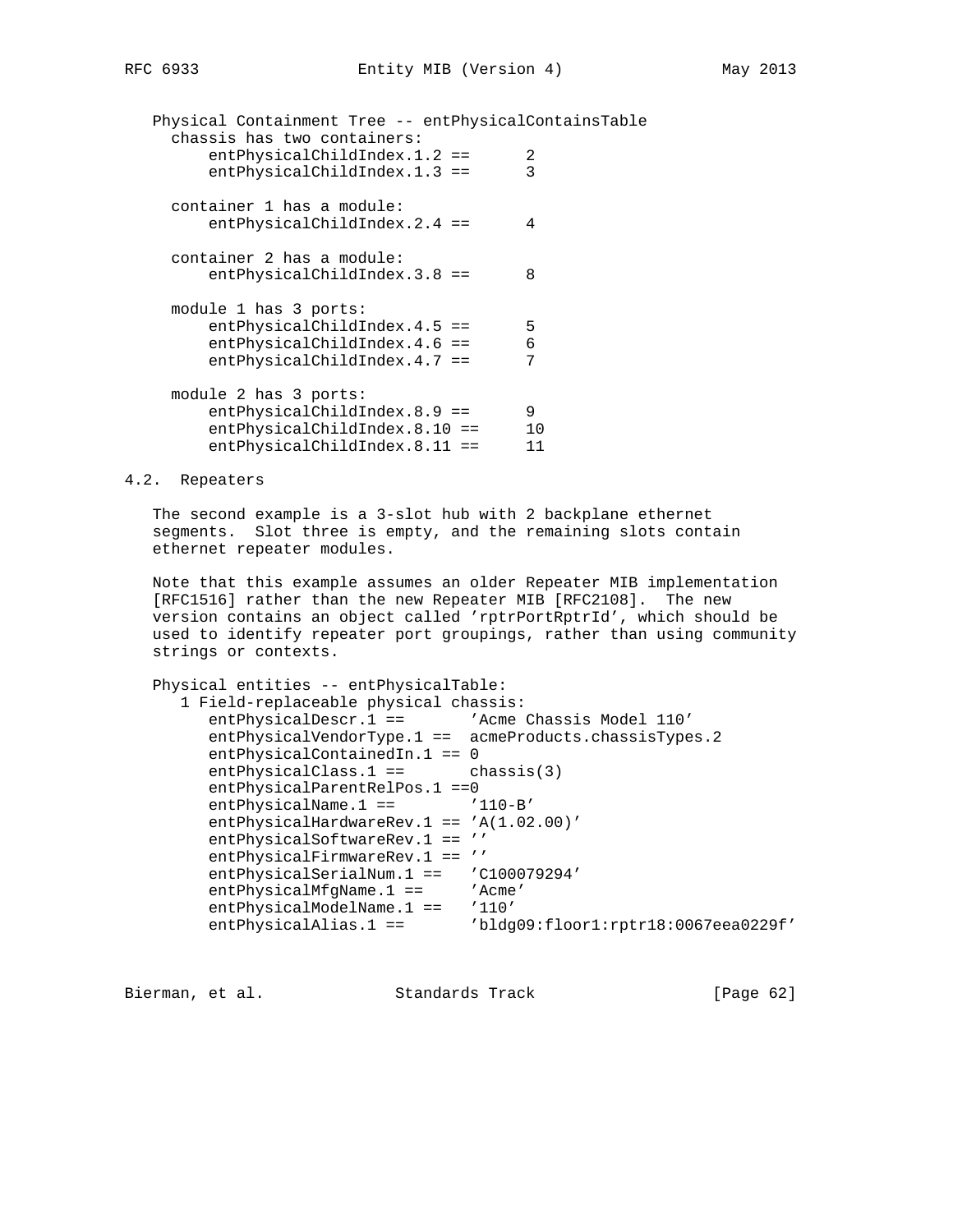Physical Containment Tree -- entPhysicalContainsTable chassis has two containers: entPhysicalChildIndex.1.2 == 2 entPhysicalChildIndex.1.3 == 3 container 1 has a module: entPhysicalChildIndex.2.4 == 4 container 2 has a module: entPhysicalChildIndex.3.8 == 8 module 1 has 3 ports: entPhysicalChildIndex.4.5 == 5 entPhysicalChildIndex.4.6 == 6 entPhysicalChildIndex.4.7 == 7 module 2 has 3 ports: entPhysicalChildIndex.8.9 == 9 entPhysicalChildIndex.8.10 == 10 entPhysicalChildIndex.8.11 == 11

## 4.2. Repeaters

 The second example is a 3-slot hub with 2 backplane ethernet segments. Slot three is empty, and the remaining slots contain ethernet repeater modules.

 Note that this example assumes an older Repeater MIB implementation [RFC1516] rather than the new Repeater MIB [RFC2108]. The new version contains an object called 'rptrPortRptrId', which should be used to identify repeater port groupings, rather than using community strings or contexts.

```
 Physical entities -- entPhysicalTable:
   1 Field-replaceable physical chassis:
     entPhysicalDescr.1 == 'Acme Chassis Model 110'
      entPhysicalVendorType.1 == acmeProducts.chassisTypes.2
      entPhysicalContainedIn.1 == 0
      entPhysicalClass.1 == chassis(3)
      entPhysicalParentRelPos.1 ==0
     entPhysicalName.1 == '110-B'
     entPhysicalHardwareRev.1 == 'A(1.02.00)'
      entPhysicalSoftwareRev.1 == ''
     entPhysicalFirmwareRev.1 == ''
      entPhysicalSerialNum.1 == 'C100079294'
     entPhysicalMfgName.1 == 'Acme'
     entPhysicalModelName.1 == '110'
     entPhysicalAlias.1 == 'bldg09:floor1:rptr18:0067eea0229f'
```
Bierman, et al. Standards Track [Page 62]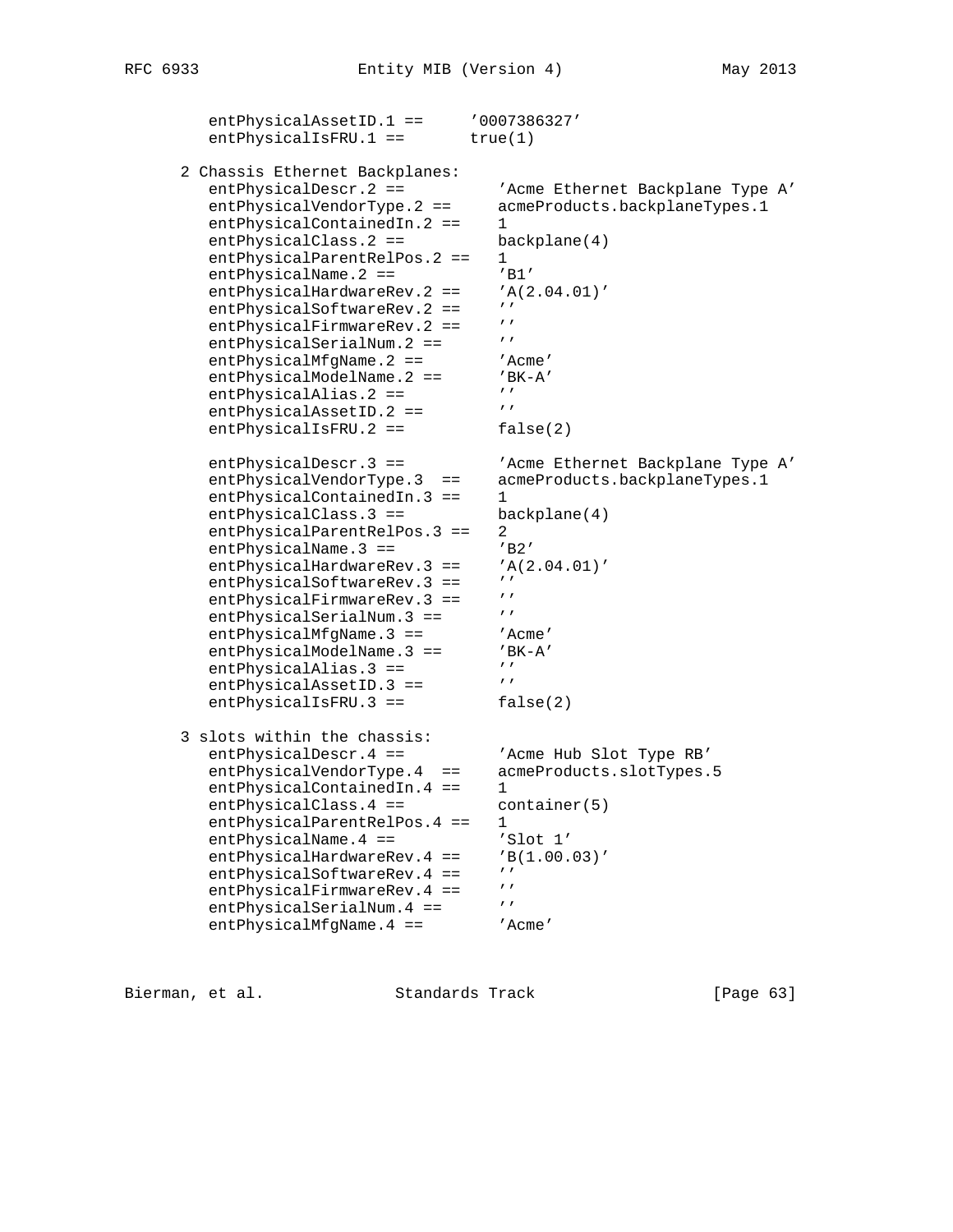```
entPhysicalAssetID.1 == '0007386327'
          entPhysicalISFRU.1 == true(1) 2 Chassis Ethernet Backplanes:
           entPhysicalDescr.2 == 'Acme Ethernet Backplane Type A'
           entPhysicalVendorType.2 == acmeProducts.backplaneTypes.1
          entPhysicalContainedIn.2 == 1
           entPhysicalClass.2 == backplane(4)
          entPhysicalParentRelPos.2 == 1
          entPhysicalName.2 == 'BI'entPhysicalHardwareRev. 2 == 'A(2.04.01)'<br>ontPhysicalSoftwarePox 2 == //
          entPhysicalSoftwareRev.2 == ''<br>entPhysicalFirmwareRev.2 == ''
          entPhysicalFirmwareRev.2 == \frac{1}{2}<br>entPhysicalSerialNum 2 == \frac{1}{2}entPhysicalSerialNum.2 == '''<br>entPhysicalMfqName.2 == ''Acme'
          entPhysicalMfgName.2 == 'Acme'<br>entPhysicalModelName.2 == 'BK-A'
          entPhysicalModelName.2 == 'B<br>entPhysicalAlias 2 == \prime\primeentPhysicalAlias.2 == '''<br>
ontPhysicalAssotID 2 = '''
          entPhysicalAssetID.2 ==
          entPhysicalIsFRU.2 == false(2)
           entPhysicalDescr.3 == 'Acme Ethernet Backplane Type A'
          entPhysicalVendorType.3 == acmeProducts.backplaneTypes.1
          entPhysicalContainedIn.3 == 1
          entPhysicalClass.3 == backplane(4)
          entPhysicalParentRelPos.3 == 2<br>entPhysicalName.3 == 'B2'
          entPhysicalName.3 == 'B2'<br>entPhysicalHardwareRev.3 == 'A(2.04.01)'
          entPhysicalHardwareRev.3 == 'A<br>
ontPhysicalSoftwarePoy 3 == ''
          entPhysicalSoftwareRev.3 == ''<br>entPhysicalFirmwareRev 3 == ''
          entPhysicalFirmwareRev.3 == '<br>entPhysicalSerialNum 3 == 'entPhysicalSerialNum.3 ==
          entPhysicalMfgName.3 == 'Acme'
          entPhysicalModelName.3 == 'BK-A'
          entPhysicalAlias.3 == 'entPhysicalAssetID.3 ==
          entPhysicalIsFRU.3 == false(2)
       3 slots within the chassis:
          entPhysicalDescr.4 == 'Acme Hub Slot Type RB'
          entPhysicalVendorType.4 == acmeProducts.slotTypes.5
          entPhysicalContainedIn.4 == 1
          entPhysicalClass.4 == container(5)
          entPhysicalParentRelPos.4 == 1
          entPhysicalName.4 == 'Slot 1'
          entPhysicalHardwareRev.4 == 'B(1.00.03)'<br>ontPhysicalSoftwarePoy 4 == 'entPhysicalSoftwareRev.4 == ''<br>entPhysicalFirmwarePey 4 -- ''
          entPhysicalFirmwareRev.4 == ''<br>entPhysicalSerialNum 4 == '''
entPhysicalSerialNum.4 == ''
entPhysicalMfgName.4 == 'Acme'
```
Bierman, et al. Standards Track [Page 63]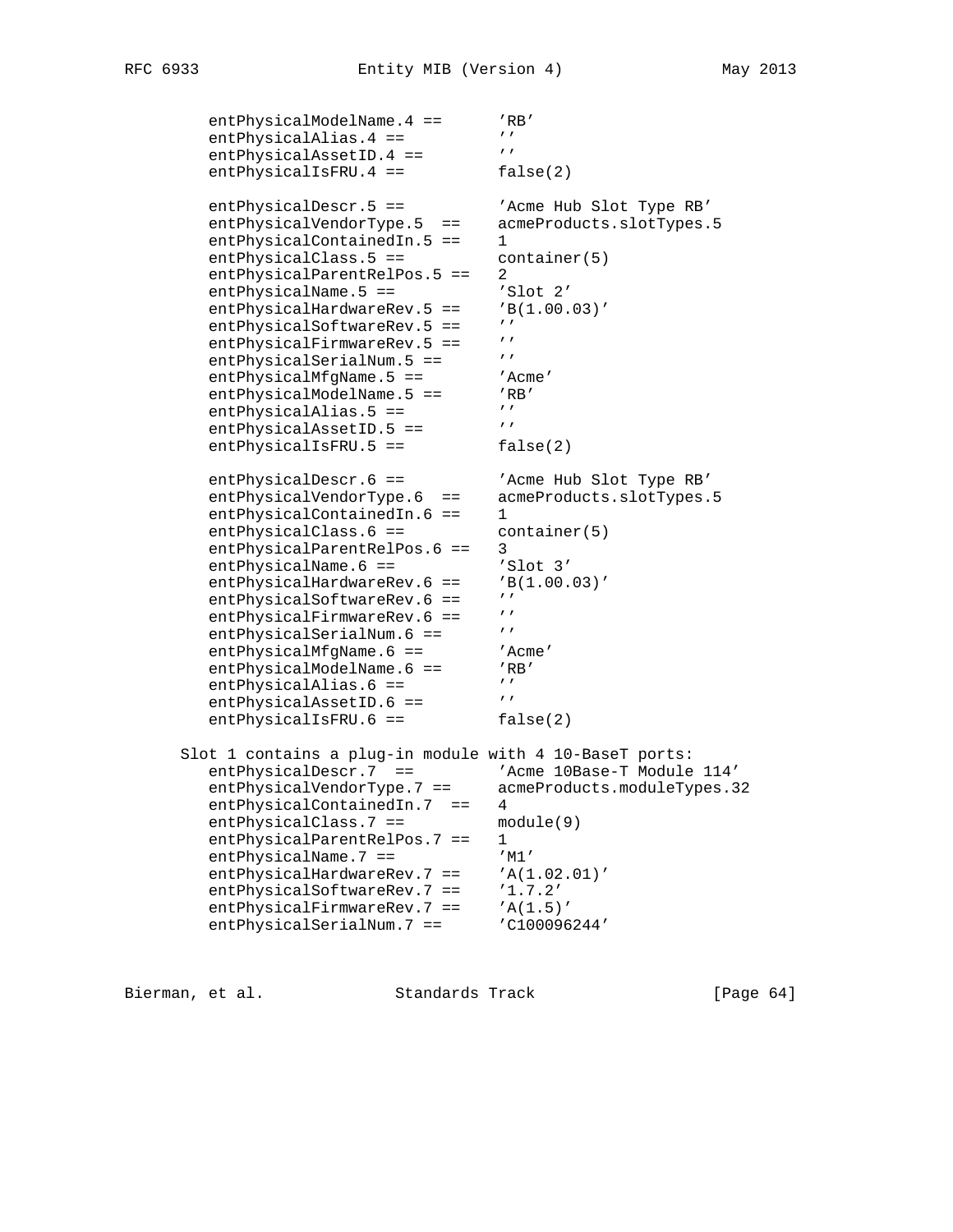```
entPhysicalModelName.4 == 'RB'<br>entPhysicalAlias 4 == '''
         entPhysicalAlias.4 == '''<br>
ontPhysicalAssetID 4 -- '''
         entPhysicalAssetID.4 ==
         entPhysicalIsFRU.4 == false(2)
         entPhysicalDescr.5 == 'Acme Hub Slot Type RB'
          entPhysicalVendorType.5 == acmeProducts.slotTypes.5
         entPhysicalContainedIn.5 == 1
         entPhysicalClass.5 == container(5)
         entPhysicalParentRelPos.5 == 2
         entPhysicalName.5 == 'Slot 2'
         entPhysicalHardwareRev.5 == 'B(1.00.03)'<br>antPhysicalSoftwarePev.5 == ''entPhysicalSoftwareRev.5 == ''<br>
ontPhysicalFirmwarePoy 5 == ''
         entPhysicalFirmwareRev.5 == ''<br>ontPhysicalSorialNum 5 -- '''
         entPhysicalSerialNum.5 == '''<br>entPhysicalMfgName.5 == ''Acme'
entPhysicalMfgName.5 == 'Acme'
entPhysicalModelName.5 == 'RB'
         entPhysicalAlias.5 == '''<br>entPhysicalAssetID 5 == '''
         entPhysicalAssetID.5 ==
         entPhysicalIsFRU.5 == false(2)
 entPhysicalDescr.6 == 'Acme Hub Slot Type RB'
 entPhysicalVendorType.6 == acmeProducts.slotTypes.5
         entPhysicalContainedIn.6 == 1
entPhysicalClass.6 == container(5)
 entPhysicalParentRelPos.6 == 3
entPhysicalName.6 == 'Slot 3'entPhysicalHardwareRev.6 == 'B(1.00.03)'<br>entPhysicalSoft... = 'B(1.00.03)'entPhysicalSoftwareRev.6 == ''<br>entPhysicalFirmwarePey 6 == ''
         entPhysicalFirmwareRev.6 == ''<br>entPhysicalSerialNum 6 == '''
         entPhysicalSerialNum.6 == ''<br>entPhysicalMfgName.6 == ''Acme'<br>entPhysicalModelName.6 == ''RB'
         entPhysicsicalMfgName.6 ==entPhysicalModelName.6 == 'RE<br>
entPhysicalAlias 6 == '''
         entPhysicalAlias.6 == '''<br>entPhysicalAssetID.6 == '''
         entPhysicaliAssetID.6 ==
         entPhysicalIsFRU.6 == false(2)
       Slot 1 contains a plug-in module with 4 10-BaseT ports:
 entPhysicalDescr.7 == 'Acme 10Base-T Module 114'
 entPhysicalVendorType.7 == acmeProducts.moduleTypes.32
 entPhysicalContainedIn.7 == 4
         entPhysicalClass.7 == module(9)
         entPhysicalParentRelPos.7 == 1
entPhysicalName.7 == 'M'entPhysicalHardwareRev.7 == 'A(1.02.01)'
         entPhysicalSoftwareRev.7 == '1.7.2'
entPhysicalFirmwareRev.7 == 'A(1.5)'
entPhysicalSerialNum.7 == 'C100096244'
```
Bierman, et al. Standards Track [Page 64]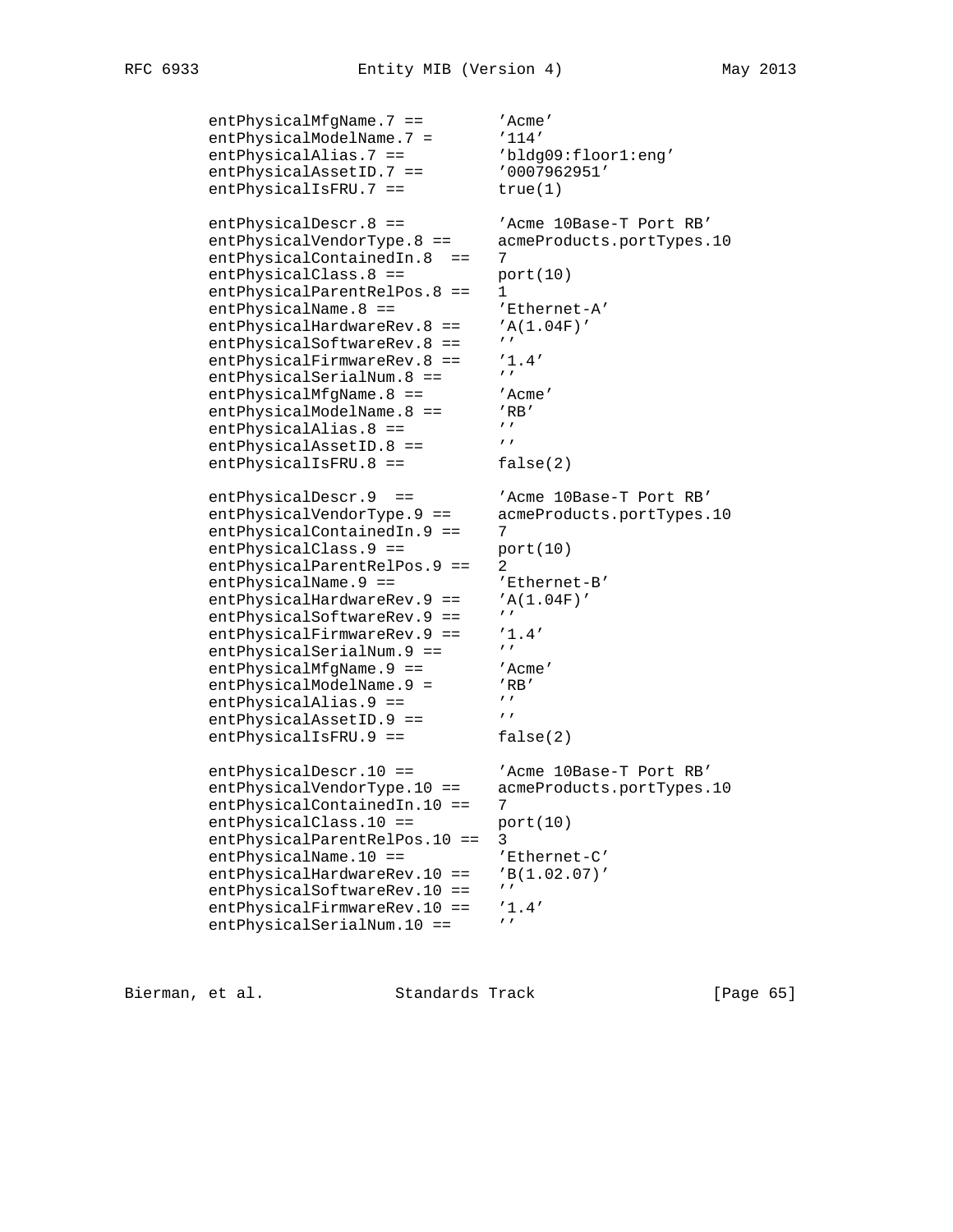```
entPhysicalMfgName.7 == 'Acme'<br>entPhysicalModelName.7 = '114'
         entPhysicalModelName.7 = '114'<br>entPhysicalAlias.7 == 'bldg09:floor1:eng'
         entPhysicalAlias.7 ==entPhysicalAssetID.7 == '0007962951'entPhysicalIsFRU.7 == true(1)
         entPhysicalDescr.8 == 'Acme 10Base-T Port RB'
         entPhysicalVendorType.8 == acmeProducts.portTypes.10
         entPhysicalContainedIn.8 == 7
         entPhysicalClass.8 == port(10)entPhysicalParentRelPos.8 == 1
         entPhysicalName.8 == \blacksquare 'Ethernet-A'
         entPhysicalHardwareRev.8 == 'A(1.04F)'<br>ontPhysicalSoftwarePov.8 == \primeentPhysicalSoftwareRev.8 == ''<br>entPhysicalFirmwareRev.8 == '1.4'
         entPhysicalFirmwareRev.8 == '1<br>ontPhysicalSoxialNum 8 == ''
         entPhysicalSerialNum.8 == ''<br>entPhysicalMfqName.8 == 'Acme'
         entPhysicalMfgName.8 == 'Acm<br>entPhysicalModelName.8 == 'RB'
         entPhysicalModelName.8 == 'R<br>antPhysicalAlias 8 == \frac{1}{2}entPhysicalAlias.8 ==entPhysicalAssetID.8 ==
         entPhysicalIsFRU.8 == false(2)
 entPhysicalDescr.9 == 'Acme 10Base-T Port RB'
 entPhysicalVendorType.9 == acmeProducts.portTypes.10
         entPhysicalContainedIn.9 == 7
entPhysicalClass.9 == port(10)
 entPhysicalParentRelPos.9 == 2
         entPhysicalName.9 == \text{'Ethernet-B'}<br>entPhysicalHardwareRev.9 == \text{'A}(1.04F)'
         entPhysicalHardwareRev.9 == 'A
         entPhysicalSoftwareRev.9 ==
         entPhysicalFirmwareRev.9 == '1.4'<br>ontPhysicalSorialNum 0 -- '''
         entPhysicalSerialNum.9 ==
         entPhysicalMfgName.9 == 'Acme'
         entPhysicalModelName.9 = 'RR'<br>entPhysicalAlias 9 == 'entPhysicalAlias.9 == '''
entPhysicalAssetID.9 == 'entPhysicalIsFRU.9 == false(2)
         entPhysicalDescr.10 == 'Acme 10Base-T Port RB'
 entPhysicalVendorType.10 == acmeProducts.portTypes.10
entPhysicalContainedIn.10 == 7
         entPhysicalClass.10 == port(10) entPhysicalParentRelPos.10 == 3
         entPhysicalName.10 == 'Ethernet-C'
         entPhysicalHardwareRev.10 == 'B(1.02.07)'
         entPhysicalSoftwareRev.10 == ''
          entPhysicalFirmwareRev.10 == '1.4'
         entPhysicalSerialNum.10 == ''
```
Bierman, et al. Standards Track [Page 65]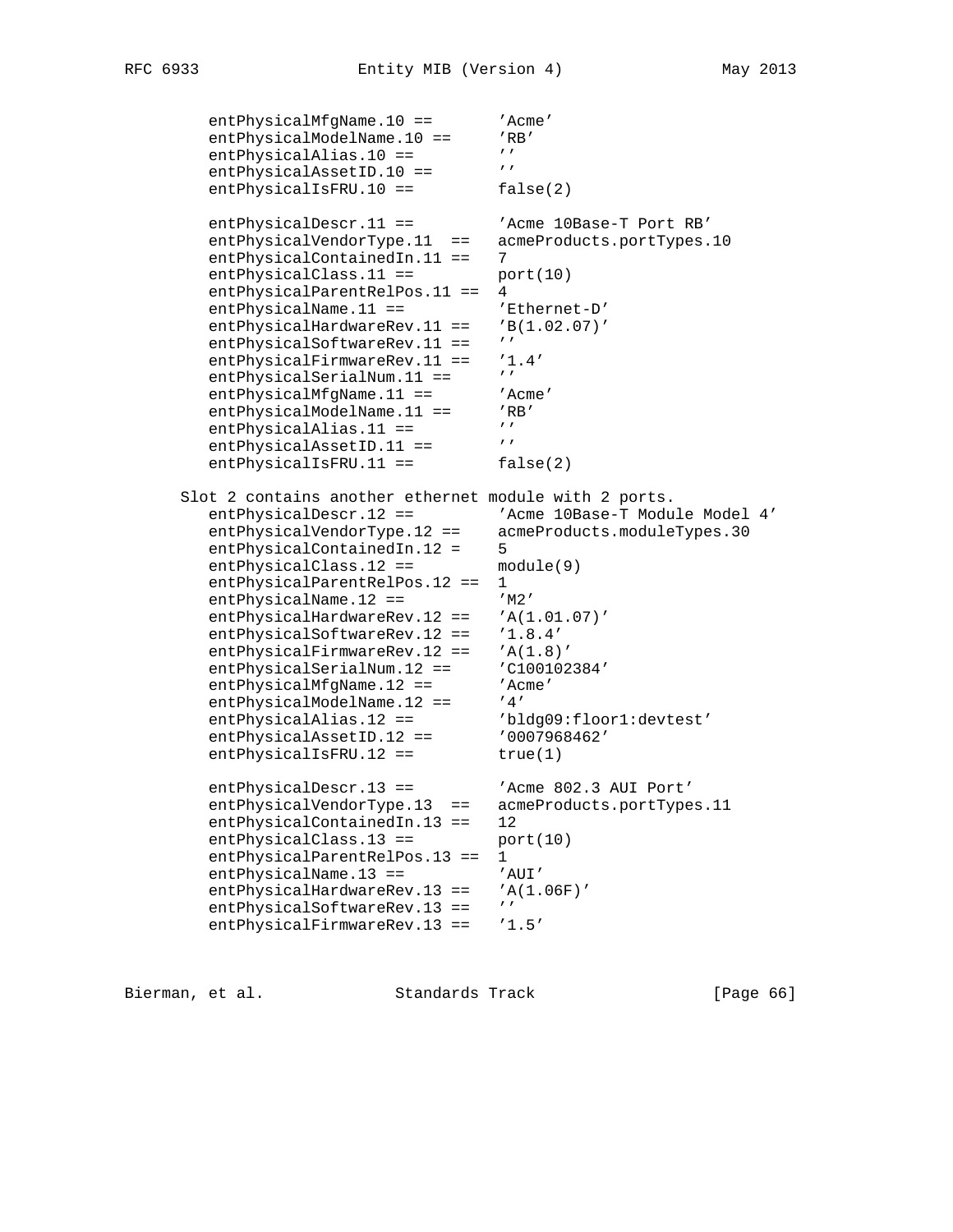```
entPhysicalMfgName.10 == 'Acme'
        entPhysicalModelName.10 == 'RB'<br>
ontPhysicallica.10 -- ''
        entPhysics1Alias.10 == 'entPhysicalAssetID.10 ==
        entPhysicalIsFRU.10 == false(2)
        entPhysicalDescr.11 == 'Acme 10Base-T Port RB'
         entPhysicalVendorType.11 == acmeProducts.portTypes.10
        entPhysicalContainedIn.11 == 7
        entPhysicalClass.11 == port(10) entPhysicalParentRelPos.11 == 4
        entPhysicalName.11 == 'Ethernet-D'
        entPhysicalHardwareRev.11 == 'B(1.02.07)'
        entPhysicalSoftwareRev.11 == ''
        entPhysicalFirmwareRev.11 == '1.4'
        entPhysicalSerialNum.11 ==
        entPhysicalMfgName.11 == 'Acme'
        entPhysicalModelName.11 == 'RB'<br>antPhysicalAlias 11 -- ''
        entPhysicalAlias.11 == '''<br>entPhysicalAssetID 11 == '''
        entPhysicalAssetID.11 ==
        entPhysicalIsFRU.11 == false(2)
      Slot 2 contains another ethernet module with 2 ports.
        entPhysicalDescr.12 == 'Acme 10Base-T Module Model 4'
         entPhysicalVendorType.12 == acmeProducts.moduleTypes.30
entPhysicalContainedIn.12 = 5
entPhysicalClass.12 == module(9)
         entPhysicalParentRelPos.12 == 1
entPhysicalName.12 == 'M2'
 entPhysicalHardwareRev.12 == 'A(1.01.07)'
         entPhysicalSoftwareRev.12 == '1.8.4'
        entPhysicalFirmwareRev.12 == 'A(1.8)'entPhysicalSerialNum.12 == 'C100102384'
        entPhysicalMfgName.12 == 'Acme'
entPhysicalModelName.12 == '4'
 entPhysicalAlias.12 == 'bldg09:floor1:devtest'
         entPhysicalAssetID.12 == '0007968462'
        entPhysicalIsFRU.12 == true(1)
        entPhysicalDescr.13 == 'Acme 802.3 AUI Port'
         entPhysicalVendorType.13 == acmeProducts.portTypes.11
         entPhysicalContainedIn.13 == 12
        entPhysicalClass.13 == port(10)
        entPhysicalParentRelPos.13 == 1
        entPhysicalName.13 == 'AUI'
        entPhysicalHardwareRev.13 == 'A(1.06F)'
        entPhysicalSoftwareRev.13 == ''
         entPhysicalFirmwareRev.13 == '1.5'
```
Bierman, et al. Standards Track [Page 66]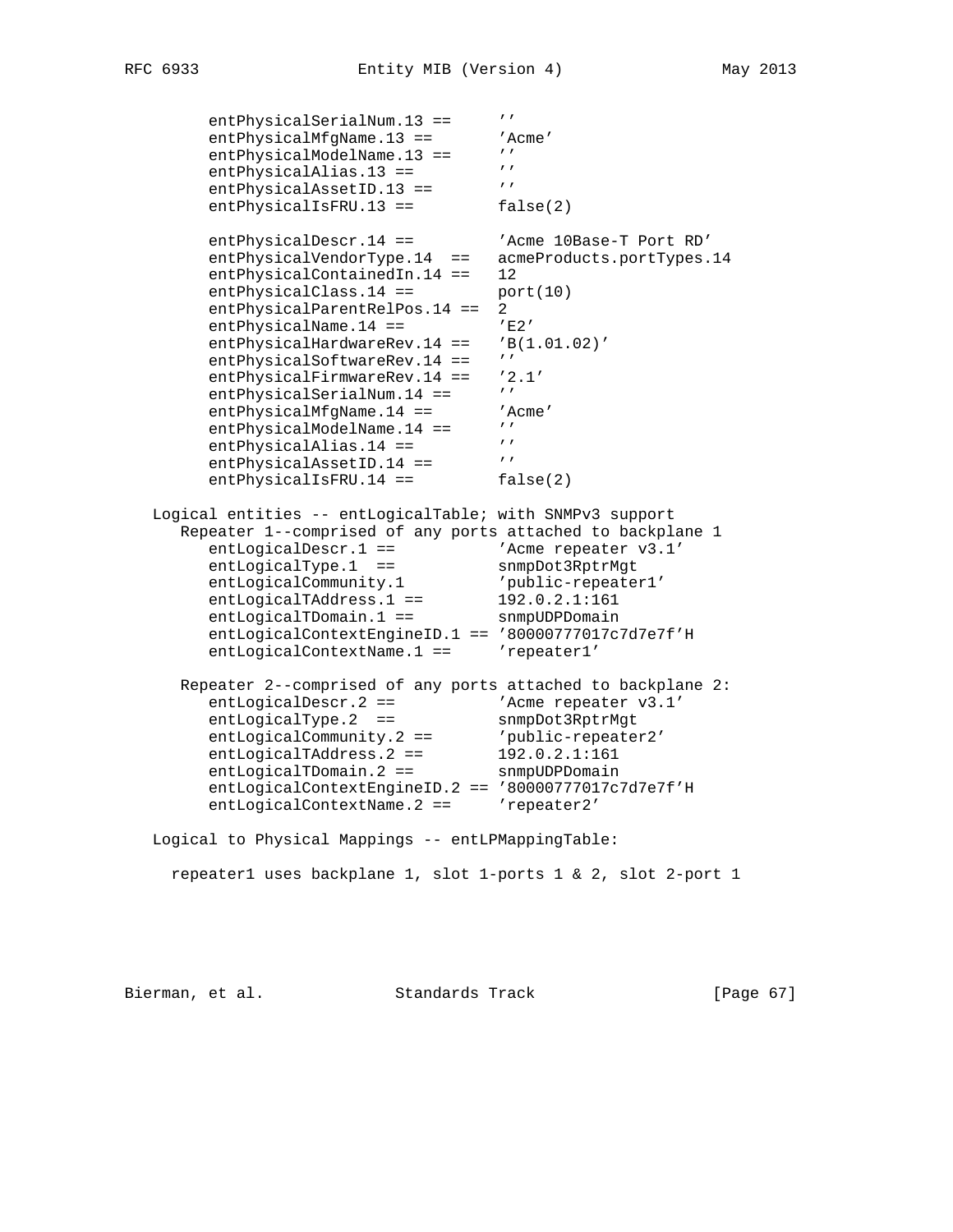entPhysicalSerialNum.13 == '' entPhysicalMfgName.13 == 'Acme'<br>entPhysicalModelName 13 == '' entPhysicalModelName.13 ==  $'$ entPhysicalAlias.13 == '' entPhysicalAssetID.13 == '' entPhysicalIsFRU.13 == false(2) entPhysicalDescr.14 == 'Acme 10Base-T Port RD' entPhysicalVendorType.14 == acmeProducts.portTypes.14 entPhysicalContainedIn.14 == 12  $entPhysicalClass.14 == port(10)$  entPhysicalParentRelPos.14 == 2 entPhysicalName.14 == 'E2' entPhysicalHardwareRev.14 == 'B(1.01.02)' entPhysicalSoftwareRev.14 == '' entPhysicalFirmwareRev.14 == '2.1'<br>entPhysicalSerialNum.14 == '' entPhysicalSerialNum.14 == ''<br>entPhysicalMfqName.14 == 'Acme' entPhysicalMfgName.14 ==  $'A$ <br>antPhysicalModelName 14 --  $'$ entPhysicalModelName.14 ==  $'$ entPhysicalAlias.14 ==  $''$ <br>entPhysicalAssetID 14 ==  $''$ entPhysicalAssetID.14 == entPhysicalIsFRU.14 == false(2) Logical entities -- entLogicalTable; with SNMPv3 support Repeater 1--comprised of any ports attached to backplane 1 entLogicalDescr.1 ==  $\blacksquare$  'Acme repeater v3.1' entLogicalType.1 == snmpDot3RptrMgt entLogicalCommunity.1 'public-repeater1' entLogicalTAddress.1 == 192.0.2.1:161 entLogicalTDomain.1 == snmpUDPDomain entLogicalContextEngineID.1 == '80000777017c7d7e7f'H entLogicalContextName.1 == 'repeater1' Repeater 2--comprised of any ports attached to backplane 2: entLogicalDescr.2 ==  $\blacksquare$  'Acme repeater v3.1' entLogicalType.2 == snmpDot3RptrMgt entLogicalCommunity.2 == 'public-repeater2' entLogicalTAddress.2 == 192.0.2.1:161 entLogicalTDomain.2 == snmpUDPDomain entLogicalContextEngineID.2 == '80000777017c7d7e7f'H entLogicalContextName.2 == 'repeater2' Logical to Physical Mappings -- entLPMappingTable: repeater1 uses backplane 1, slot 1-ports 1 & 2, slot 2-port 1

Bierman, et al. Standards Track [Page 67]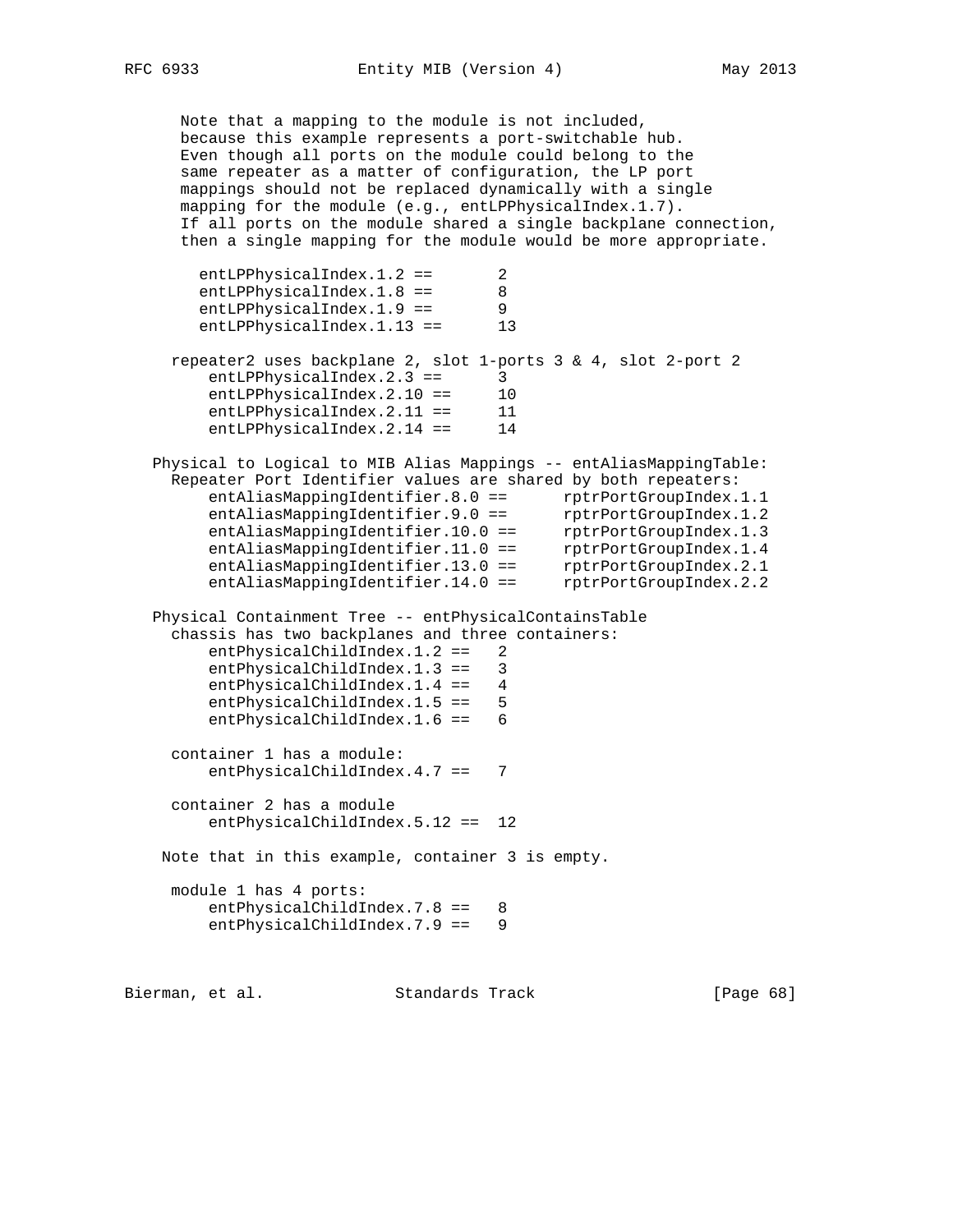Note that a mapping to the module is not included, because this example represents a port-switchable hub. Even though all ports on the module could belong to the same repeater as a matter of configuration, the LP port mappings should not be replaced dynamically with a single mapping for the module (e.g., entLPPhysicalIndex.1.7). If all ports on the module shared a single backplane connection, then a single mapping for the module would be more appropriate. entLPPhysicalIndex.1.2 == 2 entLPPhysicalIndex.1.8 == 8 entLPPhysicalIndex.1.9 == 9 entLPPhysicalIndex.1.13 == 13 repeater2 uses backplane 2, slot 1-ports 3 & 4, slot 2-port 2 entLPPhysicalIndex.2.3 == 3<br>entLPPhysicalIndex.2.10 == 10 entLPPhysicalIndex.2.10 == entLPPhysicalIndex.2.11 == 11 entLPPhysicalIndex.2.14 == 14 Physical to Logical to MIB Alias Mappings -- entAliasMappingTable: Repeater Port Identifier values are shared by both repeaters: entAliasMappingIdentifier.8.0 == rptrPortGroupIndex.1.1 entAliasMappingIdentifier.9.0 == rptrPortGroupIndex.1.2 entAliasMappingIdentifier.10.0 == rptrPortGroupIndex.1.3 entAliasMappingIdentifier.11.0 == rptrPortGroupIndex.1.4 entAliasMappingIdentifier.13.0 == rptrPortGroupIndex.2.1 entAliasMappingIdentifier.14.0 == rptrPortGroupIndex.2.2 Physical Containment Tree -- entPhysicalContainsTable chassis has two backplanes and three containers: entPhysicalChildIndex.1.2 == 2 entPhysicalChildIndex.1.3 == 3 entPhysicalChildIndex.1.4 == 4 entPhysicalChildIndex.1.5 == 5 entPhysicalChildIndex.1.6 == 6 container 1 has a module: entPhysicalChildIndex.4.7 == 7 container 2 has a module entPhysicalChildIndex.5.12 == 12 Note that in this example, container 3 is empty. module 1 has 4 ports: entPhysicalChildIndex.7.8 == 8 entPhysicalChildIndex.7.9 == 9

Bierman, et al. Standards Track [Page 68]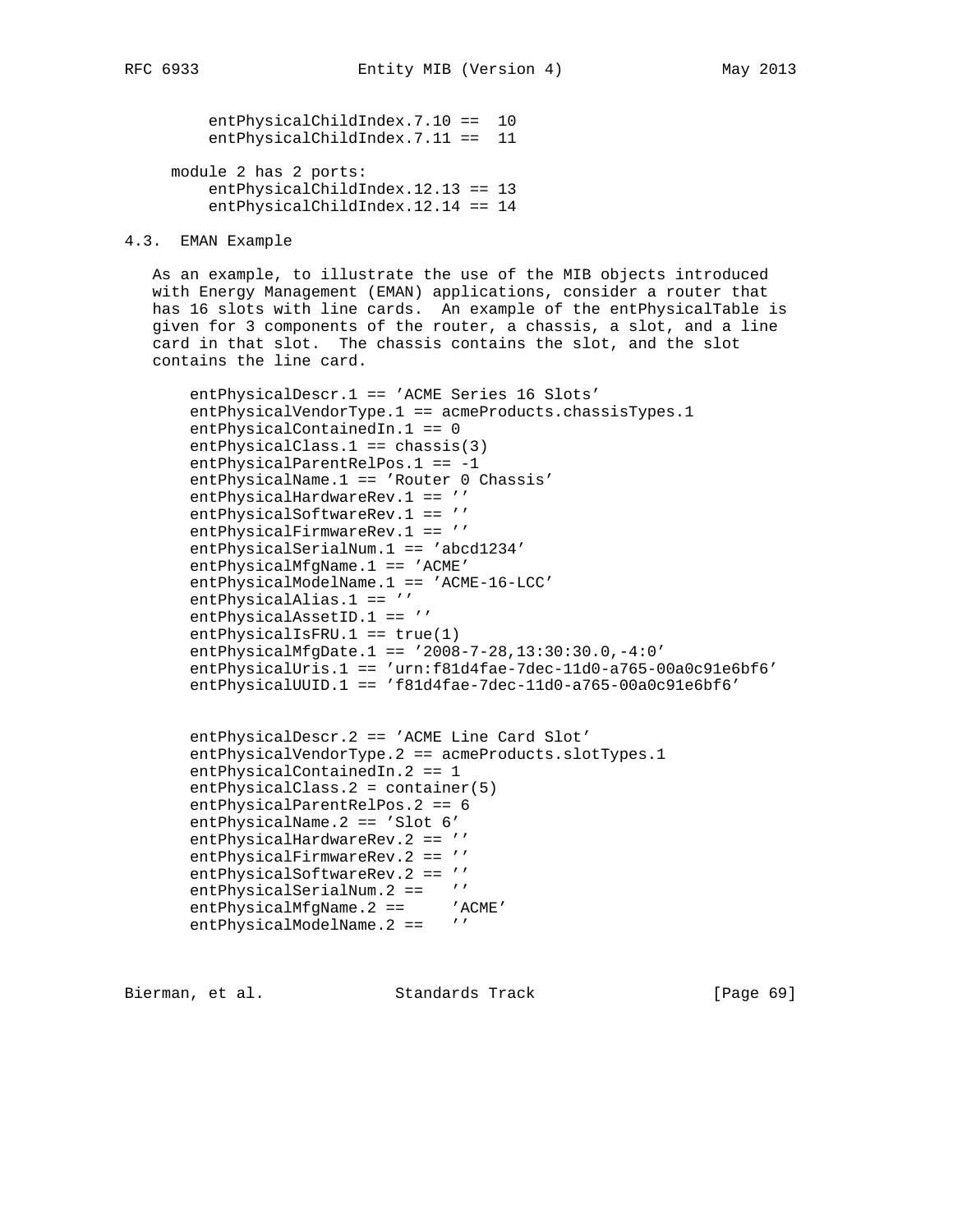entPhysicalChildIndex.7.10 == 10 entPhysicalChildIndex.7.11 == 11 module 2 has 2 ports:

 entPhysicalChildIndex.12.13 == 13 entPhysicalChildIndex.12.14 == 14

4.3. EMAN Example

 As an example, to illustrate the use of the MIB objects introduced with Energy Management (EMAN) applications, consider a router that has 16 slots with line cards. An example of the entPhysicalTable is given for 3 components of the router, a chassis, a slot, and a line card in that slot. The chassis contains the slot, and the slot contains the line card.

 entPhysicalDescr.1 == 'ACME Series 16 Slots' entPhysicalVendorType.1 == acmeProducts.chassisTypes.1 entPhysicalContainedIn.1 == 0 entPhysicalClass.1 == chassis(3) entPhysicalParentRelPos.1 == -1 entPhysicalName.1 == 'Router 0 Chassis' entPhysicalHardwareRev.1 == '' entPhysicalSoftwareRev.1 == '' entPhysicalFirmwareRev.1 == '' entPhysicalSerialNum.1 == 'abcd1234' entPhysicalMfgName.1 == 'ACME' entPhysicalModelName.1 == 'ACME-16-LCC' entPhysicalAlias.1 == '' entPhysicalAssetID.1 == '' entPhysicalIsFRU.1 == true(1) entPhysicalMfgDate.1 == '2008-7-28,13:30:30.0,-4:0' entPhysicalUris.1 == 'urn:f81d4fae-7dec-11d0-a765-00a0c91e6bf6' entPhysicalUUID.1 ==  $'f81d4fae-7dec-11d0-a765-00a0c91e6bf6'$ 

```
 entPhysicalDescr.2 == 'ACME Line Card Slot'
 entPhysicalVendorType.2 == acmeProducts.slotTypes.1
 entPhysicalContainedIn.2 == 1
 entPhysicalClass.2 = container(5)
 entPhysicalParentRelPos.2 == 6
 entPhysicalName.2 == 'Slot 6'
entPhysicalHardwareRev.2 == ''
entPhysicalFirmwareRev.2 == ''
 entPhysicalSoftwareRev.2 == ''
 entPhysicalSerialNum.2 == ''
entPhysicalMfgName.2 == 'ACME'
entPhysicalModelName.2 == ''
```
Bierman, et al. Standards Track [Page 69]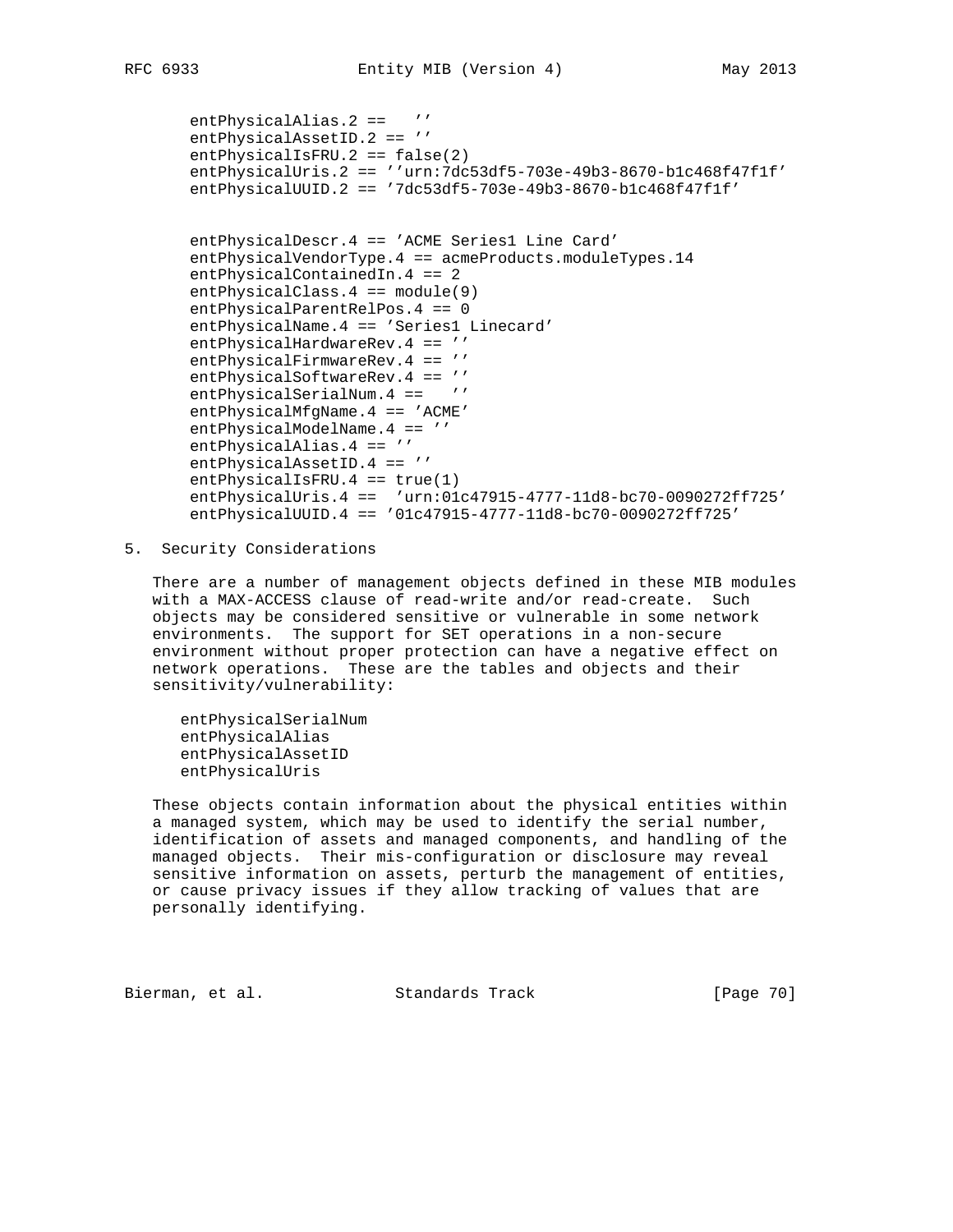```
 entPhysicalAlias.2 == ''
 entPhysicalAssetID.2 == ''
 entPhysicalIsFRU.2 == false(2)
 entPhysicalUris.2 == ''urn:7dc53df5-703e-49b3-8670-b1c468f47f1f'
 entPhysicalUUID.2 == '7dc53df5-703e-49b3-8670-b1c468f47f1f'
 entPhysicalDescr.4 == 'ACME Series1 Line Card'
 entPhysicalVendorType.4 == acmeProducts.moduleTypes.14
 entPhysicalContainedIn.4 == 2
 entPhysicalClass.4 == module(9)
 entPhysicalParentRelPos.4 == 0
 entPhysicalName.4 == 'Series1 Linecard'
entPhysicalHardwareRev.4 == ''
entPhysicalFirmwareRev.4 == ''
 entPhysicalSoftwareRev.4 == ''
entPhysicalSerialNum.4 == ''
 entPhysicalMfgName.4 == 'ACME'
 entPhysicalModelName.4 == ''
 entPhysicalAlias.4 == ''
 entPhysicalAssetID.4 == ''
 entPhysicalIsFRU.4 == true(1)
 entPhysicalUris.4 == 'urn:01c47915-4777-11d8-bc70-0090272ff725'
 entPhysicalUUID.4 == '01c47915-4777-11d8-bc70-0090272ff725'
```
5. Security Considerations

 There are a number of management objects defined in these MIB modules with a MAX-ACCESS clause of read-write and/or read-create. Such objects may be considered sensitive or vulnerable in some network environments. The support for SET operations in a non-secure environment without proper protection can have a negative effect on network operations. These are the tables and objects and their sensitivity/vulnerability:

 entPhysicalSerialNum entPhysicalAlias entPhysicalAssetID entPhysicalUris

 These objects contain information about the physical entities within a managed system, which may be used to identify the serial number, identification of assets and managed components, and handling of the managed objects. Their mis-configuration or disclosure may reveal sensitive information on assets, perturb the management of entities, or cause privacy issues if they allow tracking of values that are personally identifying.

Bierman, et al. Standards Track [Page 70]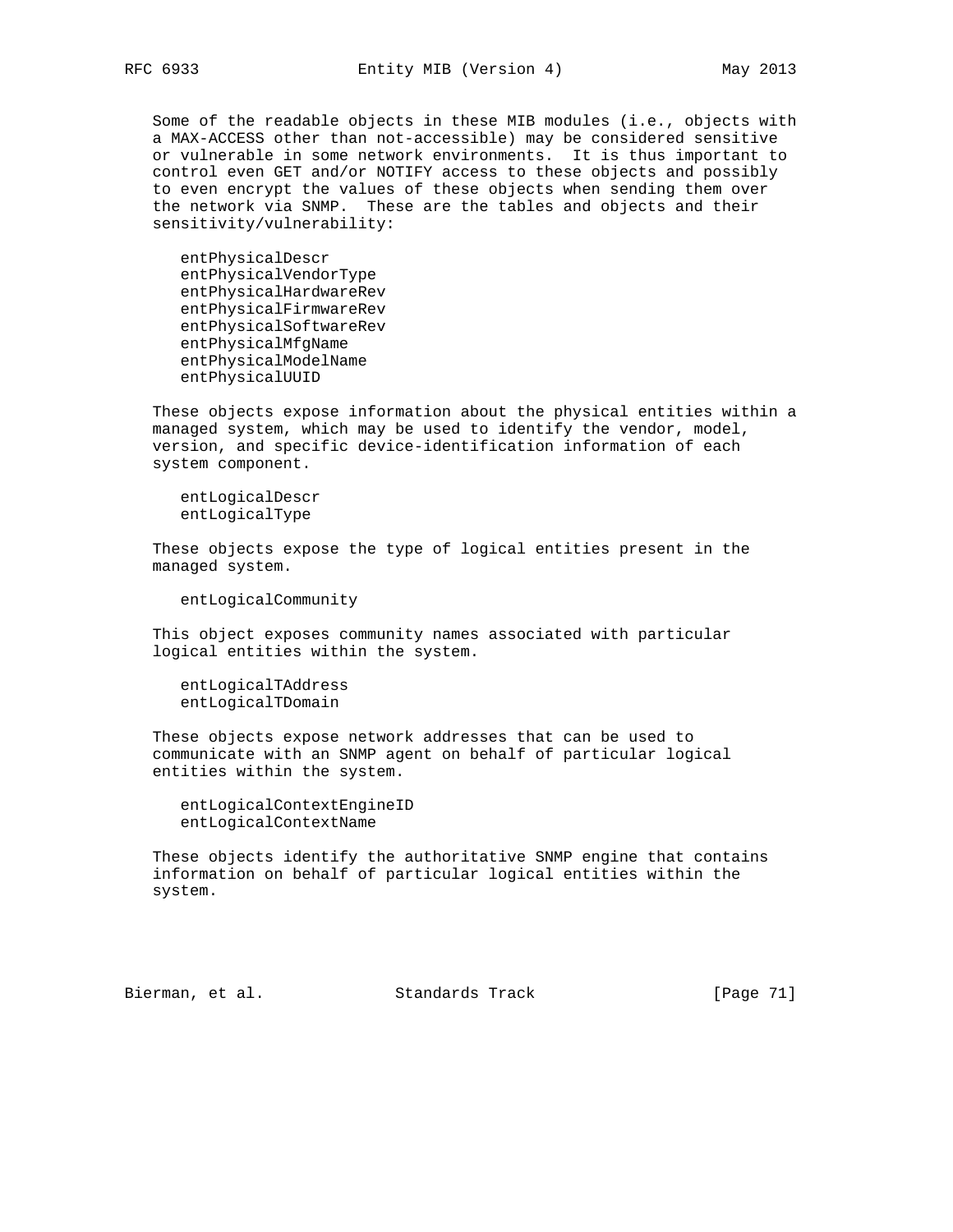Some of the readable objects in these MIB modules (i.e., objects with a MAX-ACCESS other than not-accessible) may be considered sensitive or vulnerable in some network environments. It is thus important to control even GET and/or NOTIFY access to these objects and possibly to even encrypt the values of these objects when sending them over the network via SNMP. These are the tables and objects and their sensitivity/vulnerability:

 entPhysicalDescr entPhysicalVendorType entPhysicalHardwareRev entPhysicalFirmwareRev entPhysicalSoftwareRev entPhysicalMfgName entPhysicalModelName entPhysicalUUID

 These objects expose information about the physical entities within a managed system, which may be used to identify the vendor, model, version, and specific device-identification information of each system component.

 entLogicalDescr entLogicalType

 These objects expose the type of logical entities present in the managed system.

entLogicalCommunity

 This object exposes community names associated with particular logical entities within the system.

 entLogicalTAddress entLogicalTDomain

 These objects expose network addresses that can be used to communicate with an SNMP agent on behalf of particular logical entities within the system.

 entLogicalContextEngineID entLogicalContextName

 These objects identify the authoritative SNMP engine that contains information on behalf of particular logical entities within the system.

Bierman, et al. Standards Track [Page 71]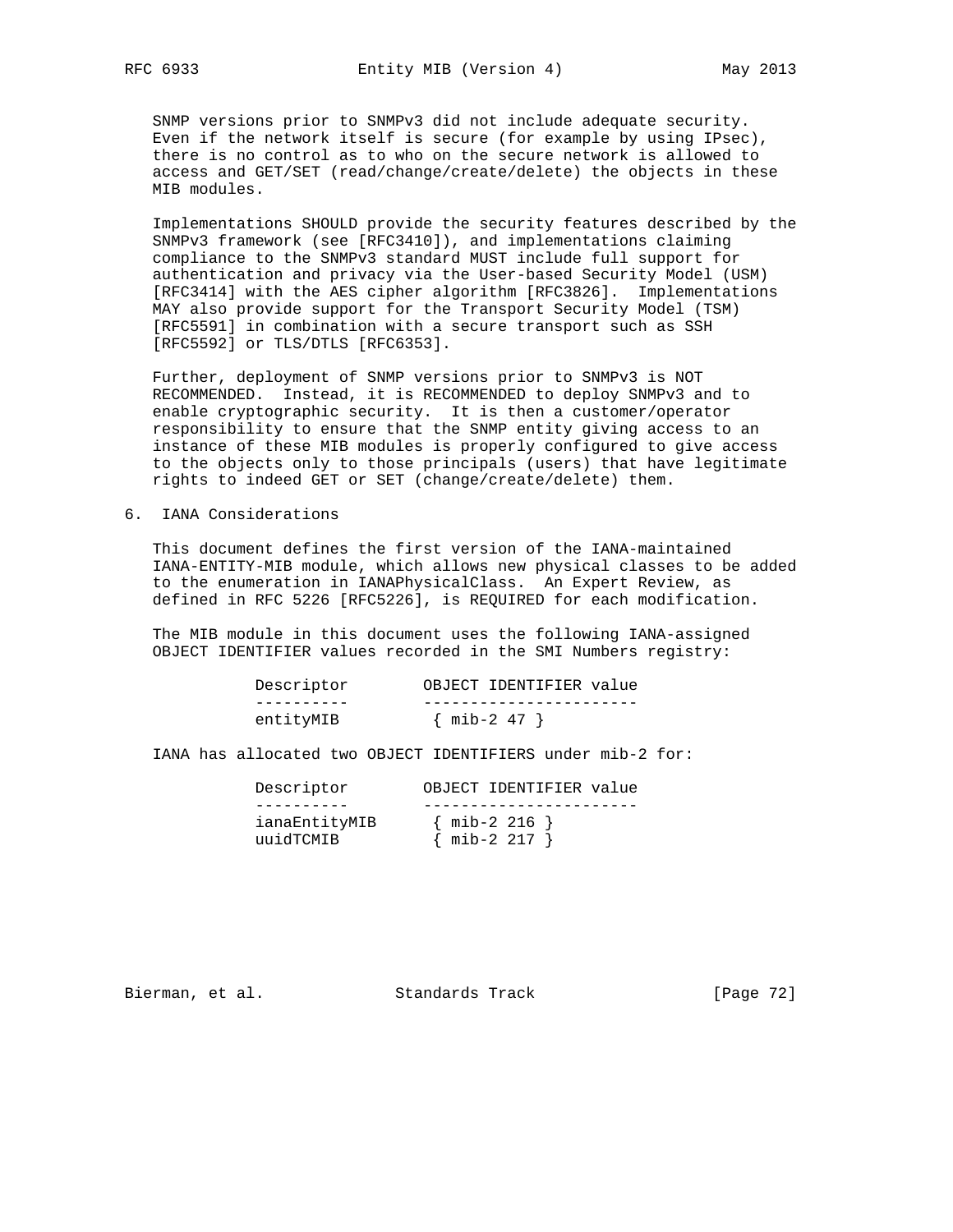SNMP versions prior to SNMPv3 did not include adequate security. Even if the network itself is secure (for example by using IPsec), there is no control as to who on the secure network is allowed to access and GET/SET (read/change/create/delete) the objects in these MIB modules.

 Implementations SHOULD provide the security features described by the SNMPv3 framework (see [RFC3410]), and implementations claiming compliance to the SNMPv3 standard MUST include full support for authentication and privacy via the User-based Security Model (USM) [RFC3414] with the AES cipher algorithm [RFC3826]. Implementations MAY also provide support for the Transport Security Model (TSM) [RFC5591] in combination with a secure transport such as SSH [RFC5592] or TLS/DTLS [RFC6353].

 Further, deployment of SNMP versions prior to SNMPv3 is NOT RECOMMENDED. Instead, it is RECOMMENDED to deploy SNMPv3 and to enable cryptographic security. It is then a customer/operator responsibility to ensure that the SNMP entity giving access to an instance of these MIB modules is properly configured to give access to the objects only to those principals (users) that have legitimate rights to indeed GET or SET (change/create/delete) them.

6. IANA Considerations

 This document defines the first version of the IANA-maintained IANA-ENTITY-MIB module, which allows new physical classes to be added to the enumeration in IANAPhysicalClass. An Expert Review, as defined in RFC 5226 [RFC5226], is REQUIRED for each modification.

 The MIB module in this document uses the following IANA-assigned OBJECT IDENTIFIER values recorded in the SMI Numbers registry:

| Descriptor | OBJECT IDENTIFIER value |
|------------|-------------------------|
|            |                         |
| entitvMIB  | $\{$ mib-2 47 $\}$      |

IANA has allocated two OBJECT IDENTIFIERS under mib-2 for:

| Descriptor                 | OBJECT IDENTIFIER value              |
|----------------------------|--------------------------------------|
|                            |                                      |
| ianaEntityMIB<br>uuidTCMIB | $\{$ mib-2 216 $\}$<br>$min-2 217$ } |

Bierman, et al. Standards Track [Page 72]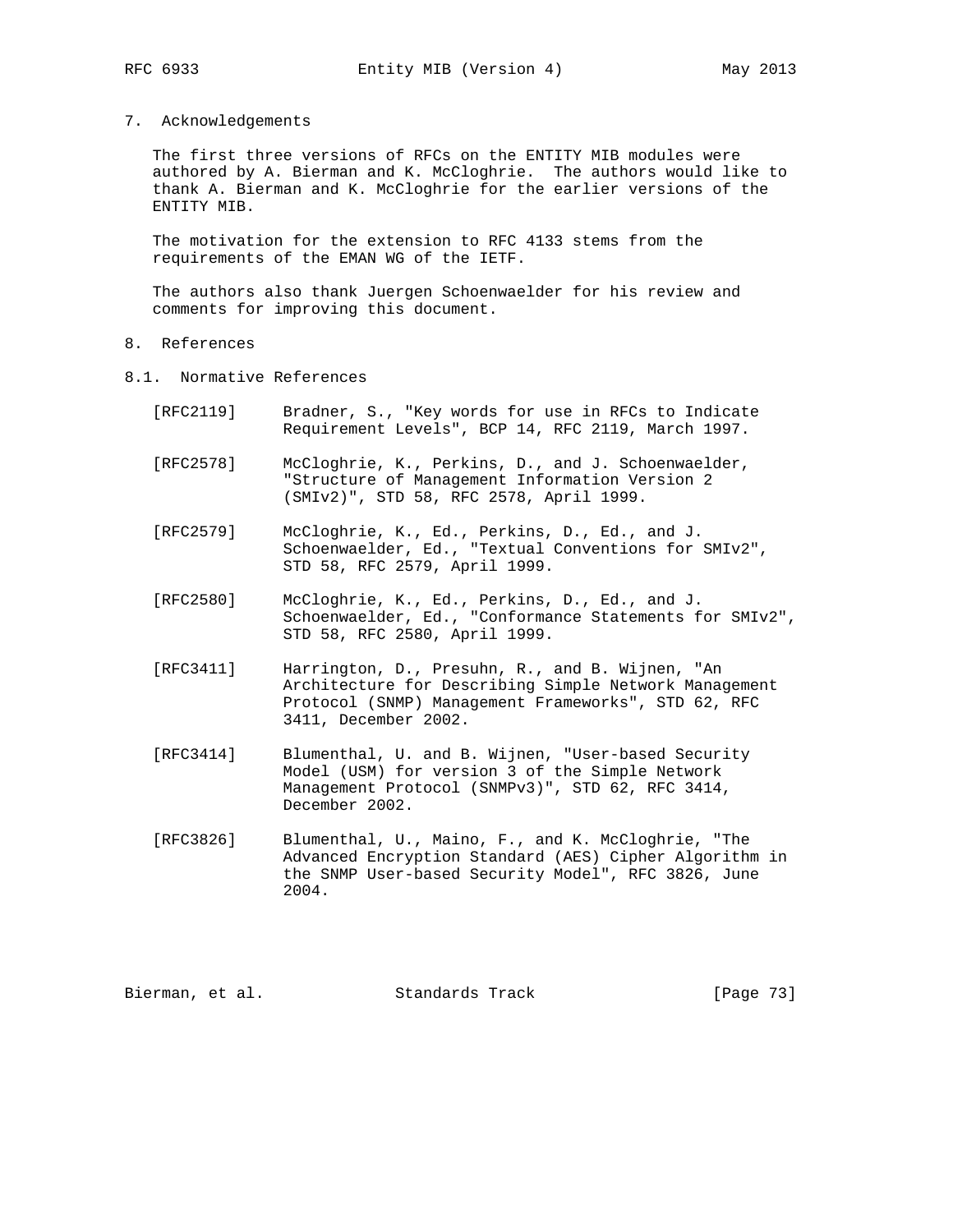- 
- 7. Acknowledgements

 The first three versions of RFCs on the ENTITY MIB modules were authored by A. Bierman and K. McCloghrie. The authors would like to thank A. Bierman and K. McCloghrie for the earlier versions of the ENTITY MIB.

 The motivation for the extension to RFC 4133 stems from the requirements of the EMAN WG of the IETF.

 The authors also thank Juergen Schoenwaelder for his review and comments for improving this document.

- 8. References
- 8.1. Normative References
	- [RFC2119] Bradner, S., "Key words for use in RFCs to Indicate Requirement Levels", BCP 14, RFC 2119, March 1997.
	- [RFC2578] McCloghrie, K., Perkins, D., and J. Schoenwaelder, "Structure of Management Information Version 2 (SMIv2)", STD 58, RFC 2578, April 1999.
	- [RFC2579] McCloghrie, K., Ed., Perkins, D., Ed., and J. Schoenwaelder, Ed., "Textual Conventions for SMIv2", STD 58, RFC 2579, April 1999.
	- [RFC2580] McCloghrie, K., Ed., Perkins, D., Ed., and J. Schoenwaelder, Ed., "Conformance Statements for SMIv2", STD 58, RFC 2580, April 1999.
	- [RFC3411] Harrington, D., Presuhn, R., and B. Wijnen, "An Architecture for Describing Simple Network Management Protocol (SNMP) Management Frameworks", STD 62, RFC 3411, December 2002.
	- [RFC3414] Blumenthal, U. and B. Wijnen, "User-based Security Model (USM) for version 3 of the Simple Network Management Protocol (SNMPv3)", STD 62, RFC 3414, December 2002.
	- [RFC3826] Blumenthal, U., Maino, F., and K. McCloghrie, "The Advanced Encryption Standard (AES) Cipher Algorithm in the SNMP User-based Security Model", RFC 3826, June 2004.

Bierman, et al. Standards Track [Page 73]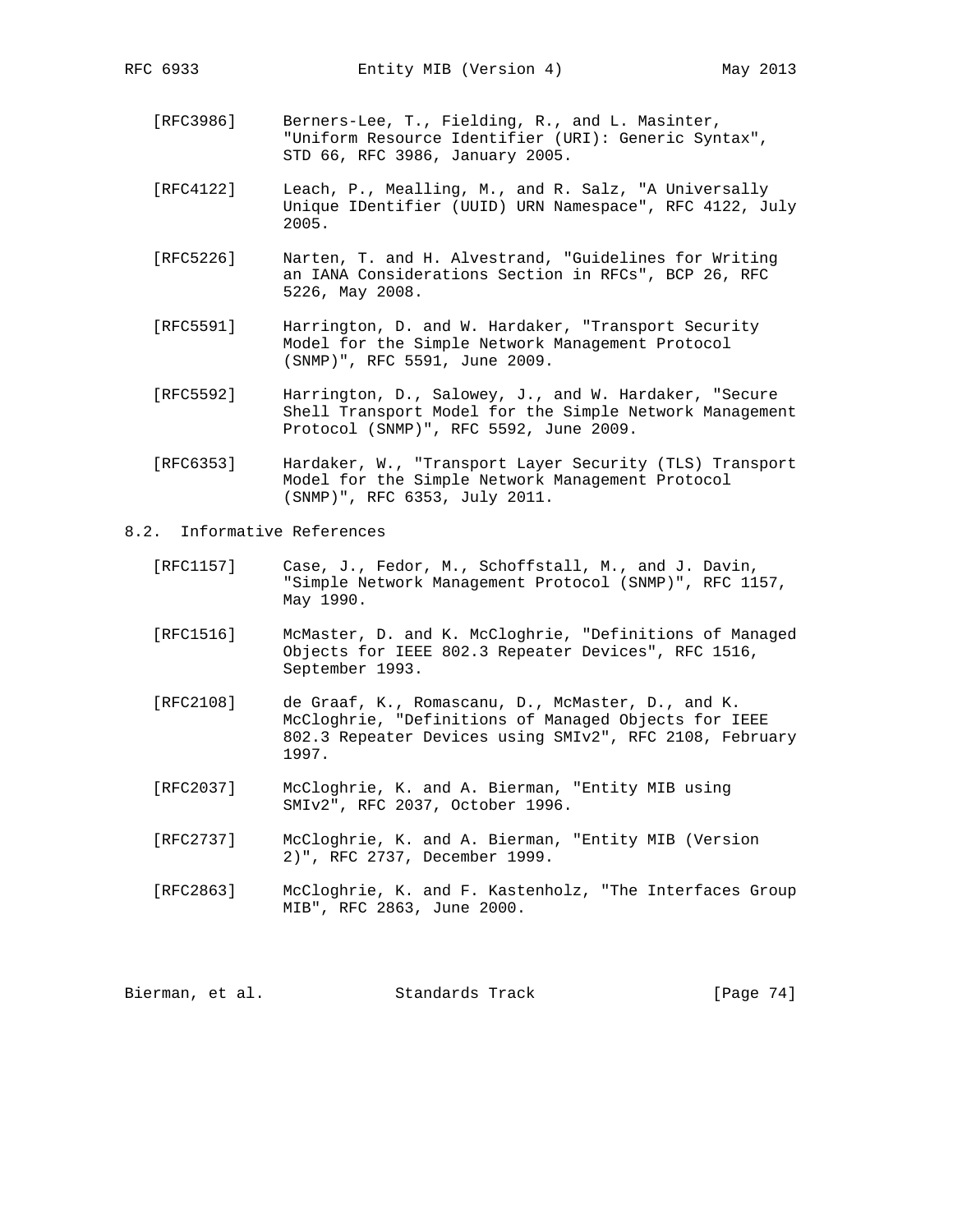- [RFC3986] Berners-Lee, T., Fielding, R., and L. Masinter, "Uniform Resource Identifier (URI): Generic Syntax", STD 66, RFC 3986, January 2005.
- [RFC4122] Leach, P., Mealling, M., and R. Salz, "A Universally Unique IDentifier (UUID) URN Namespace", RFC 4122, July 2005.
- [RFC5226] Narten, T. and H. Alvestrand, "Guidelines for Writing an IANA Considerations Section in RFCs", BCP 26, RFC 5226, May 2008.
- [RFC5591] Harrington, D. and W. Hardaker, "Transport Security Model for the Simple Network Management Protocol (SNMP)", RFC 5591, June 2009.
- [RFC5592] Harrington, D., Salowey, J., and W. Hardaker, "Secure Shell Transport Model for the Simple Network Management Protocol (SNMP)", RFC 5592, June 2009.
- [RFC6353] Hardaker, W., "Transport Layer Security (TLS) Transport Model for the Simple Network Management Protocol (SNMP)", RFC 6353, July 2011.
- 8.2. Informative References
	- [RFC1157] Case, J., Fedor, M., Schoffstall, M., and J. Davin, "Simple Network Management Protocol (SNMP)", RFC 1157, May 1990.
	- [RFC1516] McMaster, D. and K. McCloghrie, "Definitions of Managed Objects for IEEE 802.3 Repeater Devices", RFC 1516, September 1993.
	- [RFC2108] de Graaf, K., Romascanu, D., McMaster, D., and K. McCloghrie, "Definitions of Managed Objects for IEEE 802.3 Repeater Devices using SMIv2", RFC 2108, February 1997.
	- [RFC2037] McCloghrie, K. and A. Bierman, "Entity MIB using SMIv2", RFC 2037, October 1996.
	- [RFC2737] McCloghrie, K. and A. Bierman, "Entity MIB (Version 2)", RFC 2737, December 1999.
	- [RFC2863] McCloghrie, K. and F. Kastenholz, "The Interfaces Group MIB", RFC 2863, June 2000.

Bierman, et al. Standards Track [Page 74]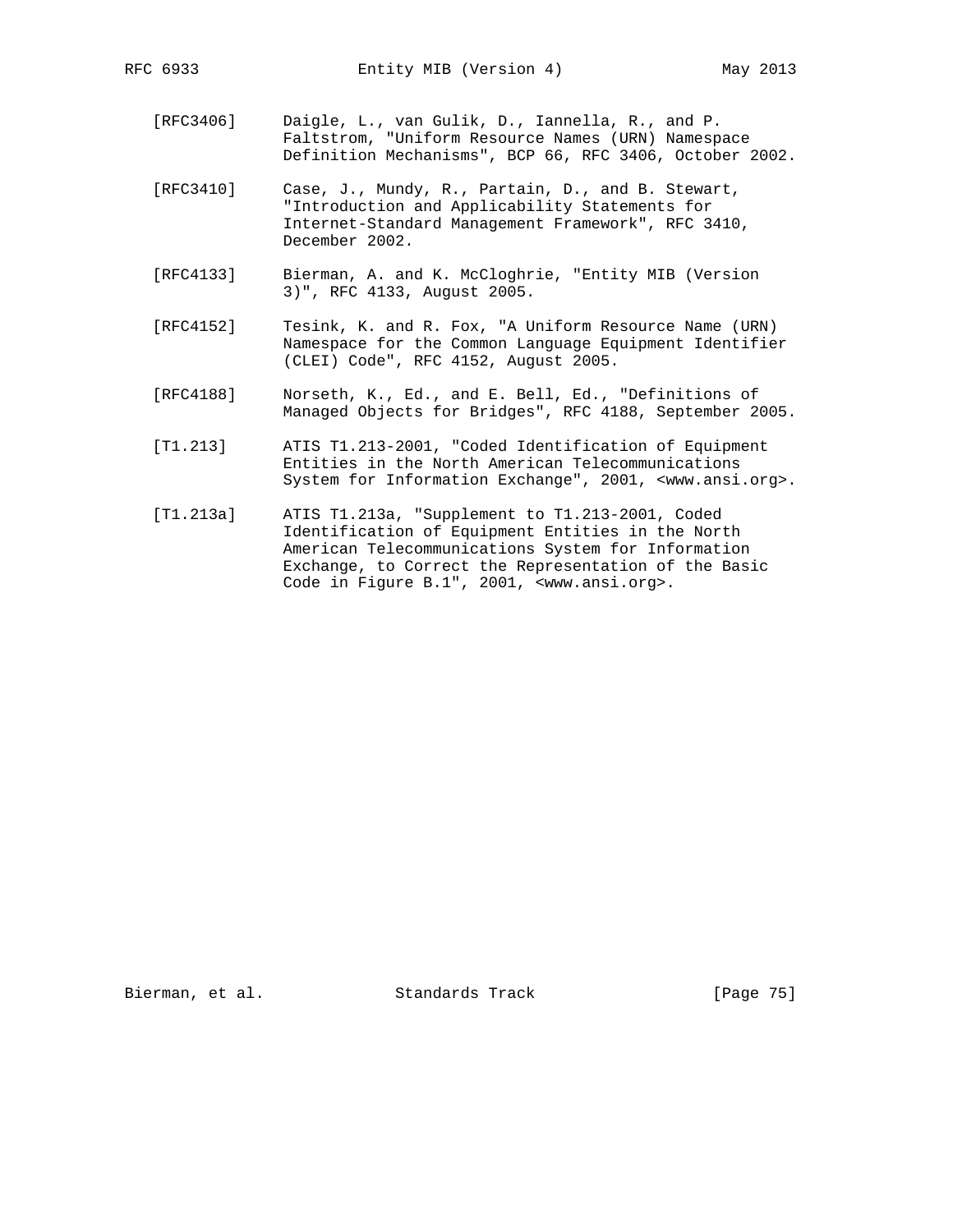[RFC3406] Daigle, L., van Gulik, D., Iannella, R., and P. Faltstrom, "Uniform Resource Names (URN) Namespace Definition Mechanisms", BCP 66, RFC 3406, October 2002.

 [RFC3410] Case, J., Mundy, R., Partain, D., and B. Stewart, "Introduction and Applicability Statements for Internet-Standard Management Framework", RFC 3410, December 2002.

- [RFC4133] Bierman, A. and K. McCloghrie, "Entity MIB (Version 3)", RFC 4133, August 2005.
- [RFC4152] Tesink, K. and R. Fox, "A Uniform Resource Name (URN) Namespace for the Common Language Equipment Identifier (CLEI) Code", RFC 4152, August 2005.
- [RFC4188] Norseth, K., Ed., and E. Bell, Ed., "Definitions of Managed Objects for Bridges", RFC 4188, September 2005.
- [T1.213] ATIS T1.213-2001, "Coded Identification of Equipment Entities in the North American Telecommunications System for Information Exchange", 2001, <www.ansi.org>.
- [T1.213a] ATIS T1.213a, "Supplement to T1.213-2001, Coded Identification of Equipment Entities in the North American Telecommunications System for Information Exchange, to Correct the Representation of the Basic Code in Figure B.1", 2001, <www.ansi.org>.

Bierman, et al. Standards Track [Page 75]